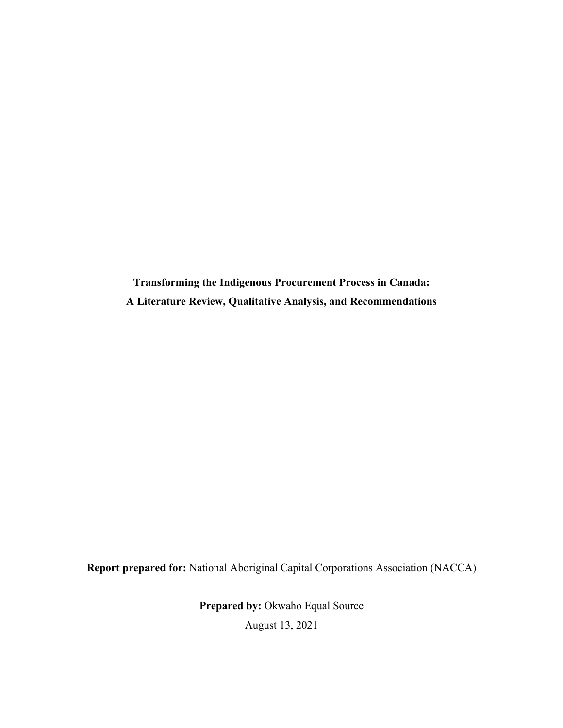**Transforming the Indigenous Procurement Process in Canada: A Literature Review, Qualitative Analysis, and Recommendations**

**Report prepared for:** National Aboriginal Capital Corporations Association (NACCA)

**Prepared by:** Okwaho Equal Source

August 13, 2021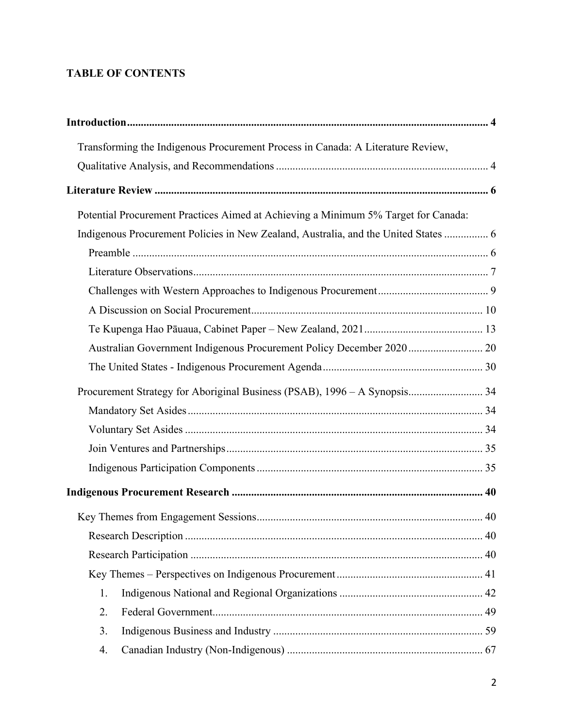# **TABLE OF CONTENTS**

| Transforming the Indigenous Procurement Process in Canada: A Literature Review,     |  |
|-------------------------------------------------------------------------------------|--|
|                                                                                     |  |
|                                                                                     |  |
| Potential Procurement Practices Aimed at Achieving a Minimum 5% Target for Canada:  |  |
| Indigenous Procurement Policies in New Zealand, Australia, and the United States  6 |  |
|                                                                                     |  |
|                                                                                     |  |
|                                                                                     |  |
|                                                                                     |  |
|                                                                                     |  |
|                                                                                     |  |
|                                                                                     |  |
| Procurement Strategy for Aboriginal Business (PSAB), 1996 - A Synopsis 34           |  |
|                                                                                     |  |
|                                                                                     |  |
|                                                                                     |  |
|                                                                                     |  |
|                                                                                     |  |
|                                                                                     |  |
|                                                                                     |  |
|                                                                                     |  |
|                                                                                     |  |
| 1.                                                                                  |  |
| 2.                                                                                  |  |
| 3.                                                                                  |  |
| 4.                                                                                  |  |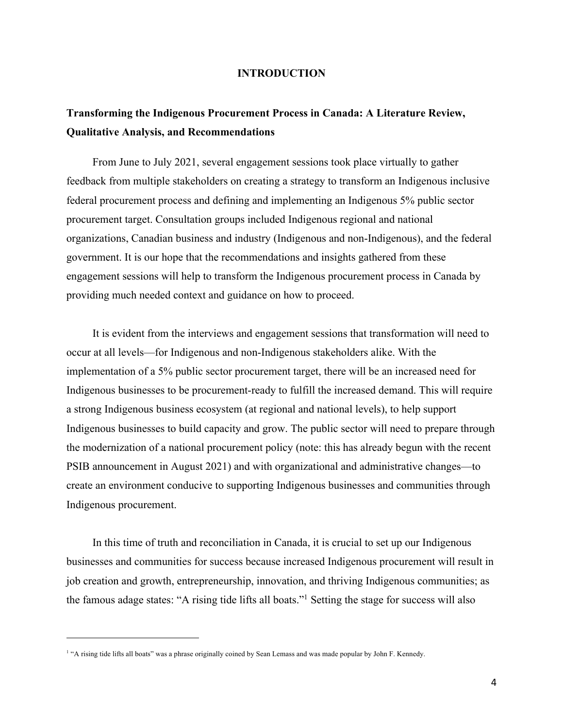#### **INTRODUCTION**

# **Transforming the Indigenous Procurement Process in Canada: A Literature Review, Qualitative Analysis, and Recommendations**

From June to July 2021, several engagement sessions took place virtually to gather feedback from multiple stakeholders on creating a strategy to transform an Indigenous inclusive federal procurement process and defining and implementing an Indigenous 5% public sector procurement target. Consultation groups included Indigenous regional and national organizations, Canadian business and industry (Indigenous and non-Indigenous), and the federal government. It is our hope that the recommendations and insights gathered from these engagement sessions will help to transform the Indigenous procurement process in Canada by providing much needed context and guidance on how to proceed.

It is evident from the interviews and engagement sessions that transformation will need to occur at all levels—for Indigenous and non-Indigenous stakeholders alike. With the implementation of a 5% public sector procurement target, there will be an increased need for Indigenous businesses to be procurement-ready to fulfill the increased demand. This will require a strong Indigenous business ecosystem (at regional and national levels), to help support Indigenous businesses to build capacity and grow. The public sector will need to prepare through the modernization of a national procurement policy (note: this has already begun with the recent PSIB announcement in August 2021) and with organizational and administrative changes—to create an environment conducive to supporting Indigenous businesses and communities through Indigenous procurement.

In this time of truth and reconciliation in Canada, it is crucial to set up our Indigenous businesses and communities for success because increased Indigenous procurement will result in job creation and growth, entrepreneurship, innovation, and thriving Indigenous communities; as the famous adage states: "A rising tide lifts all boats."1 Setting the stage for success will also

<sup>&</sup>lt;sup>1</sup> "A rising tide lifts all boats" was a phrase originally coined by Sean Lemass and was made popular by John F. Kennedy.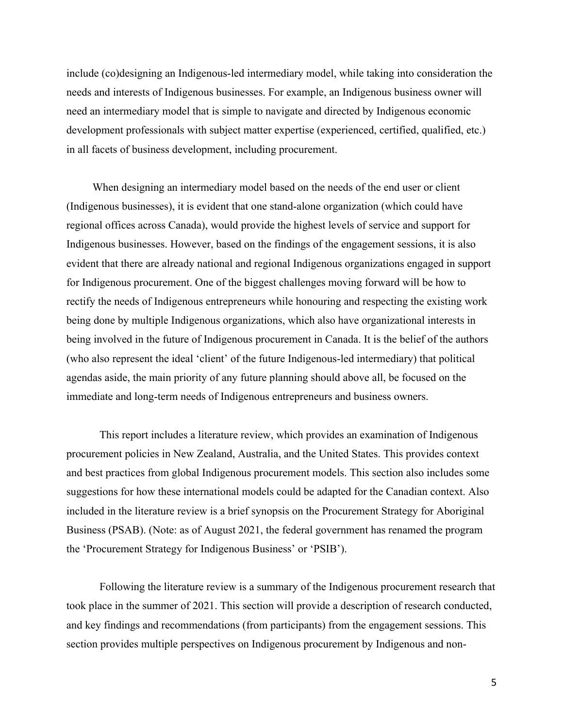include (co)designing an Indigenous-led intermediary model, while taking into consideration the needs and interests of Indigenous businesses. For example, an Indigenous business owner will need an intermediary model that is simple to navigate and directed by Indigenous economic development professionals with subject matter expertise (experienced, certified, qualified, etc.) in all facets of business development, including procurement.

When designing an intermediary model based on the needs of the end user or client (Indigenous businesses), it is evident that one stand-alone organization (which could have regional offices across Canada), would provide the highest levels of service and support for Indigenous businesses. However, based on the findings of the engagement sessions, it is also evident that there are already national and regional Indigenous organizations engaged in support for Indigenous procurement. One of the biggest challenges moving forward will be how to rectify the needs of Indigenous entrepreneurs while honouring and respecting the existing work being done by multiple Indigenous organizations, which also have organizational interests in being involved in the future of Indigenous procurement in Canada. It is the belief of the authors (who also represent the ideal 'client' of the future Indigenous-led intermediary) that political agendas aside, the main priority of any future planning should above all, be focused on the immediate and long-term needs of Indigenous entrepreneurs and business owners.

This report includes a literature review, which provides an examination of Indigenous procurement policies in New Zealand, Australia, and the United States. This provides context and best practices from global Indigenous procurement models. This section also includes some suggestions for how these international models could be adapted for the Canadian context. Also included in the literature review is a brief synopsis on the Procurement Strategy for Aboriginal Business (PSAB). (Note: as of August 2021, the federal government has renamed the program the 'Procurement Strategy for Indigenous Business' or 'PSIB').

Following the literature review is a summary of the Indigenous procurement research that took place in the summer of 2021. This section will provide a description of research conducted, and key findings and recommendations (from participants) from the engagement sessions. This section provides multiple perspectives on Indigenous procurement by Indigenous and non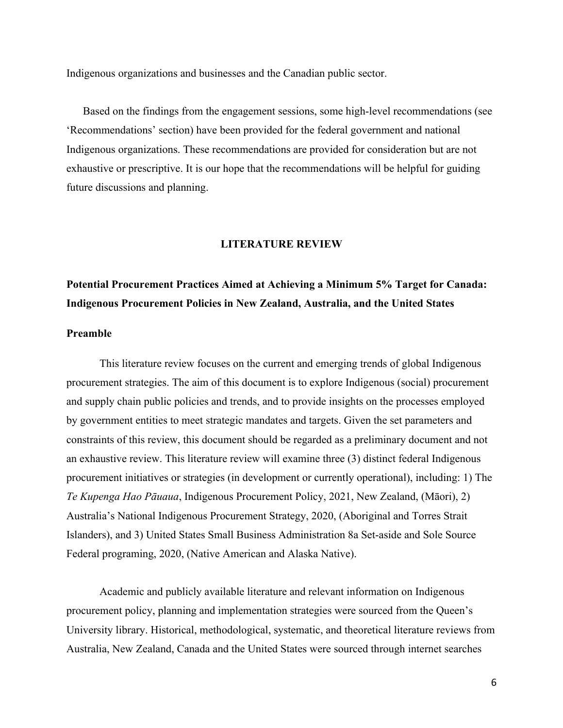Indigenous organizations and businesses and the Canadian public sector.

Based on the findings from the engagement sessions, some high-level recommendations (see 'Recommendations' section) have been provided for the federal government and national Indigenous organizations. These recommendations are provided for consideration but are not exhaustive or prescriptive. It is our hope that the recommendations will be helpful for guiding future discussions and planning.

#### **LITERATURE REVIEW**

# **Potential Procurement Practices Aimed at Achieving a Minimum 5% Target for Canada: Indigenous Procurement Policies in New Zealand, Australia, and the United States**

# **Preamble**

This literature review focuses on the current and emerging trends of global Indigenous procurement strategies. The aim of this document is to explore Indigenous (social) procurement and supply chain public policies and trends, and to provide insights on the processes employed by government entities to meet strategic mandates and targets. Given the set parameters and constraints of this review, this document should be regarded as a preliminary document and not an exhaustive review. This literature review will examine three (3) distinct federal Indigenous procurement initiatives or strategies (in development or currently operational), including: 1) The *Te Kupenga Hao Pāuaua*, Indigenous Procurement Policy, 2021, New Zealand, (Māori), 2) Australia's National Indigenous Procurement Strategy, 2020, (Aboriginal and Torres Strait Islanders), and 3) United States Small Business Administration 8a Set-aside and Sole Source Federal programing, 2020, (Native American and Alaska Native).

Academic and publicly available literature and relevant information on Indigenous procurement policy, planning and implementation strategies were sourced from the Queen's University library. Historical, methodological, systematic, and theoretical literature reviews from Australia, New Zealand, Canada and the United States were sourced through internet searches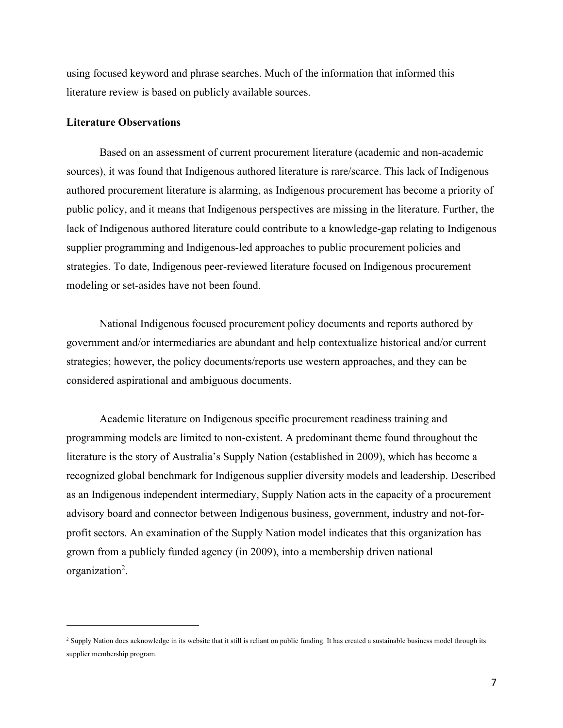using focused keyword and phrase searches. Much of the information that informed this literature review is based on publicly available sources.

#### **Literature Observations**

Based on an assessment of current procurement literature (academic and non-academic sources), it was found that Indigenous authored literature is rare/scarce. This lack of Indigenous authored procurement literature is alarming, as Indigenous procurement has become a priority of public policy, and it means that Indigenous perspectives are missing in the literature. Further, the lack of Indigenous authored literature could contribute to a knowledge-gap relating to Indigenous supplier programming and Indigenous-led approaches to public procurement policies and strategies. To date, Indigenous peer-reviewed literature focused on Indigenous procurement modeling or set-asides have not been found.

National Indigenous focused procurement policy documents and reports authored by government and/or intermediaries are abundant and help contextualize historical and/or current strategies; however, the policy documents/reports use western approaches, and they can be considered aspirational and ambiguous documents.

Academic literature on Indigenous specific procurement readiness training and programming models are limited to non-existent. A predominant theme found throughout the literature is the story of Australia's Supply Nation (established in 2009), which has become a recognized global benchmark for Indigenous supplier diversity models and leadership. Described as an Indigenous independent intermediary, Supply Nation acts in the capacity of a procurement advisory board and connector between Indigenous business, government, industry and not-forprofit sectors. An examination of the Supply Nation model indicates that this organization has grown from a publicly funded agency (in 2009), into a membership driven national organization<sup>2</sup>.

<sup>&</sup>lt;sup>2</sup> Supply Nation does acknowledge in its website that it still is reliant on public funding. It has created a sustainable business model through its supplier membership program.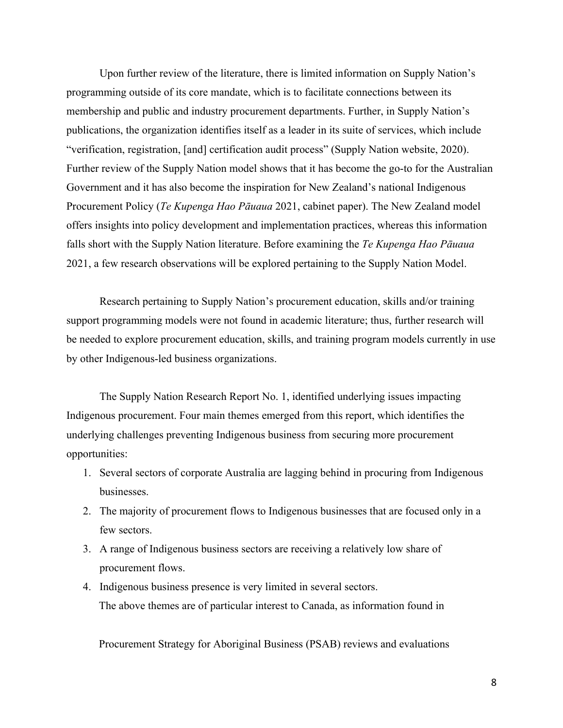Upon further review of the literature, there is limited information on Supply Nation's programming outside of its core mandate, which is to facilitate connections between its membership and public and industry procurement departments. Further, in Supply Nation's publications, the organization identifies itself as a leader in its suite of services, which include "verification, registration, [and] certification audit process" (Supply Nation website, 2020). Further review of the Supply Nation model shows that it has become the go-to for the Australian Government and it has also become the inspiration for New Zealand's national Indigenous Procurement Policy (*Te Kupenga Hao Pāuaua* 2021, cabinet paper). The New Zealand model offers insights into policy development and implementation practices, whereas this information falls short with the Supply Nation literature. Before examining the *Te Kupenga Hao Pāuaua* 2021, a few research observations will be explored pertaining to the Supply Nation Model.

Research pertaining to Supply Nation's procurement education, skills and/or training support programming models were not found in academic literature; thus, further research will be needed to explore procurement education, skills, and training program models currently in use by other Indigenous-led business organizations.

The Supply Nation Research Report No. 1, identified underlying issues impacting Indigenous procurement. Four main themes emerged from this report, which identifies the underlying challenges preventing Indigenous business from securing more procurement opportunities:

- 1. Several sectors of corporate Australia are lagging behind in procuring from Indigenous businesses.
- 2. The majority of procurement flows to Indigenous businesses that are focused only in a few sectors.
- 3. A range of Indigenous business sectors are receiving a relatively low share of procurement flows.
- 4. Indigenous business presence is very limited in several sectors. The above themes are of particular interest to Canada, as information found in

Procurement Strategy for Aboriginal Business (PSAB) reviews and evaluations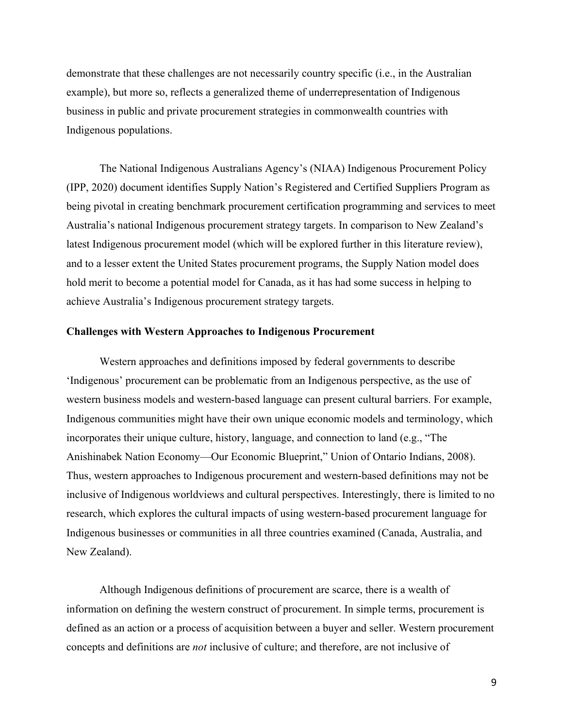demonstrate that these challenges are not necessarily country specific (i.e., in the Australian example), but more so, reflects a generalized theme of underrepresentation of Indigenous business in public and private procurement strategies in commonwealth countries with Indigenous populations.

The National Indigenous Australians Agency's (NIAA) Indigenous Procurement Policy (IPP, 2020) document identifies Supply Nation's Registered and Certified Suppliers Program as being pivotal in creating benchmark procurement certification programming and services to meet Australia's national Indigenous procurement strategy targets. In comparison to New Zealand's latest Indigenous procurement model (which will be explored further in this literature review), and to a lesser extent the United States procurement programs, the Supply Nation model does hold merit to become a potential model for Canada, as it has had some success in helping to achieve Australia's Indigenous procurement strategy targets.

## **Challenges with Western Approaches to Indigenous Procurement**

Western approaches and definitions imposed by federal governments to describe 'Indigenous' procurement can be problematic from an Indigenous perspective, as the use of western business models and western-based language can present cultural barriers. For example, Indigenous communities might have their own unique economic models and terminology, which incorporates their unique culture, history, language, and connection to land (e.g., "The Anishinabek Nation Economy—Our Economic Blueprint," Union of Ontario Indians, 2008). Thus, western approaches to Indigenous procurement and western-based definitions may not be inclusive of Indigenous worldviews and cultural perspectives. Interestingly, there is limited to no research, which explores the cultural impacts of using western-based procurement language for Indigenous businesses or communities in all three countries examined (Canada, Australia, and New Zealand).

Although Indigenous definitions of procurement are scarce, there is a wealth of information on defining the western construct of procurement. In simple terms, procurement is defined as an action or a process of acquisition between a buyer and seller. Western procurement concepts and definitions are *not* inclusive of culture; and therefore, are not inclusive of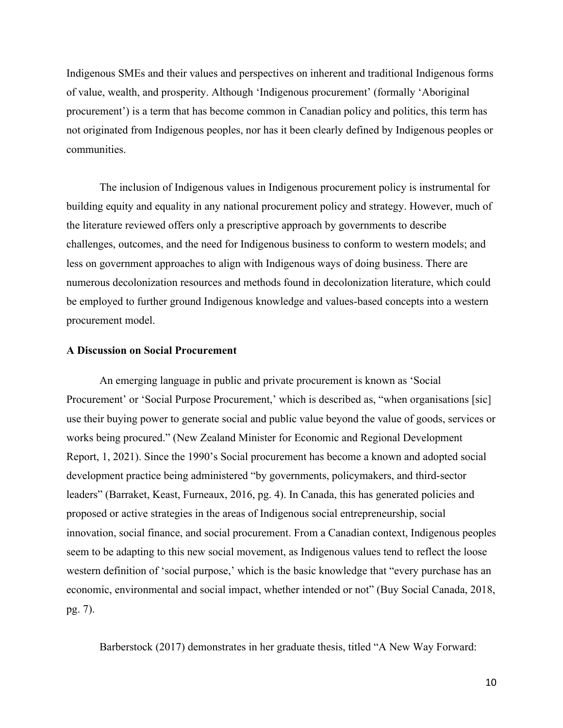Indigenous SMEs and their values and perspectives on inherent and traditional Indigenous forms of value, wealth, and prosperity. Although 'Indigenous procurement' (formally 'Aboriginal procurement') is a term that has become common in Canadian policy and politics, this term has not originated from Indigenous peoples, nor has it been clearly defined by Indigenous peoples or communities.

The inclusion of Indigenous values in Indigenous procurement policy is instrumental for building equity and equality in any national procurement policy and strategy. However, much of the literature reviewed offers only a prescriptive approach by governments to describe challenges, outcomes, and the need for Indigenous business to conform to western models; and less on government approaches to align with Indigenous ways of doing business. There are numerous decolonization resources and methods found in decolonization literature, which could be employed to further ground Indigenous knowledge and values-based concepts into a western procurement model.

## **A Discussion on Social Procurement**

An emerging language in public and private procurement is known as 'Social Procurement' or 'Social Purpose Procurement,' which is described as, "when organisations [sic] use their buying power to generate social and public value beyond the value of goods, services or works being procured." (New Zealand Minister for Economic and Regional Development Report, 1, 2021). Since the 1990's Social procurement has become a known and adopted social development practice being administered "by governments, policymakers, and third-sector leaders" (Barraket, Keast, Furneaux, 2016, pg. 4). In Canada, this has generated policies and proposed or active strategies in the areas of Indigenous social entrepreneurship, social innovation, social finance, and social procurement. From a Canadian context, Indigenous peoples seem to be adapting to this new social movement, as Indigenous values tend to reflect the loose western definition of 'social purpose,' which is the basic knowledge that "every purchase has an economic, environmental and social impact, whether intended or not" (Buy Social Canada, 2018, pg. 7).

Barberstock (2017) demonstrates in her graduate thesis, titled "A New Way Forward: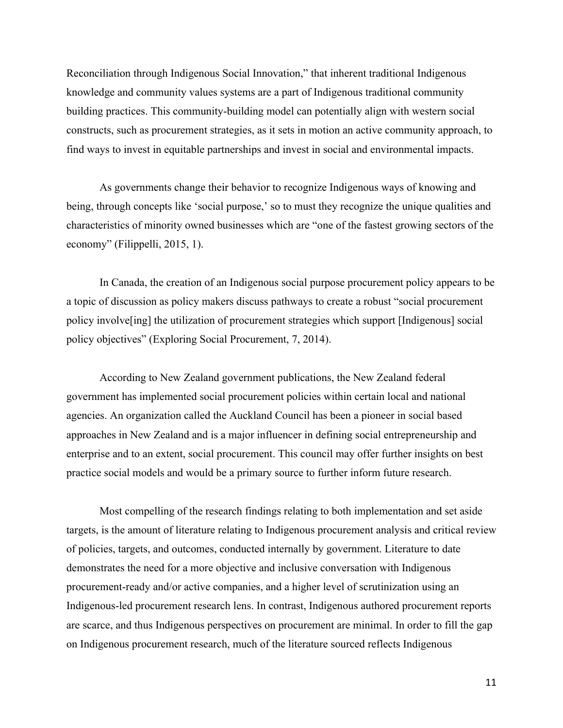Reconciliation through Indigenous Social Innovation," that inherent traditional Indigenous knowledge and community values systems are a part of Indigenous traditional community building practices. This community-building model can potentially align with western social constructs, such as procurement strategies, as it sets in motion an active community approach, to find ways to invest in equitable partnerships and invest in social and environmental impacts.

As governments change their behavior to recognize Indigenous ways of knowing and being, through concepts like 'social purpose,' so to must they recognize the unique qualities and characteristics of minority owned businesses which are "one of the fastest growing sectors of the economy" (Filippelli, 2015, 1).

In Canada, the creation of an Indigenous social purpose procurement policy appears to be a topic of discussion as policy makers discuss pathways to create a robust "social procurement policy involve[ing] the utilization of procurement strategies which support [Indigenous] social policy objectives" (Exploring Social Procurement, 7, 2014).

According to New Zealand government publications, the New Zealand federal government has implemented social procurement policies within certain local and national agencies. An organization called the Auckland Council has been a pioneer in social based approaches in New Zealand and is a major influencer in defining social entrepreneurship and enterprise and to an extent, social procurement. This council may offer further insights on best practice social models and would be a primary source to further inform future research.

Most compelling of the research findings relating to both implementation and set aside targets, is the amount of literature relating to Indigenous procurement analysis and critical review of policies, targets, and outcomes, conducted internally by government. Literature to date demonstrates the need for a more objective and inclusive conversation with Indigenous procurement-ready and/or active companies, and a higher level of scrutinization using an Indigenous-led procurement research lens. In contrast, Indigenous authored procurement reports are scarce, and thus Indigenous perspectives on procurement are minimal. In order to fill the gap on Indigenous procurement research, much of the literature sourced reflects Indigenous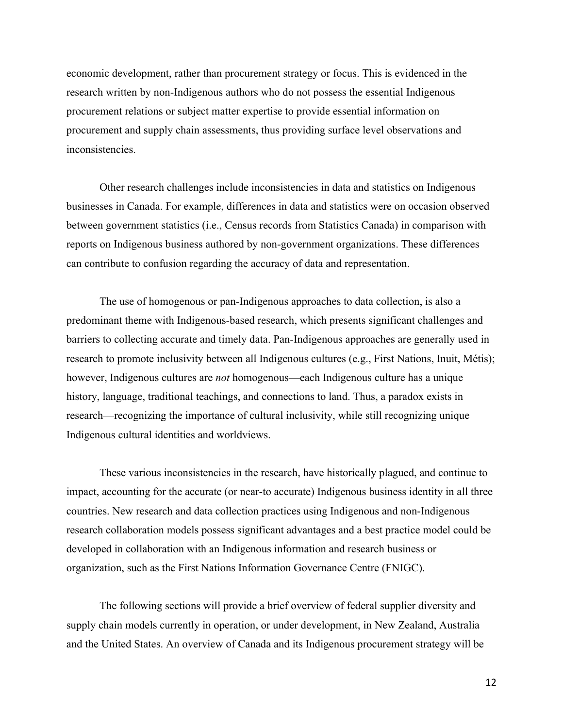economic development, rather than procurement strategy or focus. This is evidenced in the research written by non-Indigenous authors who do not possess the essential Indigenous procurement relations or subject matter expertise to provide essential information on procurement and supply chain assessments, thus providing surface level observations and inconsistencies.

Other research challenges include inconsistencies in data and statistics on Indigenous businesses in Canada. For example, differences in data and statistics were on occasion observed between government statistics (i.e., Census records from Statistics Canada) in comparison with reports on Indigenous business authored by non-government organizations. These differences can contribute to confusion regarding the accuracy of data and representation.

The use of homogenous or pan-Indigenous approaches to data collection, is also a predominant theme with Indigenous-based research, which presents significant challenges and barriers to collecting accurate and timely data. Pan-Indigenous approaches are generally used in research to promote inclusivity between all Indigenous cultures (e.g., First Nations, Inuit, Métis); however, Indigenous cultures are *not* homogenous—each Indigenous culture has a unique history, language, traditional teachings, and connections to land. Thus, a paradox exists in research—recognizing the importance of cultural inclusivity, while still recognizing unique Indigenous cultural identities and worldviews.

These various inconsistencies in the research, have historically plagued, and continue to impact, accounting for the accurate (or near-to accurate) Indigenous business identity in all three countries. New research and data collection practices using Indigenous and non-Indigenous research collaboration models possess significant advantages and a best practice model could be developed in collaboration with an Indigenous information and research business or organization, such as the First Nations Information Governance Centre (FNIGC).

The following sections will provide a brief overview of federal supplier diversity and supply chain models currently in operation, or under development, in New Zealand, Australia and the United States. An overview of Canada and its Indigenous procurement strategy will be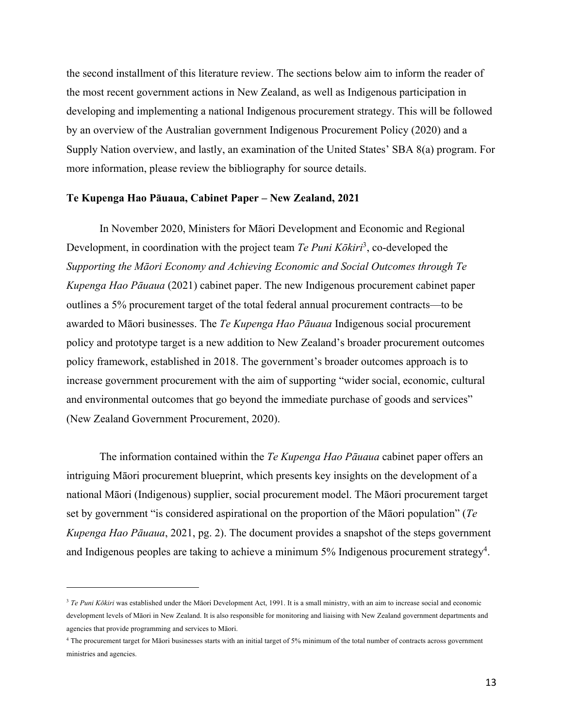the second installment of this literature review. The sections below aim to inform the reader of the most recent government actions in New Zealand, as well as Indigenous participation in developing and implementing a national Indigenous procurement strategy. This will be followed by an overview of the Australian government Indigenous Procurement Policy (2020) and a Supply Nation overview, and lastly, an examination of the United States' SBA 8(a) program. For more information, please review the bibliography for source details.

#### **Te Kupenga Hao Pāuaua, Cabinet Paper – New Zealand, 2021**

In November 2020, Ministers for Māori Development and Economic and Regional Development, in coordination with the project team *Te Puni Kōkiri*<sup>3</sup>, co-developed the *Supporting the Māori Economy and Achieving Economic and Social Outcomes through Te Kupenga Hao Pāuaua* (2021) cabinet paper. The new Indigenous procurement cabinet paper outlines a 5% procurement target of the total federal annual procurement contracts—to be awarded to Māori businesses. The *Te Kupenga Hao Pāuaua* Indigenous social procurement policy and prototype target is a new addition to New Zealand's broader procurement outcomes policy framework, established in 2018. The government's broader outcomes approach is to increase government procurement with the aim of supporting "wider social, economic, cultural and environmental outcomes that go beyond the immediate purchase of goods and services" (New Zealand Government Procurement, 2020).

The information contained within the *Te Kupenga Hao Pāuaua* cabinet paper offers an intriguing Māori procurement blueprint, which presents key insights on the development of a national Māori (Indigenous) supplier, social procurement model. The Māori procurement target set by government "is considered aspirational on the proportion of the Māori population" (*Te Kupenga Hao Pāuaua*, 2021, pg. 2). The document provides a snapshot of the steps government and Indigenous peoples are taking to achieve a minimum  $5\%$  Indigenous procurement strategy<sup>4</sup>.

<sup>&</sup>lt;sup>3</sup> *Te Puni Kōkiri* was established under the Māori Development Act, 1991. It is a small ministry, with an aim to increase social and economic development levels of Māori in New Zealand. It is also responsible for monitoring and liaising with New Zealand government departments and agencies that provide programming and services to Māori.

<sup>4</sup> The procurement target for Māori businesses starts with an initial target of 5% minimum of the total number of contracts across government ministries and agencies.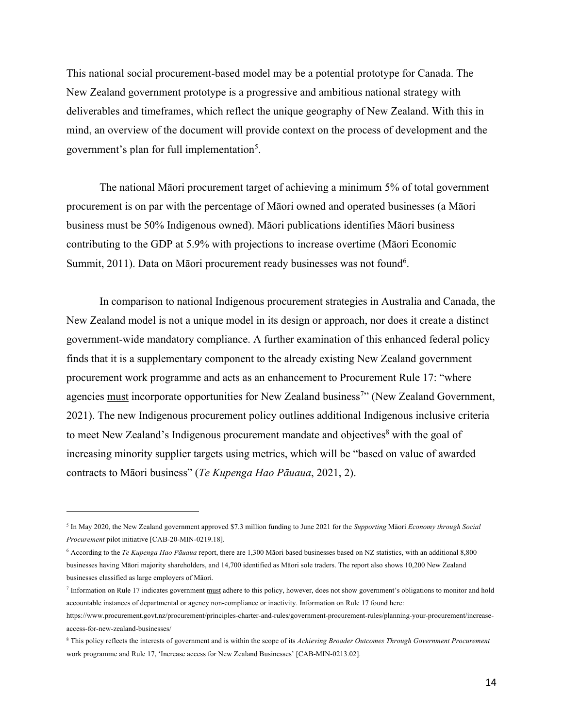This national social procurement-based model may be a potential prototype for Canada. The New Zealand government prototype is a progressive and ambitious national strategy with deliverables and timeframes, which reflect the unique geography of New Zealand. With this in mind, an overview of the document will provide context on the process of development and the government's plan for full implementation<sup>5</sup>.

The national Māori procurement target of achieving a minimum 5% of total government procurement is on par with the percentage of Māori owned and operated businesses (a Māori business must be 50% Indigenous owned). Māori publications identifies Māori business contributing to the GDP at 5.9% with projections to increase overtime (Māori Economic Summit, 2011). Data on Māori procurement ready businesses was not found<sup>6</sup>.

In comparison to national Indigenous procurement strategies in Australia and Canada, the New Zealand model is not a unique model in its design or approach, nor does it create a distinct government-wide mandatory compliance. A further examination of this enhanced federal policy finds that it is a supplementary component to the already existing New Zealand government procurement work programme and acts as an enhancement to Procurement Rule 17: "where agencies must incorporate opportunities for New Zealand business<sup>7</sup>" (New Zealand Government, 2021). The new Indigenous procurement policy outlines additional Indigenous inclusive criteria to meet New Zealand's Indigenous procurement mandate and objectives<sup>8</sup> with the goal of increasing minority supplier targets using metrics, which will be "based on value of awarded contracts to Māori business" (*Te Kupenga Hao Pāuaua*, 2021, 2).

<sup>5</sup> In May 2020, the New Zealand government approved \$7.3 million funding to June 2021 for the *Supporting* Māori *Economy through Social Procurement* pilot initiative [CAB-20-MIN-0219.18].

<sup>6</sup> According to the *Te Kupenga Hao Pāuaua* report, there are 1,300 Māori based businesses based on NZ statistics, with an additional 8,800 businesses having Māori majority shareholders, and 14,700 identified as Māori sole traders. The report also shows 10,200 New Zealand businesses classified as large employers of Māori.

<sup>&</sup>lt;sup>7</sup> Information on Rule 17 indicates government must adhere to this policy, however, does not show government's obligations to monitor and hold accountable instances of departmental or agency non-compliance or inactivity. Information on Rule 17 found here:

https://www.procurement.govt.nz/procurement/principles-charter-and-rules/government-procurement-rules/planning-your-procurement/increaseaccess-for-new-zealand-businesses/

<sup>8</sup> This policy reflects the interests of government and is within the scope of its *Achieving Broader Outcomes Through Government Procurement*  work programme and Rule 17, 'Increase access for New Zealand Businesses' [CAB-MIN-0213.02].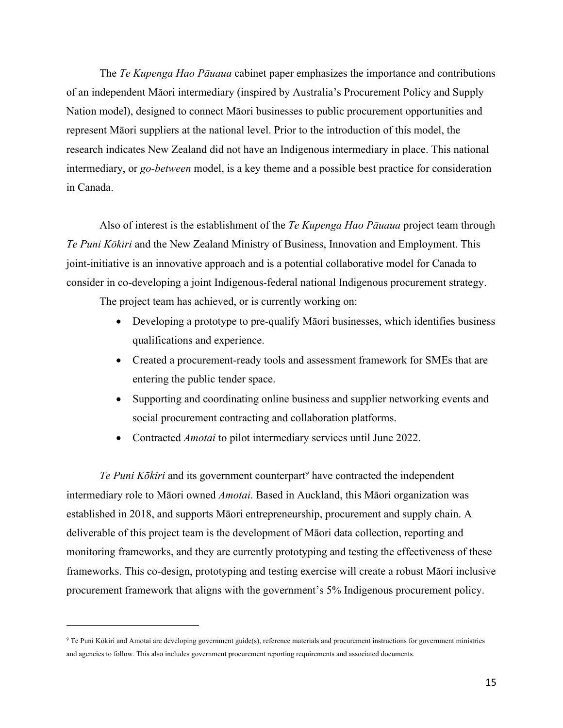The *Te Kupenga Hao Pāuaua* cabinet paper emphasizes the importance and contributions of an independent Māori intermediary (inspired by Australia's Procurement Policy and Supply Nation model), designed to connect Māori businesses to public procurement opportunities and represent Māori suppliers at the national level. Prior to the introduction of this model, the research indicates New Zealand did not have an Indigenous intermediary in place. This national intermediary, or *go-between* model, is a key theme and a possible best practice for consideration in Canada.

Also of interest is the establishment of the *Te Kupenga Hao Pāuaua* project team through *Te Puni Kōkiri* and the New Zealand Ministry of Business, Innovation and Employment. This joint-initiative is an innovative approach and is a potential collaborative model for Canada to consider in co-developing a joint Indigenous-federal national Indigenous procurement strategy.

The project team has achieved, or is currently working on:

- Developing a prototype to pre-qualify Māori businesses, which identifies business qualifications and experience.
- Created a procurement-ready tools and assessment framework for SMEs that are entering the public tender space.
- Supporting and coordinating online business and supplier networking events and social procurement contracting and collaboration platforms.
- Contracted *Amotai* to pilot intermediary services until June 2022.

*Te Puni Kōkiri* and its government counterpart<sup>9</sup> have contracted the independent intermediary role to Māori owned *Amotai*. Based in Auckland, this Māori organization was established in 2018, and supports Māori entrepreneurship, procurement and supply chain. A deliverable of this project team is the development of Māori data collection, reporting and monitoring frameworks, and they are currently prototyping and testing the effectiveness of these frameworks. This co-design, prototyping and testing exercise will create a robust Māori inclusive procurement framework that aligns with the government's 5% Indigenous procurement policy.

<sup>9</sup> Te Puni Kōkiri and Amotai are developing government guide(s), reference materials and procurement instructions for government ministries and agencies to follow. This also includes government procurement reporting requirements and associated documents.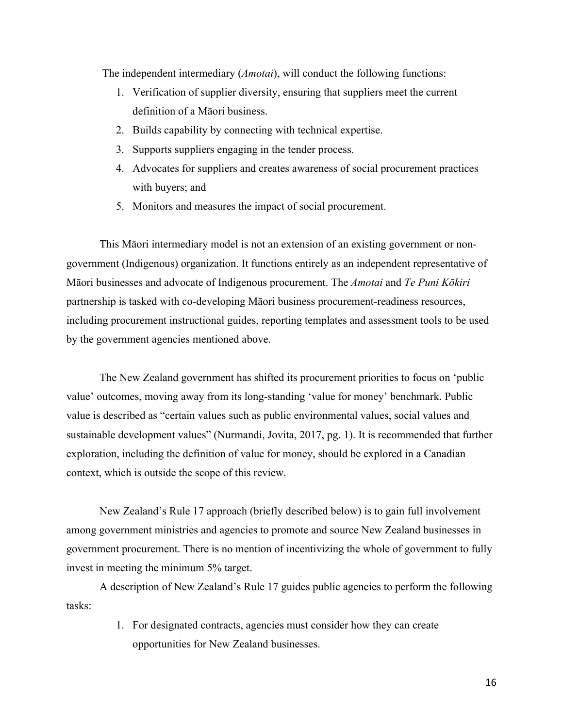The independent intermediary (*Amotai*), will conduct the following functions:

- 1. Verification of supplier diversity, ensuring that suppliers meet the current definition of a Māori business.
- 2. Builds capability by connecting with technical expertise.
- 3. Supports suppliers engaging in the tender process.
- 4. Advocates for suppliers and creates awareness of social procurement practices with buyers; and
- 5. Monitors and measures the impact of social procurement.

This Māori intermediary model is not an extension of an existing government or nongovernment (Indigenous) organization. It functions entirely as an independent representative of Māori businesses and advocate of Indigenous procurement. The *Amotai* and *Te Puni Kōkiri* partnership is tasked with co-developing Māori business procurement-readiness resources, including procurement instructional guides, reporting templates and assessment tools to be used by the government agencies mentioned above.

The New Zealand government has shifted its procurement priorities to focus on 'public value' outcomes, moving away from its long-standing 'value for money' benchmark. Public value is described as "certain values such as public environmental values, social values and sustainable development values" (Nurmandi, Jovita, 2017, pg. 1). It is recommended that further exploration, including the definition of value for money, should be explored in a Canadian context, which is outside the scope of this review.

New Zealand's Rule 17 approach (briefly described below) is to gain full involvement among government ministries and agencies to promote and source New Zealand businesses in government procurement. There is no mention of incentivizing the whole of government to fully invest in meeting the minimum 5% target.

A description of New Zealand's Rule 17 guides public agencies to perform the following tasks:

> 1. For designated contracts, agencies must consider how they can create opportunities for New Zealand businesses.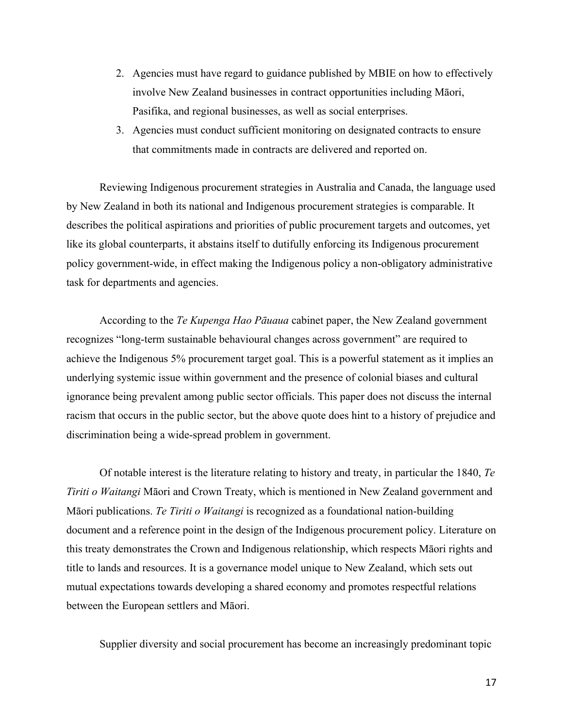- 2. Agencies must have regard to guidance published by MBIE on how to effectively involve New Zealand businesses in contract opportunities including Māori, Pasifika, and regional businesses, as well as social enterprises.
- 3. Agencies must conduct sufficient monitoring on designated contracts to ensure that commitments made in contracts are delivered and reported on.

Reviewing Indigenous procurement strategies in Australia and Canada, the language used by New Zealand in both its national and Indigenous procurement strategies is comparable. It describes the political aspirations and priorities of public procurement targets and outcomes, yet like its global counterparts, it abstains itself to dutifully enforcing its Indigenous procurement policy government-wide, in effect making the Indigenous policy a non-obligatory administrative task for departments and agencies.

According to the *Te Kupenga Hao Pāuaua* cabinet paper, the New Zealand government recognizes "long-term sustainable behavioural changes across government" are required to achieve the Indigenous 5% procurement target goal. This is a powerful statement as it implies an underlying systemic issue within government and the presence of colonial biases and cultural ignorance being prevalent among public sector officials. This paper does not discuss the internal racism that occurs in the public sector, but the above quote does hint to a history of prejudice and discrimination being a wide-spread problem in government.

Of notable interest is the literature relating to history and treaty, in particular the 1840, *Te Tiriti o Waitangi* Māori and Crown Treaty, which is mentioned in New Zealand government and Māori publications. *Te Tiriti o Waitangi* is recognized as a foundational nation-building document and a reference point in the design of the Indigenous procurement policy. Literature on this treaty demonstrates the Crown and Indigenous relationship, which respects Māori rights and title to lands and resources. It is a governance model unique to New Zealand, which sets out mutual expectations towards developing a shared economy and promotes respectful relations between the European settlers and Māori.

Supplier diversity and social procurement has become an increasingly predominant topic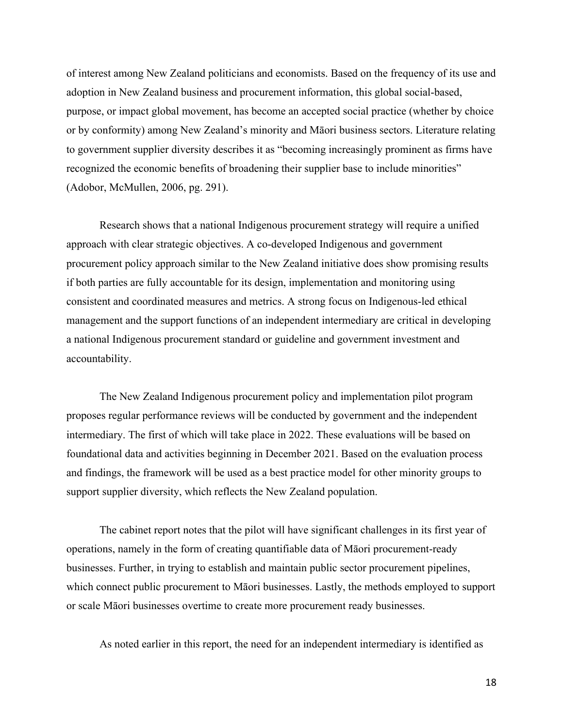of interest among New Zealand politicians and economists. Based on the frequency of its use and adoption in New Zealand business and procurement information, this global social-based, purpose, or impact global movement, has become an accepted social practice (whether by choice or by conformity) among New Zealand's minority and Māori business sectors. Literature relating to government supplier diversity describes it as "becoming increasingly prominent as firms have recognized the economic benefits of broadening their supplier base to include minorities" (Adobor, McMullen, 2006, pg. 291).

Research shows that a national Indigenous procurement strategy will require a unified approach with clear strategic objectives. A co-developed Indigenous and government procurement policy approach similar to the New Zealand initiative does show promising results if both parties are fully accountable for its design, implementation and monitoring using consistent and coordinated measures and metrics. A strong focus on Indigenous-led ethical management and the support functions of an independent intermediary are critical in developing a national Indigenous procurement standard or guideline and government investment and accountability.

The New Zealand Indigenous procurement policy and implementation pilot program proposes regular performance reviews will be conducted by government and the independent intermediary. The first of which will take place in 2022. These evaluations will be based on foundational data and activities beginning in December 2021. Based on the evaluation process and findings, the framework will be used as a best practice model for other minority groups to support supplier diversity, which reflects the New Zealand population.

The cabinet report notes that the pilot will have significant challenges in its first year of operations, namely in the form of creating quantifiable data of Māori procurement-ready businesses. Further, in trying to establish and maintain public sector procurement pipelines, which connect public procurement to Māori businesses. Lastly, the methods employed to support or scale Māori businesses overtime to create more procurement ready businesses.

As noted earlier in this report, the need for an independent intermediary is identified as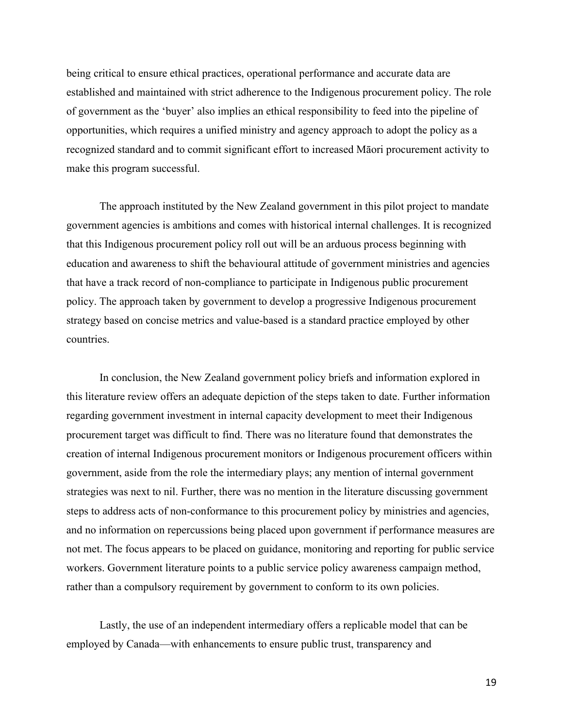being critical to ensure ethical practices, operational performance and accurate data are established and maintained with strict adherence to the Indigenous procurement policy. The role of government as the 'buyer' also implies an ethical responsibility to feed into the pipeline of opportunities, which requires a unified ministry and agency approach to adopt the policy as a recognized standard and to commit significant effort to increased Māori procurement activity to make this program successful.

The approach instituted by the New Zealand government in this pilot project to mandate government agencies is ambitions and comes with historical internal challenges. It is recognized that this Indigenous procurement policy roll out will be an arduous process beginning with education and awareness to shift the behavioural attitude of government ministries and agencies that have a track record of non-compliance to participate in Indigenous public procurement policy. The approach taken by government to develop a progressive Indigenous procurement strategy based on concise metrics and value-based is a standard practice employed by other countries.

In conclusion, the New Zealand government policy briefs and information explored in this literature review offers an adequate depiction of the steps taken to date. Further information regarding government investment in internal capacity development to meet their Indigenous procurement target was difficult to find. There was no literature found that demonstrates the creation of internal Indigenous procurement monitors or Indigenous procurement officers within government, aside from the role the intermediary plays; any mention of internal government strategies was next to nil. Further, there was no mention in the literature discussing government steps to address acts of non-conformance to this procurement policy by ministries and agencies, and no information on repercussions being placed upon government if performance measures are not met. The focus appears to be placed on guidance, monitoring and reporting for public service workers. Government literature points to a public service policy awareness campaign method, rather than a compulsory requirement by government to conform to its own policies.

Lastly, the use of an independent intermediary offers a replicable model that can be employed by Canada—with enhancements to ensure public trust, transparency and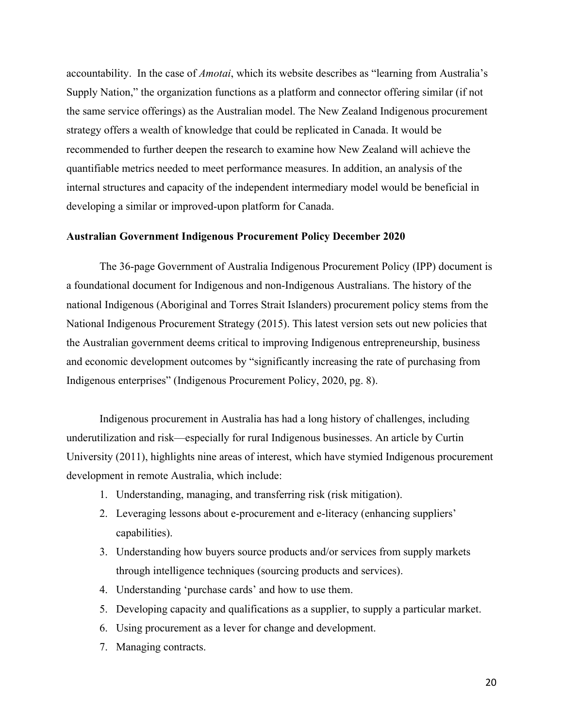accountability. In the case of *Amotai*, which its website describes as "learning from Australia's Supply Nation," the organization functions as a platform and connector offering similar (if not the same service offerings) as the Australian model. The New Zealand Indigenous procurement strategy offers a wealth of knowledge that could be replicated in Canada. It would be recommended to further deepen the research to examine how New Zealand will achieve the quantifiable metrics needed to meet performance measures. In addition, an analysis of the internal structures and capacity of the independent intermediary model would be beneficial in developing a similar or improved-upon platform for Canada.

#### **Australian Government Indigenous Procurement Policy December 2020**

The 36-page Government of Australia Indigenous Procurement Policy (IPP) document is a foundational document for Indigenous and non-Indigenous Australians. The history of the national Indigenous (Aboriginal and Torres Strait Islanders) procurement policy stems from the National Indigenous Procurement Strategy (2015). This latest version sets out new policies that the Australian government deems critical to improving Indigenous entrepreneurship, business and economic development outcomes by "significantly increasing the rate of purchasing from Indigenous enterprises" (Indigenous Procurement Policy, 2020, pg. 8).

Indigenous procurement in Australia has had a long history of challenges, including underutilization and risk—especially for rural Indigenous businesses. An article by Curtin University (2011), highlights nine areas of interest, which have stymied Indigenous procurement development in remote Australia, which include:

- 1. Understanding, managing, and transferring risk (risk mitigation).
- 2. Leveraging lessons about e-procurement and e-literacy (enhancing suppliers' capabilities).
- 3. Understanding how buyers source products and/or services from supply markets through intelligence techniques (sourcing products and services).
- 4. Understanding 'purchase cards' and how to use them.
- 5. Developing capacity and qualifications as a supplier, to supply a particular market.
- 6. Using procurement as a lever for change and development.
- 7. Managing contracts.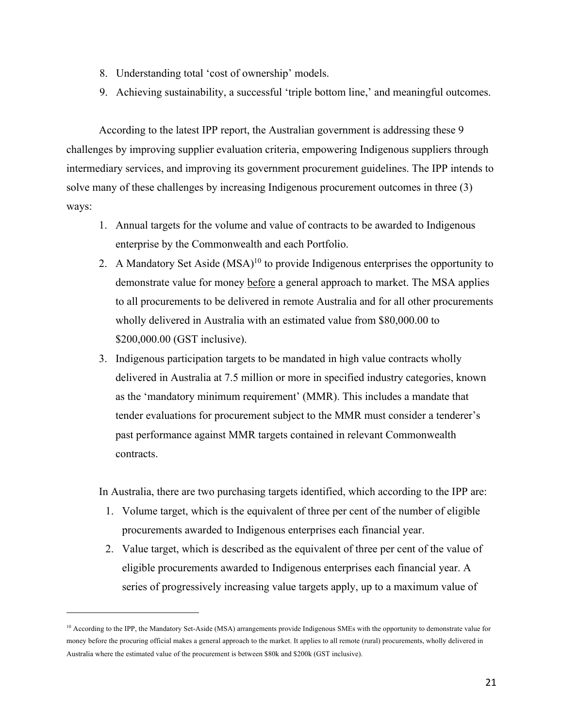- 8. Understanding total 'cost of ownership' models.
- 9. Achieving sustainability, a successful 'triple bottom line,' and meaningful outcomes.

According to the latest IPP report, the Australian government is addressing these 9 challenges by improving supplier evaluation criteria, empowering Indigenous suppliers through intermediary services, and improving its government procurement guidelines. The IPP intends to solve many of these challenges by increasing Indigenous procurement outcomes in three (3) ways:

- 1. Annual targets for the volume and value of contracts to be awarded to Indigenous enterprise by the Commonwealth and each Portfolio.
- 2. A Mandatory Set Aside (MSA)<sup>10</sup> to provide Indigenous enterprises the opportunity to demonstrate value for money before a general approach to market. The MSA applies to all procurements to be delivered in remote Australia and for all other procurements wholly delivered in Australia with an estimated value from \$80,000.00 to \$200,000.00 (GST inclusive).
- 3. Indigenous participation targets to be mandated in high value contracts wholly delivered in Australia at 7.5 million or more in specified industry categories, known as the 'mandatory minimum requirement' (MMR). This includes a mandate that tender evaluations for procurement subject to the MMR must consider a tenderer's past performance against MMR targets contained in relevant Commonwealth contracts.

In Australia, there are two purchasing targets identified, which according to the IPP are:

- 1. Volume target, which is the equivalent of three per cent of the number of eligible procurements awarded to Indigenous enterprises each financial year.
- 2. Value target, which is described as the equivalent of three per cent of the value of eligible procurements awarded to Indigenous enterprises each financial year. A series of progressively increasing value targets apply, up to a maximum value of

<sup>&</sup>lt;sup>10</sup> According to the IPP, the Mandatory Set-Aside (MSA) arrangements provide Indigenous SMEs with the opportunity to demonstrate value for money before the procuring official makes a general approach to the market. It applies to all remote (rural) procurements, wholly delivered in Australia where the estimated value of the procurement is between \$80k and \$200k (GST inclusive).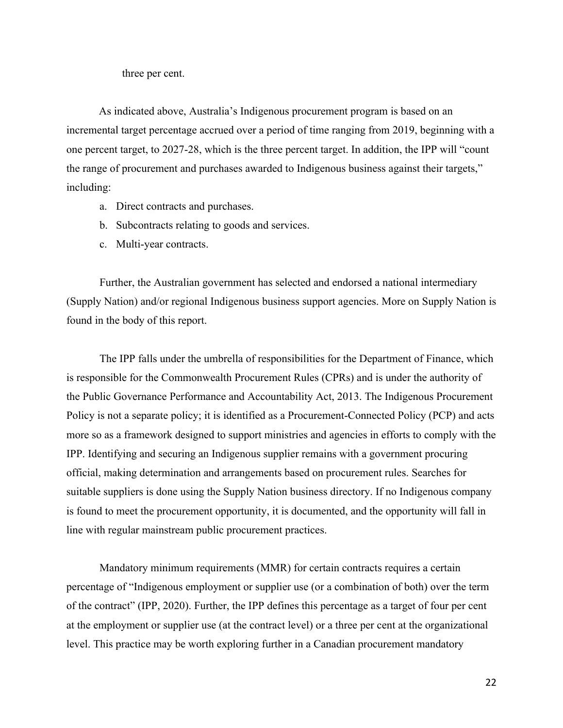three per cent.

As indicated above, Australia's Indigenous procurement program is based on an incremental target percentage accrued over a period of time ranging from 2019, beginning with a one percent target, to 2027-28, which is the three percent target. In addition, the IPP will "count the range of procurement and purchases awarded to Indigenous business against their targets," including:

- a. Direct contracts and purchases.
- b. Subcontracts relating to goods and services.
- c. Multi-year contracts.

Further, the Australian government has selected and endorsed a national intermediary (Supply Nation) and/or regional Indigenous business support agencies. More on Supply Nation is found in the body of this report.

The IPP falls under the umbrella of responsibilities for the Department of Finance, which is responsible for the Commonwealth Procurement Rules (CPRs) and is under the authority of the Public Governance Performance and Accountability Act, 2013. The Indigenous Procurement Policy is not a separate policy; it is identified as a Procurement-Connected Policy (PCP) and acts more so as a framework designed to support ministries and agencies in efforts to comply with the IPP. Identifying and securing an Indigenous supplier remains with a government procuring official, making determination and arrangements based on procurement rules. Searches for suitable suppliers is done using the Supply Nation business directory. If no Indigenous company is found to meet the procurement opportunity, it is documented, and the opportunity will fall in line with regular mainstream public procurement practices.

Mandatory minimum requirements (MMR) for certain contracts requires a certain percentage of "Indigenous employment or supplier use (or a combination of both) over the term of the contract" (IPP, 2020). Further, the IPP defines this percentage as a target of four per cent at the employment or supplier use (at the contract level) or a three per cent at the organizational level. This practice may be worth exploring further in a Canadian procurement mandatory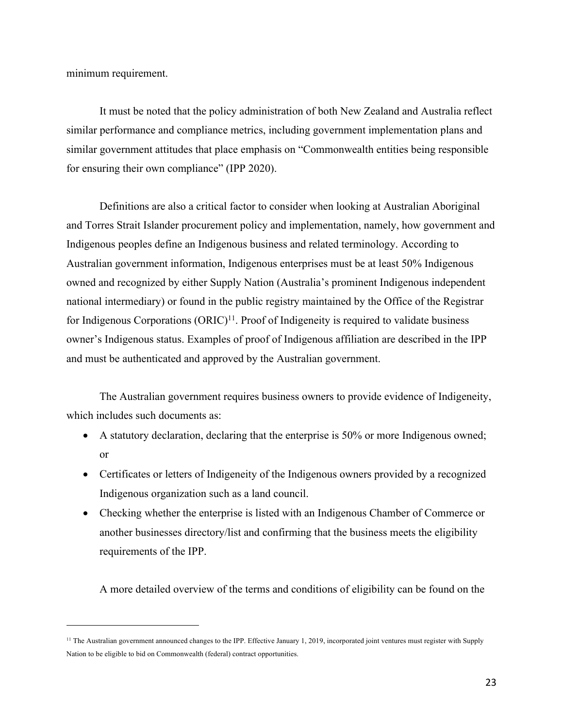minimum requirement.

It must be noted that the policy administration of both New Zealand and Australia reflect similar performance and compliance metrics, including government implementation plans and similar government attitudes that place emphasis on "Commonwealth entities being responsible for ensuring their own compliance" (IPP 2020).

Definitions are also a critical factor to consider when looking at Australian Aboriginal and Torres Strait Islander procurement policy and implementation, namely, how government and Indigenous peoples define an Indigenous business and related terminology. According to Australian government information, Indigenous enterprises must be at least 50% Indigenous owned and recognized by either Supply Nation (Australia's prominent Indigenous independent national intermediary) or found in the public registry maintained by the Office of the Registrar for Indigenous Corporations  $(ORIC)^{11}$ . Proof of Indigeneity is required to validate business owner's Indigenous status. Examples of proof of Indigenous affiliation are described in the IPP and must be authenticated and approved by the Australian government.

The Australian government requires business owners to provide evidence of Indigeneity, which includes such documents as:

- A statutory declaration, declaring that the enterprise is 50% or more Indigenous owned; or
- Certificates or letters of Indigeneity of the Indigenous owners provided by a recognized Indigenous organization such as a land council.
- Checking whether the enterprise is listed with an Indigenous Chamber of Commerce or another businesses directory/list and confirming that the business meets the eligibility requirements of the IPP.

A more detailed overview of the terms and conditions of eligibility can be found on the

<sup>&</sup>lt;sup>11</sup> The Australian government announced changes to the IPP. Effective January 1, 2019, incorporated joint ventures must register with Supply Nation to be eligible to bid on Commonwealth (federal) contract opportunities.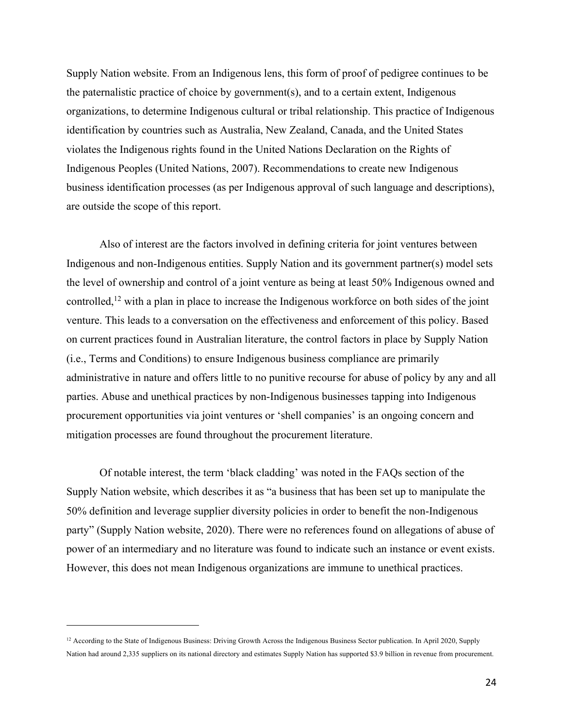Supply Nation website. From an Indigenous lens, this form of proof of pedigree continues to be the paternalistic practice of choice by government(s), and to a certain extent, Indigenous organizations, to determine Indigenous cultural or tribal relationship. This practice of Indigenous identification by countries such as Australia, New Zealand, Canada, and the United States violates the Indigenous rights found in the United Nations Declaration on the Rights of Indigenous Peoples (United Nations, 2007). Recommendations to create new Indigenous business identification processes (as per Indigenous approval of such language and descriptions), are outside the scope of this report.

Also of interest are the factors involved in defining criteria for joint ventures between Indigenous and non-Indigenous entities. Supply Nation and its government partner(s) model sets the level of ownership and control of a joint venture as being at least 50% Indigenous owned and controlled,<sup>12</sup> with a plan in place to increase the Indigenous workforce on both sides of the joint venture. This leads to a conversation on the effectiveness and enforcement of this policy. Based on current practices found in Australian literature, the control factors in place by Supply Nation (i.e., Terms and Conditions) to ensure Indigenous business compliance are primarily administrative in nature and offers little to no punitive recourse for abuse of policy by any and all parties. Abuse and unethical practices by non-Indigenous businesses tapping into Indigenous procurement opportunities via joint ventures or 'shell companies' is an ongoing concern and mitigation processes are found throughout the procurement literature.

Of notable interest, the term 'black cladding' was noted in the FAQs section of the Supply Nation website, which describes it as "a business that has been set up to manipulate the 50% definition and leverage supplier diversity policies in order to benefit the non-Indigenous party" (Supply Nation website, 2020). There were no references found on allegations of abuse of power of an intermediary and no literature was found to indicate such an instance or event exists. However, this does not mean Indigenous organizations are immune to unethical practices.

<sup>&</sup>lt;sup>12</sup> According to the State of Indigenous Business: Driving Growth Across the Indigenous Business Sector publication. In April 2020, Supply Nation had around 2,335 suppliers on its national directory and estimates Supply Nation has supported \$3.9 billion in revenue from procurement.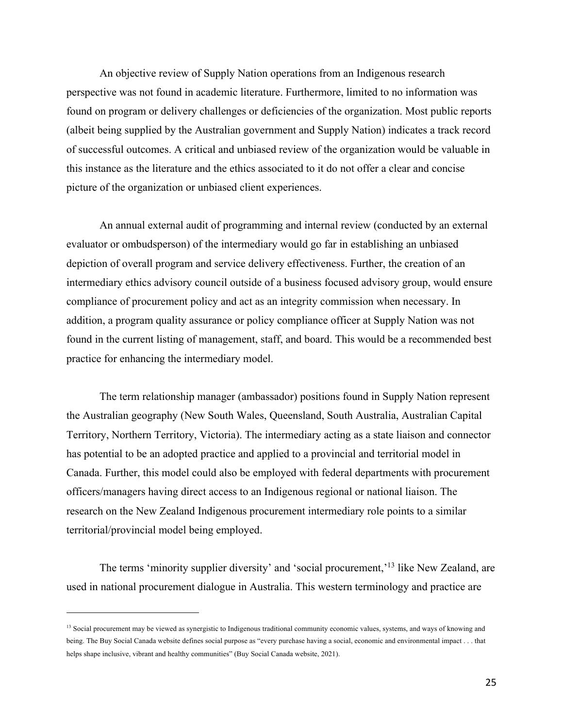An objective review of Supply Nation operations from an Indigenous research perspective was not found in academic literature. Furthermore, limited to no information was found on program or delivery challenges or deficiencies of the organization. Most public reports (albeit being supplied by the Australian government and Supply Nation) indicates a track record of successful outcomes. A critical and unbiased review of the organization would be valuable in this instance as the literature and the ethics associated to it do not offer a clear and concise picture of the organization or unbiased client experiences.

An annual external audit of programming and internal review (conducted by an external evaluator or ombudsperson) of the intermediary would go far in establishing an unbiased depiction of overall program and service delivery effectiveness. Further, the creation of an intermediary ethics advisory council outside of a business focused advisory group, would ensure compliance of procurement policy and act as an integrity commission when necessary. In addition, a program quality assurance or policy compliance officer at Supply Nation was not found in the current listing of management, staff, and board. This would be a recommended best practice for enhancing the intermediary model.

The term relationship manager (ambassador) positions found in Supply Nation represent the Australian geography (New South Wales, Queensland, South Australia, Australian Capital Territory, Northern Territory, Victoria). The intermediary acting as a state liaison and connector has potential to be an adopted practice and applied to a provincial and territorial model in Canada. Further, this model could also be employed with federal departments with procurement officers/managers having direct access to an Indigenous regional or national liaison. The research on the New Zealand Indigenous procurement intermediary role points to a similar territorial/provincial model being employed.

The terms 'minority supplier diversity' and 'social procurement,<sup>'13</sup> like New Zealand, are used in national procurement dialogue in Australia. This western terminology and practice are

<sup>&</sup>lt;sup>13</sup> Social procurement may be viewed as synergistic to Indigenous traditional community economic values, systems, and ways of knowing and being. The Buy Social Canada website defines social purpose as "every purchase having a social, economic and environmental impact . . . that helps shape inclusive, vibrant and healthy communities" (Buy Social Canada website, 2021).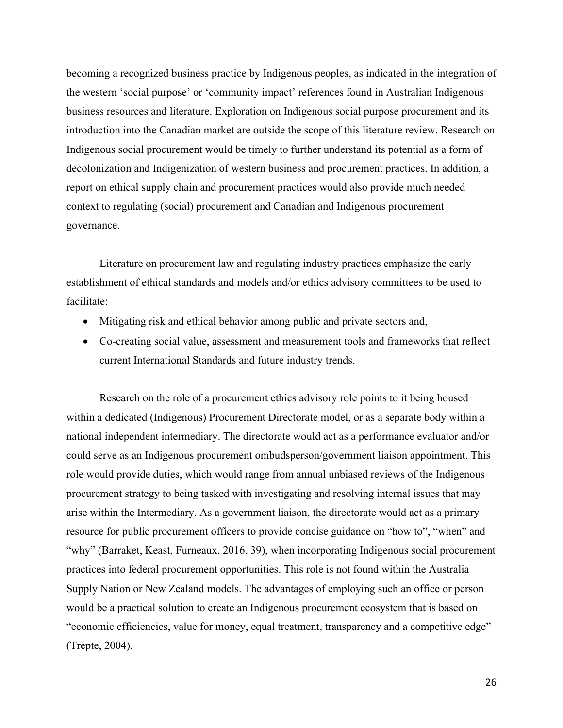becoming a recognized business practice by Indigenous peoples, as indicated in the integration of the western 'social purpose' or 'community impact' references found in Australian Indigenous business resources and literature. Exploration on Indigenous social purpose procurement and its introduction into the Canadian market are outside the scope of this literature review. Research on Indigenous social procurement would be timely to further understand its potential as a form of decolonization and Indigenization of western business and procurement practices. In addition, a report on ethical supply chain and procurement practices would also provide much needed context to regulating (social) procurement and Canadian and Indigenous procurement governance.

Literature on procurement law and regulating industry practices emphasize the early establishment of ethical standards and models and/or ethics advisory committees to be used to facilitate:

- Mitigating risk and ethical behavior among public and private sectors and,
- Co-creating social value, assessment and measurement tools and frameworks that reflect current International Standards and future industry trends.

Research on the role of a procurement ethics advisory role points to it being housed within a dedicated (Indigenous) Procurement Directorate model, or as a separate body within a national independent intermediary. The directorate would act as a performance evaluator and/or could serve as an Indigenous procurement ombudsperson/government liaison appointment. This role would provide duties, which would range from annual unbiased reviews of the Indigenous procurement strategy to being tasked with investigating and resolving internal issues that may arise within the Intermediary. As a government liaison, the directorate would act as a primary resource for public procurement officers to provide concise guidance on "how to", "when" and "why" (Barraket, Keast, Furneaux, 2016, 39), when incorporating Indigenous social procurement practices into federal procurement opportunities. This role is not found within the Australia Supply Nation or New Zealand models. The advantages of employing such an office or person would be a practical solution to create an Indigenous procurement ecosystem that is based on "economic efficiencies, value for money, equal treatment, transparency and a competitive edge" (Trepte, 2004).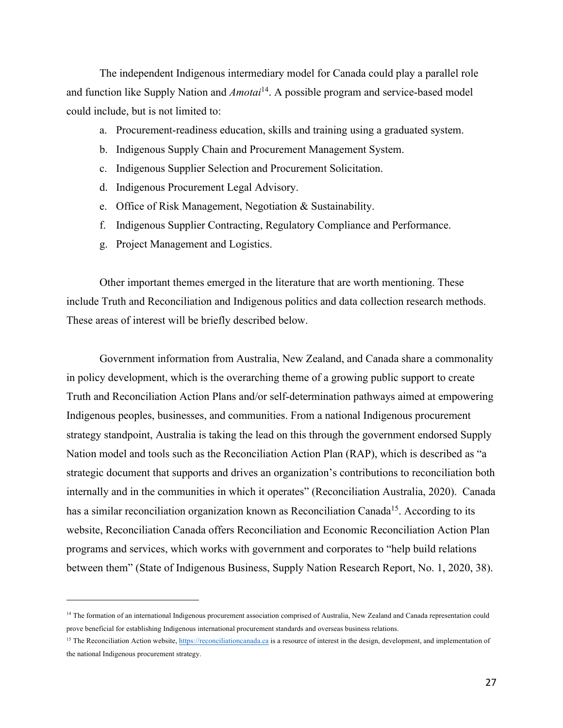The independent Indigenous intermediary model for Canada could play a parallel role and function like Supply Nation and *Amotai*14. A possible program and service-based model could include, but is not limited to:

- a. Procurement-readiness education, skills and training using a graduated system.
- b. Indigenous Supply Chain and Procurement Management System.
- c. Indigenous Supplier Selection and Procurement Solicitation.
- d. Indigenous Procurement Legal Advisory.
- e. Office of Risk Management, Negotiation & Sustainability.
- f. Indigenous Supplier Contracting, Regulatory Compliance and Performance.
- g. Project Management and Logistics.

Other important themes emerged in the literature that are worth mentioning. These include Truth and Reconciliation and Indigenous politics and data collection research methods. These areas of interest will be briefly described below.

Government information from Australia, New Zealand, and Canada share a commonality in policy development, which is the overarching theme of a growing public support to create Truth and Reconciliation Action Plans and/or self-determination pathways aimed at empowering Indigenous peoples, businesses, and communities. From a national Indigenous procurement strategy standpoint, Australia is taking the lead on this through the government endorsed Supply Nation model and tools such as the Reconciliation Action Plan (RAP), which is described as "a strategic document that supports and drives an organization's contributions to reconciliation both internally and in the communities in which it operates" (Reconciliation Australia, 2020). Canada has a similar reconciliation organization known as Reconciliation Canada<sup>15</sup>. According to its website, Reconciliation Canada offers Reconciliation and Economic Reconciliation Action Plan programs and services, which works with government and corporates to "help build relations between them" (State of Indigenous Business, Supply Nation Research Report, No. 1, 2020, 38).

<sup>&</sup>lt;sup>14</sup> The formation of an international Indigenous procurement association comprised of Australia, New Zealand and Canada representation could prove beneficial for establishing Indigenous international procurement standards and overseas business relations.

<sup>&</sup>lt;sup>15</sup> The Reconciliation Action website, https://reconciliationcanada.ca is a resource of interest in the design, development, and implementation of the national Indigenous procurement strategy.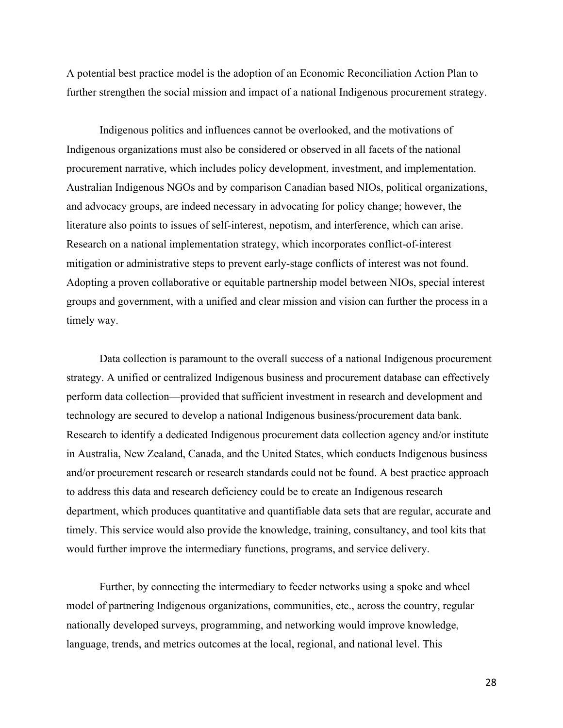A potential best practice model is the adoption of an Economic Reconciliation Action Plan to further strengthen the social mission and impact of a national Indigenous procurement strategy.

Indigenous politics and influences cannot be overlooked, and the motivations of Indigenous organizations must also be considered or observed in all facets of the national procurement narrative, which includes policy development, investment, and implementation. Australian Indigenous NGOs and by comparison Canadian based NIOs, political organizations, and advocacy groups, are indeed necessary in advocating for policy change; however, the literature also points to issues of self-interest, nepotism, and interference, which can arise. Research on a national implementation strategy, which incorporates conflict-of-interest mitigation or administrative steps to prevent early-stage conflicts of interest was not found. Adopting a proven collaborative or equitable partnership model between NIOs, special interest groups and government, with a unified and clear mission and vision can further the process in a timely way.

Data collection is paramount to the overall success of a national Indigenous procurement strategy. A unified or centralized Indigenous business and procurement database can effectively perform data collection—provided that sufficient investment in research and development and technology are secured to develop a national Indigenous business/procurement data bank. Research to identify a dedicated Indigenous procurement data collection agency and/or institute in Australia, New Zealand, Canada, and the United States, which conducts Indigenous business and/or procurement research or research standards could not be found. A best practice approach to address this data and research deficiency could be to create an Indigenous research department, which produces quantitative and quantifiable data sets that are regular, accurate and timely. This service would also provide the knowledge, training, consultancy, and tool kits that would further improve the intermediary functions, programs, and service delivery.

Further, by connecting the intermediary to feeder networks using a spoke and wheel model of partnering Indigenous organizations, communities, etc., across the country, regular nationally developed surveys, programming, and networking would improve knowledge, language, trends, and metrics outcomes at the local, regional, and national level. This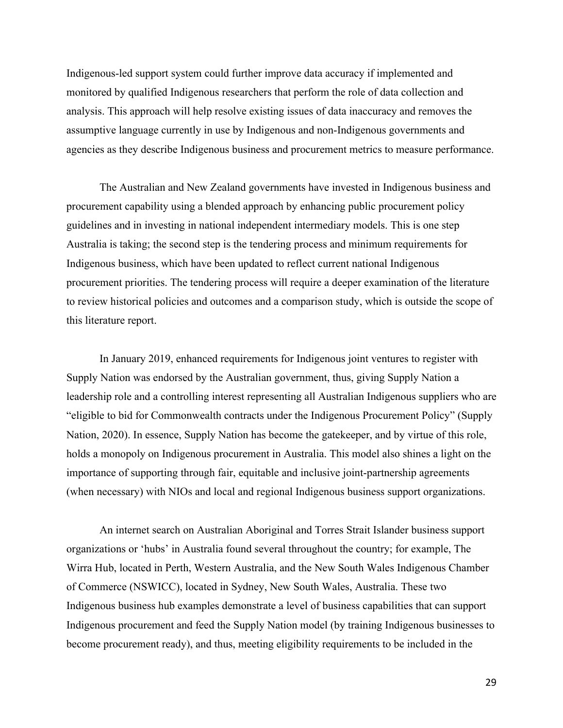Indigenous-led support system could further improve data accuracy if implemented and monitored by qualified Indigenous researchers that perform the role of data collection and analysis. This approach will help resolve existing issues of data inaccuracy and removes the assumptive language currently in use by Indigenous and non-Indigenous governments and agencies as they describe Indigenous business and procurement metrics to measure performance.

The Australian and New Zealand governments have invested in Indigenous business and procurement capability using a blended approach by enhancing public procurement policy guidelines and in investing in national independent intermediary models. This is one step Australia is taking; the second step is the tendering process and minimum requirements for Indigenous business, which have been updated to reflect current national Indigenous procurement priorities. The tendering process will require a deeper examination of the literature to review historical policies and outcomes and a comparison study, which is outside the scope of this literature report.

In January 2019, enhanced requirements for Indigenous joint ventures to register with Supply Nation was endorsed by the Australian government, thus, giving Supply Nation a leadership role and a controlling interest representing all Australian Indigenous suppliers who are "eligible to bid for Commonwealth contracts under the Indigenous Procurement Policy" (Supply Nation, 2020). In essence, Supply Nation has become the gatekeeper, and by virtue of this role, holds a monopoly on Indigenous procurement in Australia. This model also shines a light on the importance of supporting through fair, equitable and inclusive joint-partnership agreements (when necessary) with NIOs and local and regional Indigenous business support organizations.

An internet search on Australian Aboriginal and Torres Strait Islander business support organizations or 'hubs' in Australia found several throughout the country; for example, The Wirra Hub, located in Perth, Western Australia, and the New South Wales Indigenous Chamber of Commerce (NSWICC), located in Sydney, New South Wales, Australia. These two Indigenous business hub examples demonstrate a level of business capabilities that can support Indigenous procurement and feed the Supply Nation model (by training Indigenous businesses to become procurement ready), and thus, meeting eligibility requirements to be included in the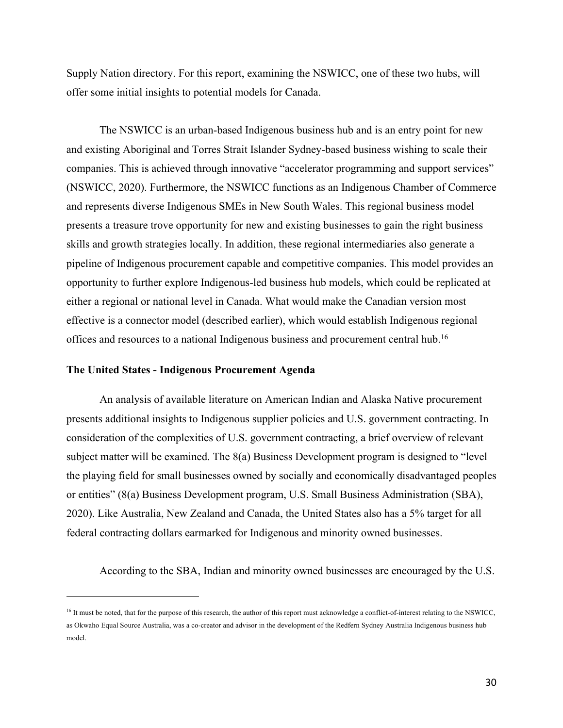Supply Nation directory. For this report, examining the NSWICC, one of these two hubs, will offer some initial insights to potential models for Canada.

The NSWICC is an urban-based Indigenous business hub and is an entry point for new and existing Aboriginal and Torres Strait Islander Sydney-based business wishing to scale their companies. This is achieved through innovative "accelerator programming and support services" (NSWICC, 2020). Furthermore, the NSWICC functions as an Indigenous Chamber of Commerce and represents diverse Indigenous SMEs in New South Wales. This regional business model presents a treasure trove opportunity for new and existing businesses to gain the right business skills and growth strategies locally. In addition, these regional intermediaries also generate a pipeline of Indigenous procurement capable and competitive companies. This model provides an opportunity to further explore Indigenous-led business hub models, which could be replicated at either a regional or national level in Canada. What would make the Canadian version most effective is a connector model (described earlier), which would establish Indigenous regional offices and resources to a national Indigenous business and procurement central hub.<sup>16</sup>

## **The United States - Indigenous Procurement Agenda**

An analysis of available literature on American Indian and Alaska Native procurement presents additional insights to Indigenous supplier policies and U.S. government contracting. In consideration of the complexities of U.S. government contracting, a brief overview of relevant subject matter will be examined. The 8(a) Business Development program is designed to "level the playing field for small businesses owned by socially and economically disadvantaged peoples or entities" (8(a) Business Development program, U.S. Small Business Administration (SBA), 2020). Like Australia, New Zealand and Canada, the United States also has a 5% target for all federal contracting dollars earmarked for Indigenous and minority owned businesses.

According to the SBA, Indian and minority owned businesses are encouraged by the U.S.

<sup>&</sup>lt;sup>16</sup> It must be noted, that for the purpose of this research, the author of this report must acknowledge a conflict-of-interest relating to the NSWICC, as Okwaho Equal Source Australia, was a co-creator and advisor in the development of the Redfern Sydney Australia Indigenous business hub model.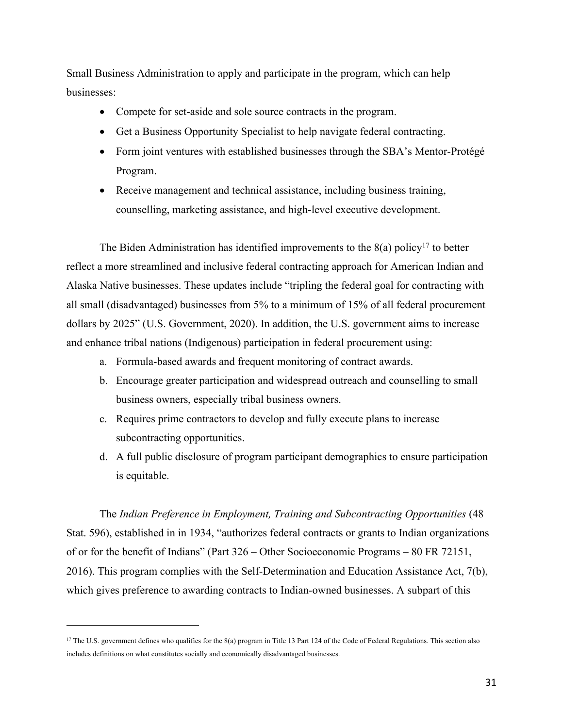Small Business Administration to apply and participate in the program, which can help businesses:

- Compete for set-aside and sole source contracts in the program.
- Get a Business Opportunity Specialist to help navigate federal contracting.
- Form joint ventures with established businesses through the SBA's Mentor-Protégé Program.
- Receive management and technical assistance, including business training, counselling, marketing assistance, and high-level executive development.

The Biden Administration has identified improvements to the  $8(a)$  policy<sup>17</sup> to better reflect a more streamlined and inclusive federal contracting approach for American Indian and Alaska Native businesses. These updates include "tripling the federal goal for contracting with all small (disadvantaged) businesses from 5% to a minimum of 15% of all federal procurement dollars by 2025" (U.S. Government, 2020). In addition, the U.S. government aims to increase and enhance tribal nations (Indigenous) participation in federal procurement using:

- a. Formula-based awards and frequent monitoring of contract awards.
- b. Encourage greater participation and widespread outreach and counselling to small business owners, especially tribal business owners.
- c. Requires prime contractors to develop and fully execute plans to increase subcontracting opportunities.
- d. A full public disclosure of program participant demographics to ensure participation is equitable.

The *Indian Preference in Employment, Training and Subcontracting Opportunities* (48 Stat. 596), established in in 1934, "authorizes federal contracts or grants to Indian organizations of or for the benefit of Indians" (Part 326 – Other Socioeconomic Programs – 80 FR 72151, 2016). This program complies with the Self-Determination and Education Assistance Act, 7(b), which gives preference to awarding contracts to Indian-owned businesses. A subpart of this

<sup>&</sup>lt;sup>17</sup> The U.S. government defines who qualifies for the 8(a) program in Title 13 Part 124 of the Code of Federal Regulations. This section also includes definitions on what constitutes socially and economically disadvantaged businesses.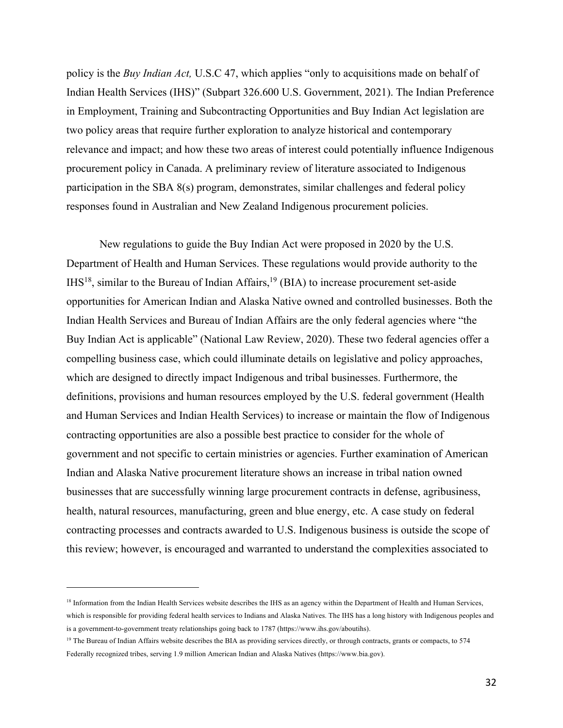policy is the *Buy Indian Act,* U.S.C 47, which applies "only to acquisitions made on behalf of Indian Health Services (IHS)" (Subpart 326.600 U.S. Government, 2021). The Indian Preference in Employment, Training and Subcontracting Opportunities and Buy Indian Act legislation are two policy areas that require further exploration to analyze historical and contemporary relevance and impact; and how these two areas of interest could potentially influence Indigenous procurement policy in Canada. A preliminary review of literature associated to Indigenous participation in the SBA 8(s) program, demonstrates, similar challenges and federal policy responses found in Australian and New Zealand Indigenous procurement policies.

New regulations to guide the Buy Indian Act were proposed in 2020 by the U.S. Department of Health and Human Services. These regulations would provide authority to the  $I<sup>H</sup>S<sup>18</sup>$ , similar to the Bureau of Indian Affairs, <sup>19</sup> (BIA) to increase procurement set-aside opportunities for American Indian and Alaska Native owned and controlled businesses. Both the Indian Health Services and Bureau of Indian Affairs are the only federal agencies where "the Buy Indian Act is applicable" (National Law Review, 2020). These two federal agencies offer a compelling business case, which could illuminate details on legislative and policy approaches, which are designed to directly impact Indigenous and tribal businesses. Furthermore, the definitions, provisions and human resources employed by the U.S. federal government (Health and Human Services and Indian Health Services) to increase or maintain the flow of Indigenous contracting opportunities are also a possible best practice to consider for the whole of government and not specific to certain ministries or agencies. Further examination of American Indian and Alaska Native procurement literature shows an increase in tribal nation owned businesses that are successfully winning large procurement contracts in defense, agribusiness, health, natural resources, manufacturing, green and blue energy, etc. A case study on federal contracting processes and contracts awarded to U.S. Indigenous business is outside the scope of this review; however, is encouraged and warranted to understand the complexities associated to

<sup>&</sup>lt;sup>18</sup> Information from the Indian Health Services website describes the IHS as an agency within the Department of Health and Human Services, which is responsible for providing federal health services to Indians and Alaska Natives. The IHS has a long history with Indigenous peoples and is a government-to-government treaty relationships going back to 1787 (https://www.ihs.gov/aboutihs).

 $19$  The Bureau of Indian Affairs website describes the BIA as providing services directly, or through contracts, grants or compacts, to 574 Federally recognized tribes, serving 1.9 million American Indian and Alaska Natives (https://www.bia.gov).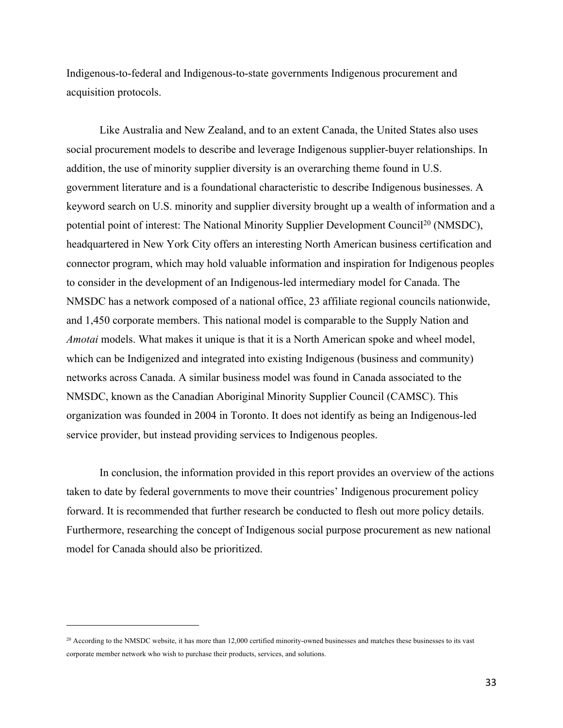Indigenous-to-federal and Indigenous-to-state governments Indigenous procurement and acquisition protocols.

Like Australia and New Zealand, and to an extent Canada, the United States also uses social procurement models to describe and leverage Indigenous supplier-buyer relationships. In addition, the use of minority supplier diversity is an overarching theme found in U.S. government literature and is a foundational characteristic to describe Indigenous businesses. A keyword search on U.S. minority and supplier diversity brought up a wealth of information and a potential point of interest: The National Minority Supplier Development Council<sup>20</sup> (NMSDC), headquartered in New York City offers an interesting North American business certification and connector program, which may hold valuable information and inspiration for Indigenous peoples to consider in the development of an Indigenous-led intermediary model for Canada. The NMSDC has a network composed of a national office, 23 affiliate regional councils nationwide, and 1,450 corporate members. This national model is comparable to the Supply Nation and *Amotai* models. What makes it unique is that it is a North American spoke and wheel model, which can be Indigenized and integrated into existing Indigenous (business and community) networks across Canada. A similar business model was found in Canada associated to the NMSDC, known as the Canadian Aboriginal Minority Supplier Council (CAMSC). This organization was founded in 2004 in Toronto. It does not identify as being an Indigenous-led service provider, but instead providing services to Indigenous peoples.

In conclusion, the information provided in this report provides an overview of the actions taken to date by federal governments to move their countries' Indigenous procurement policy forward. It is recommended that further research be conducted to flesh out more policy details. Furthermore, researching the concept of Indigenous social purpose procurement as new national model for Canada should also be prioritized.

<sup>&</sup>lt;sup>20</sup> According to the NMSDC website, it has more than 12,000 certified minority-owned businesses and matches these businesses to its vast corporate member network who wish to purchase their products, services, and solutions.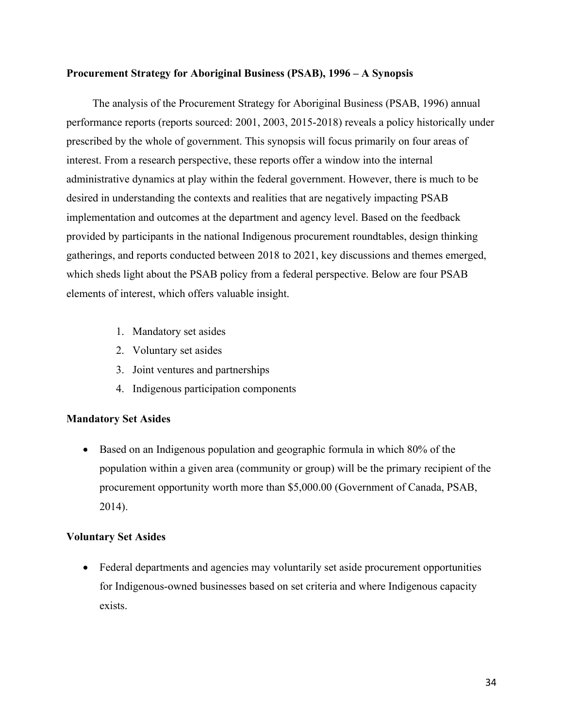## **Procurement Strategy for Aboriginal Business (PSAB), 1996 – A Synopsis**

The analysis of the Procurement Strategy for Aboriginal Business (PSAB, 1996) annual performance reports (reports sourced: 2001, 2003, 2015-2018) reveals a policy historically under prescribed by the whole of government. This synopsis will focus primarily on four areas of interest. From a research perspective, these reports offer a window into the internal administrative dynamics at play within the federal government. However, there is much to be desired in understanding the contexts and realities that are negatively impacting PSAB implementation and outcomes at the department and agency level. Based on the feedback provided by participants in the national Indigenous procurement roundtables, design thinking gatherings, and reports conducted between 2018 to 2021, key discussions and themes emerged, which sheds light about the PSAB policy from a federal perspective. Below are four PSAB elements of interest, which offers valuable insight.

- 1. Mandatory set asides
- 2. Voluntary set asides
- 3. Joint ventures and partnerships
- 4. Indigenous participation components

# **Mandatory Set Asides**

• Based on an Indigenous population and geographic formula in which 80% of the population within a given area (community or group) will be the primary recipient of the procurement opportunity worth more than \$5,000.00 (Government of Canada, PSAB, 2014).

# **Voluntary Set Asides**

• Federal departments and agencies may voluntarily set aside procurement opportunities for Indigenous-owned businesses based on set criteria and where Indigenous capacity exists.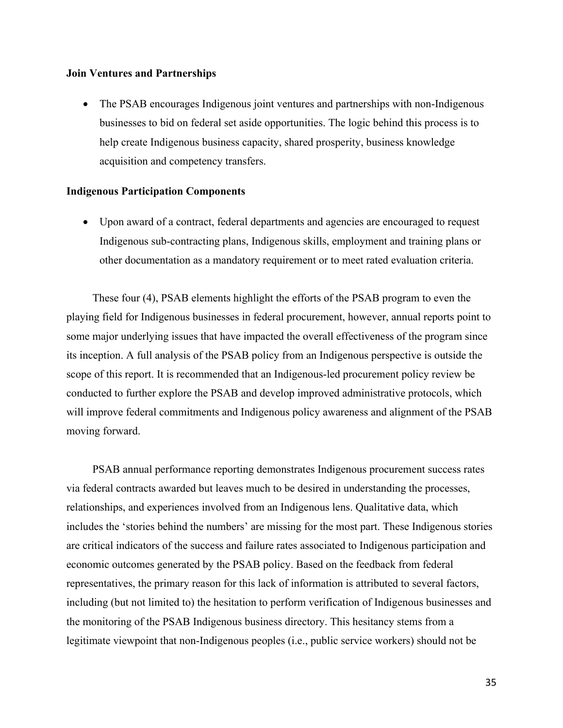## **Join Ventures and Partnerships**

• The PSAB encourages Indigenous joint ventures and partnerships with non-Indigenous businesses to bid on federal set aside opportunities. The logic behind this process is to help create Indigenous business capacity, shared prosperity, business knowledge acquisition and competency transfers.

## **Indigenous Participation Components**

• Upon award of a contract, federal departments and agencies are encouraged to request Indigenous sub-contracting plans, Indigenous skills, employment and training plans or other documentation as a mandatory requirement or to meet rated evaluation criteria.

These four (4), PSAB elements highlight the efforts of the PSAB program to even the playing field for Indigenous businesses in federal procurement, however, annual reports point to some major underlying issues that have impacted the overall effectiveness of the program since its inception. A full analysis of the PSAB policy from an Indigenous perspective is outside the scope of this report. It is recommended that an Indigenous-led procurement policy review be conducted to further explore the PSAB and develop improved administrative protocols, which will improve federal commitments and Indigenous policy awareness and alignment of the PSAB moving forward.

PSAB annual performance reporting demonstrates Indigenous procurement success rates via federal contracts awarded but leaves much to be desired in understanding the processes, relationships, and experiences involved from an Indigenous lens. Qualitative data, which includes the 'stories behind the numbers' are missing for the most part. These Indigenous stories are critical indicators of the success and failure rates associated to Indigenous participation and economic outcomes generated by the PSAB policy. Based on the feedback from federal representatives, the primary reason for this lack of information is attributed to several factors, including (but not limited to) the hesitation to perform verification of Indigenous businesses and the monitoring of the PSAB Indigenous business directory. This hesitancy stems from a legitimate viewpoint that non-Indigenous peoples (i.e., public service workers) should not be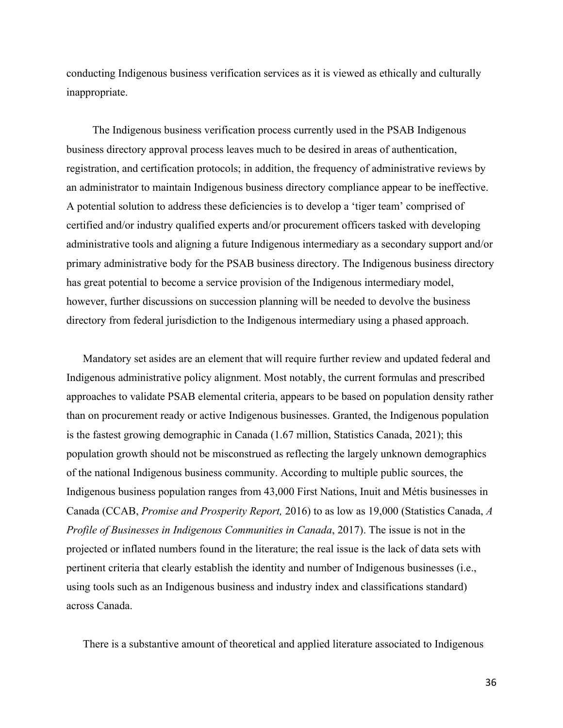conducting Indigenous business verification services as it is viewed as ethically and culturally inappropriate.

The Indigenous business verification process currently used in the PSAB Indigenous business directory approval process leaves much to be desired in areas of authentication, registration, and certification protocols; in addition, the frequency of administrative reviews by an administrator to maintain Indigenous business directory compliance appear to be ineffective. A potential solution to address these deficiencies is to develop a 'tiger team' comprised of certified and/or industry qualified experts and/or procurement officers tasked with developing administrative tools and aligning a future Indigenous intermediary as a secondary support and/or primary administrative body for the PSAB business directory. The Indigenous business directory has great potential to become a service provision of the Indigenous intermediary model, however, further discussions on succession planning will be needed to devolve the business directory from federal jurisdiction to the Indigenous intermediary using a phased approach.

Mandatory set asides are an element that will require further review and updated federal and Indigenous administrative policy alignment. Most notably, the current formulas and prescribed approaches to validate PSAB elemental criteria, appears to be based on population density rather than on procurement ready or active Indigenous businesses. Granted, the Indigenous population is the fastest growing demographic in Canada (1.67 million, Statistics Canada, 2021); this population growth should not be misconstrued as reflecting the largely unknown demographics of the national Indigenous business community. According to multiple public sources, the Indigenous business population ranges from 43,000 First Nations, Inuit and Métis businesses in Canada (CCAB, *Promise and Prosperity Report,* 2016) to as low as 19,000 (Statistics Canada, *A Profile of Businesses in Indigenous Communities in Canada*, 2017). The issue is not in the projected or inflated numbers found in the literature; the real issue is the lack of data sets with pertinent criteria that clearly establish the identity and number of Indigenous businesses (i.e., using tools such as an Indigenous business and industry index and classifications standard) across Canada.

There is a substantive amount of theoretical and applied literature associated to Indigenous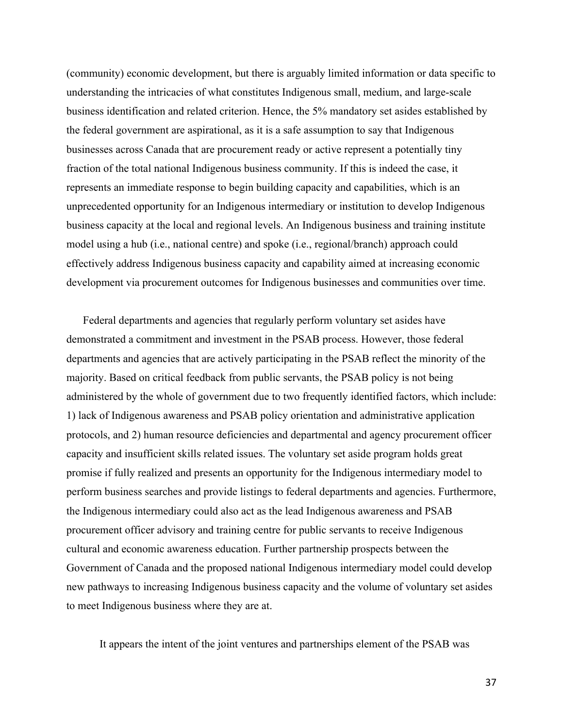(community) economic development, but there is arguably limited information or data specific to understanding the intricacies of what constitutes Indigenous small, medium, and large-scale business identification and related criterion. Hence, the 5% mandatory set asides established by the federal government are aspirational, as it is a safe assumption to say that Indigenous businesses across Canada that are procurement ready or active represent a potentially tiny fraction of the total national Indigenous business community. If this is indeed the case, it represents an immediate response to begin building capacity and capabilities, which is an unprecedented opportunity for an Indigenous intermediary or institution to develop Indigenous business capacity at the local and regional levels. An Indigenous business and training institute model using a hub (i.e., national centre) and spoke (i.e., regional/branch) approach could effectively address Indigenous business capacity and capability aimed at increasing economic development via procurement outcomes for Indigenous businesses and communities over time.

Federal departments and agencies that regularly perform voluntary set asides have demonstrated a commitment and investment in the PSAB process. However, those federal departments and agencies that are actively participating in the PSAB reflect the minority of the majority. Based on critical feedback from public servants, the PSAB policy is not being administered by the whole of government due to two frequently identified factors, which include: 1) lack of Indigenous awareness and PSAB policy orientation and administrative application protocols, and 2) human resource deficiencies and departmental and agency procurement officer capacity and insufficient skills related issues. The voluntary set aside program holds great promise if fully realized and presents an opportunity for the Indigenous intermediary model to perform business searches and provide listings to federal departments and agencies. Furthermore, the Indigenous intermediary could also act as the lead Indigenous awareness and PSAB procurement officer advisory and training centre for public servants to receive Indigenous cultural and economic awareness education. Further partnership prospects between the Government of Canada and the proposed national Indigenous intermediary model could develop new pathways to increasing Indigenous business capacity and the volume of voluntary set asides to meet Indigenous business where they are at.

It appears the intent of the joint ventures and partnerships element of the PSAB was

37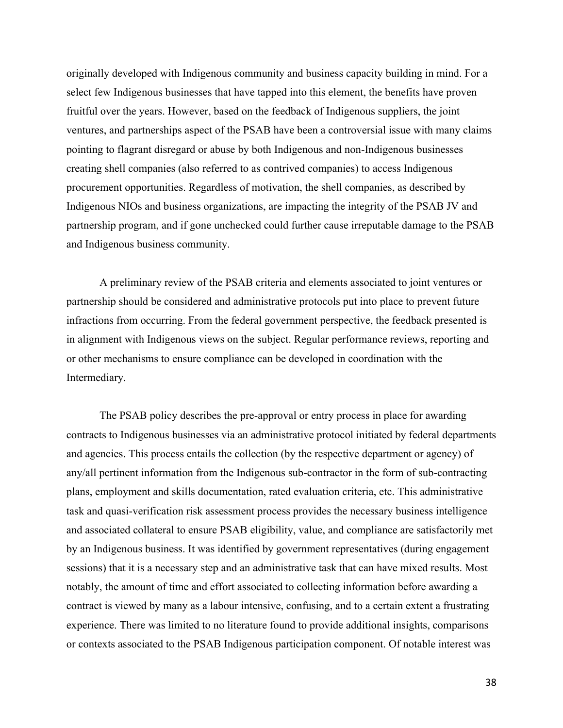originally developed with Indigenous community and business capacity building in mind. For a select few Indigenous businesses that have tapped into this element, the benefits have proven fruitful over the years. However, based on the feedback of Indigenous suppliers, the joint ventures, and partnerships aspect of the PSAB have been a controversial issue with many claims pointing to flagrant disregard or abuse by both Indigenous and non-Indigenous businesses creating shell companies (also referred to as contrived companies) to access Indigenous procurement opportunities. Regardless of motivation, the shell companies, as described by Indigenous NIOs and business organizations, are impacting the integrity of the PSAB JV and partnership program, and if gone unchecked could further cause irreputable damage to the PSAB and Indigenous business community.

A preliminary review of the PSAB criteria and elements associated to joint ventures or partnership should be considered and administrative protocols put into place to prevent future infractions from occurring. From the federal government perspective, the feedback presented is in alignment with Indigenous views on the subject. Regular performance reviews, reporting and or other mechanisms to ensure compliance can be developed in coordination with the Intermediary.

The PSAB policy describes the pre-approval or entry process in place for awarding contracts to Indigenous businesses via an administrative protocol initiated by federal departments and agencies. This process entails the collection (by the respective department or agency) of any/all pertinent information from the Indigenous sub-contractor in the form of sub-contracting plans, employment and skills documentation, rated evaluation criteria, etc. This administrative task and quasi-verification risk assessment process provides the necessary business intelligence and associated collateral to ensure PSAB eligibility, value, and compliance are satisfactorily met by an Indigenous business. It was identified by government representatives (during engagement sessions) that it is a necessary step and an administrative task that can have mixed results. Most notably, the amount of time and effort associated to collecting information before awarding a contract is viewed by many as a labour intensive, confusing, and to a certain extent a frustrating experience. There was limited to no literature found to provide additional insights, comparisons or contexts associated to the PSAB Indigenous participation component. Of notable interest was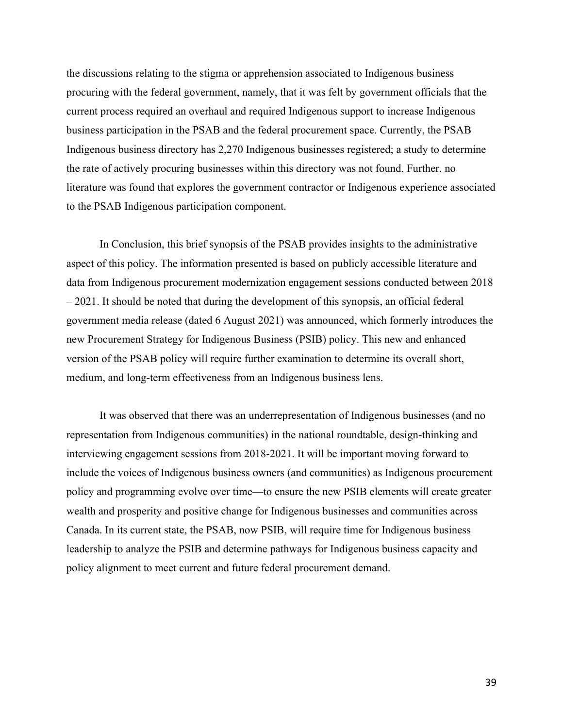the discussions relating to the stigma or apprehension associated to Indigenous business procuring with the federal government, namely, that it was felt by government officials that the current process required an overhaul and required Indigenous support to increase Indigenous business participation in the PSAB and the federal procurement space. Currently, the PSAB Indigenous business directory has 2,270 Indigenous businesses registered; a study to determine the rate of actively procuring businesses within this directory was not found. Further, no literature was found that explores the government contractor or Indigenous experience associated to the PSAB Indigenous participation component.

In Conclusion, this brief synopsis of the PSAB provides insights to the administrative aspect of this policy. The information presented is based on publicly accessible literature and data from Indigenous procurement modernization engagement sessions conducted between 2018 – 2021. It should be noted that during the development of this synopsis, an official federal government media release (dated 6 August 2021) was announced, which formerly introduces the new Procurement Strategy for Indigenous Business (PSIB) policy. This new and enhanced version of the PSAB policy will require further examination to determine its overall short, medium, and long-term effectiveness from an Indigenous business lens.

It was observed that there was an underrepresentation of Indigenous businesses (and no representation from Indigenous communities) in the national roundtable, design-thinking and interviewing engagement sessions from 2018-2021. It will be important moving forward to include the voices of Indigenous business owners (and communities) as Indigenous procurement policy and programming evolve over time—to ensure the new PSIB elements will create greater wealth and prosperity and positive change for Indigenous businesses and communities across Canada. In its current state, the PSAB, now PSIB, will require time for Indigenous business leadership to analyze the PSIB and determine pathways for Indigenous business capacity and policy alignment to meet current and future federal procurement demand.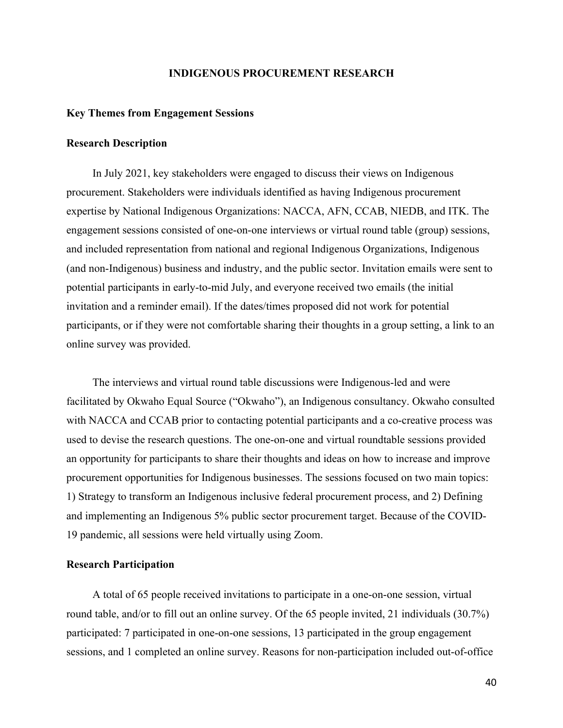#### **INDIGENOUS PROCUREMENT RESEARCH**

#### **Key Themes from Engagement Sessions**

#### **Research Description**

In July 2021, key stakeholders were engaged to discuss their views on Indigenous procurement. Stakeholders were individuals identified as having Indigenous procurement expertise by National Indigenous Organizations: NACCA, AFN, CCAB, NIEDB, and ITK. The engagement sessions consisted of one-on-one interviews or virtual round table (group) sessions, and included representation from national and regional Indigenous Organizations, Indigenous (and non-Indigenous) business and industry, and the public sector. Invitation emails were sent to potential participants in early-to-mid July, and everyone received two emails (the initial invitation and a reminder email). If the dates/times proposed did not work for potential participants, or if they were not comfortable sharing their thoughts in a group setting, a link to an online survey was provided.

The interviews and virtual round table discussions were Indigenous-led and were facilitated by Okwaho Equal Source ("Okwaho"), an Indigenous consultancy. Okwaho consulted with NACCA and CCAB prior to contacting potential participants and a co-creative process was used to devise the research questions. The one-on-one and virtual roundtable sessions provided an opportunity for participants to share their thoughts and ideas on how to increase and improve procurement opportunities for Indigenous businesses. The sessions focused on two main topics: 1) Strategy to transform an Indigenous inclusive federal procurement process, and 2) Defining and implementing an Indigenous 5% public sector procurement target. Because of the COVID-19 pandemic, all sessions were held virtually using Zoom.

#### **Research Participation**

A total of 65 people received invitations to participate in a one-on-one session, virtual round table, and/or to fill out an online survey. Of the 65 people invited, 21 individuals (30.7%) participated: 7 participated in one-on-one sessions, 13 participated in the group engagement sessions, and 1 completed an online survey. Reasons for non-participation included out-of-office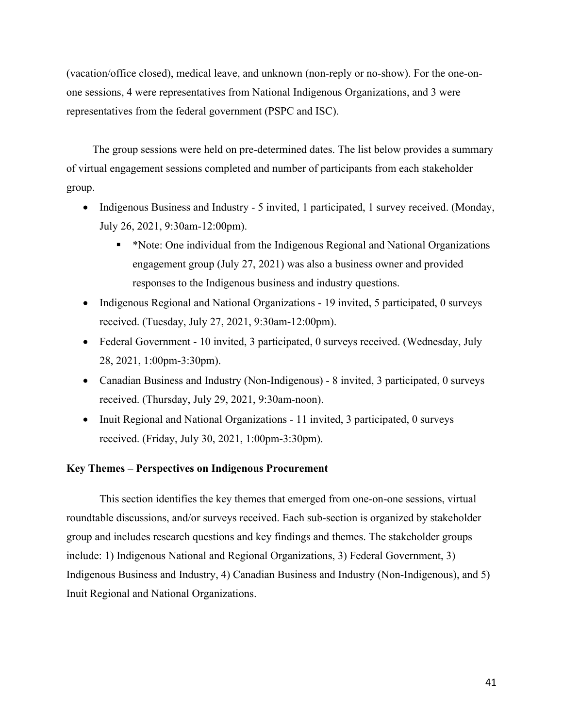(vacation/office closed), medical leave, and unknown (non-reply or no-show). For the one-onone sessions, 4 were representatives from National Indigenous Organizations, and 3 were representatives from the federal government (PSPC and ISC).

The group sessions were held on pre-determined dates. The list below provides a summary of virtual engagement sessions completed and number of participants from each stakeholder group.

- Indigenous Business and Industry 5 invited, 1 participated, 1 survey received. (Monday, July 26, 2021, 9:30am-12:00pm).
	- § \*Note: One individual from the Indigenous Regional and National Organizations engagement group (July 27, 2021) was also a business owner and provided responses to the Indigenous business and industry questions.
- Indigenous Regional and National Organizations 19 invited, 5 participated, 0 surveys received. (Tuesday, July 27, 2021, 9:30am-12:00pm).
- Federal Government 10 invited, 3 participated, 0 surveys received. (Wednesday, July 28, 2021, 1:00pm-3:30pm).
- Canadian Business and Industry (Non-Indigenous) 8 invited, 3 participated, 0 surveys received. (Thursday, July 29, 2021, 9:30am-noon).
- Inuit Regional and National Organizations 11 invited, 3 participated, 0 surveys received. (Friday, July 30, 2021, 1:00pm-3:30pm).

#### **Key Themes – Perspectives on Indigenous Procurement**

This section identifies the key themes that emerged from one-on-one sessions, virtual roundtable discussions, and/or surveys received. Each sub-section is organized by stakeholder group and includes research questions and key findings and themes. The stakeholder groups include: 1) Indigenous National and Regional Organizations, 3) Federal Government, 3) Indigenous Business and Industry, 4) Canadian Business and Industry (Non-Indigenous), and 5) Inuit Regional and National Organizations.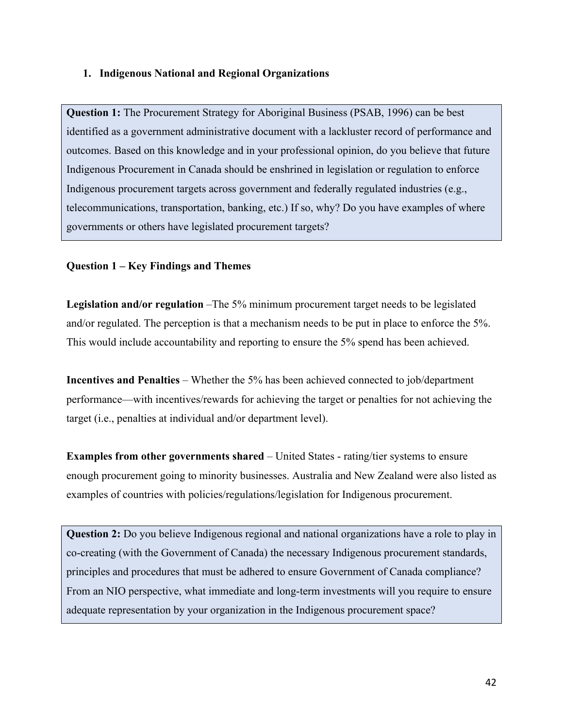# **1. Indigenous National and Regional Organizations**

**Question 1:** The Procurement Strategy for Aboriginal Business (PSAB, 1996) can be best identified as a government administrative document with a lackluster record of performance and outcomes. Based on this knowledge and in your professional opinion, do you believe that future Indigenous Procurement in Canada should be enshrined in legislation or regulation to enforce Indigenous procurement targets across government and federally regulated industries (e.g., telecommunications, transportation, banking, etc.) If so, why? Do you have examples of where governments or others have legislated procurement targets?

# **Question 1 – Key Findings and Themes**

**Legislation and/or regulation** –The 5% minimum procurement target needs to be legislated and/or regulated. The perception is that a mechanism needs to be put in place to enforce the 5%. This would include accountability and reporting to ensure the 5% spend has been achieved.

**Incentives and Penalties** – Whether the 5% has been achieved connected to job/department performance—with incentives/rewards for achieving the target or penalties for not achieving the target (i.e., penalties at individual and/or department level).

**Examples from other governments shared** – United States - rating/tier systems to ensure enough procurement going to minority businesses. Australia and New Zealand were also listed as examples of countries with policies/regulations/legislation for Indigenous procurement.

**Question 2:** Do you believe Indigenous regional and national organizations have a role to play in co-creating (with the Government of Canada) the necessary Indigenous procurement standards, principles and procedures that must be adhered to ensure Government of Canada compliance? From an NIO perspective, what immediate and long-term investments will you require to ensure adequate representation by your organization in the Indigenous procurement space?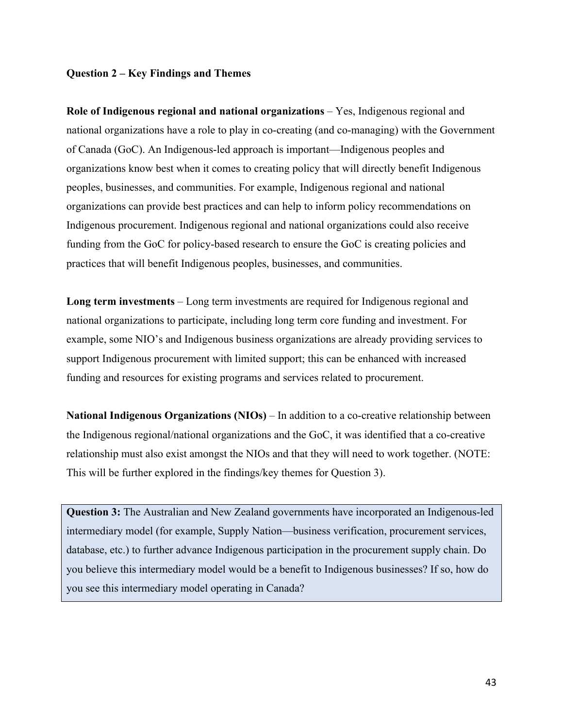#### **Question 2 – Key Findings and Themes**

**Role of Indigenous regional and national organizations** – Yes, Indigenous regional and national organizations have a role to play in co-creating (and co-managing) with the Government of Canada (GoC). An Indigenous-led approach is important—Indigenous peoples and organizations know best when it comes to creating policy that will directly benefit Indigenous peoples, businesses, and communities. For example, Indigenous regional and national organizations can provide best practices and can help to inform policy recommendations on Indigenous procurement. Indigenous regional and national organizations could also receive funding from the GoC for policy-based research to ensure the GoC is creating policies and practices that will benefit Indigenous peoples, businesses, and communities.

**Long term investments** – Long term investments are required for Indigenous regional and national organizations to participate, including long term core funding and investment. For example, some NIO's and Indigenous business organizations are already providing services to support Indigenous procurement with limited support; this can be enhanced with increased funding and resources for existing programs and services related to procurement.

**National Indigenous Organizations (NIOs)** – In addition to a co-creative relationship between the Indigenous regional/national organizations and the GoC, it was identified that a co-creative relationship must also exist amongst the NIOs and that they will need to work together. (NOTE: This will be further explored in the findings/key themes for Question 3).

**Question 3:** The Australian and New Zealand governments have incorporated an Indigenous-led intermediary model (for example, Supply Nation—business verification, procurement services, database, etc.) to further advance Indigenous participation in the procurement supply chain. Do you believe this intermediary model would be a benefit to Indigenous businesses? If so, how do you see this intermediary model operating in Canada?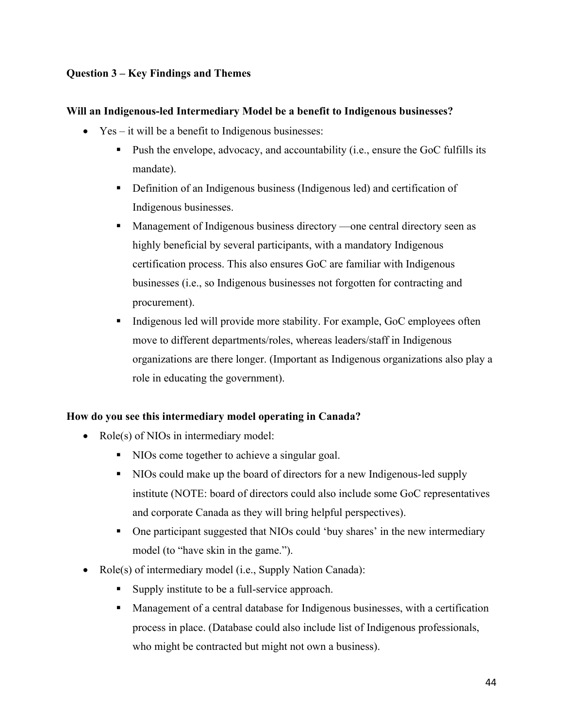# **Question 3 – Key Findings and Themes**

# **Will an Indigenous-led Intermediary Model be a benefit to Indigenous businesses?**

- Yes it will be a benefit to Indigenous businesses:
	- Push the envelope, advocacy, and accountability (i.e., ensure the GoC fulfills its mandate).
	- Definition of an Indigenous business (Indigenous led) and certification of Indigenous businesses.
	- Management of Indigenous business directory —one central directory seen as highly beneficial by several participants, with a mandatory Indigenous certification process. This also ensures GoC are familiar with Indigenous businesses (i.e., so Indigenous businesses not forgotten for contracting and procurement).
	- Indigenous led will provide more stability. For example, GoC employees often move to different departments/roles, whereas leaders/staff in Indigenous organizations are there longer. (Important as Indigenous organizations also play a role in educating the government).

# **How do you see this intermediary model operating in Canada?**

- Role(s) of NIOs in intermediary model:
	- NIOs come together to achieve a singular goal.
	- § NIOs could make up the board of directors for a new Indigenous-led supply institute (NOTE: board of directors could also include some GoC representatives and corporate Canada as they will bring helpful perspectives).
	- One participant suggested that NIOs could 'buy shares' in the new intermediary model (to "have skin in the game.").
- Role(s) of intermediary model (i.e., Supply Nation Canada):
	- Supply institute to be a full-service approach.
	- Management of a central database for Indigenous businesses, with a certification process in place. (Database could also include list of Indigenous professionals, who might be contracted but might not own a business).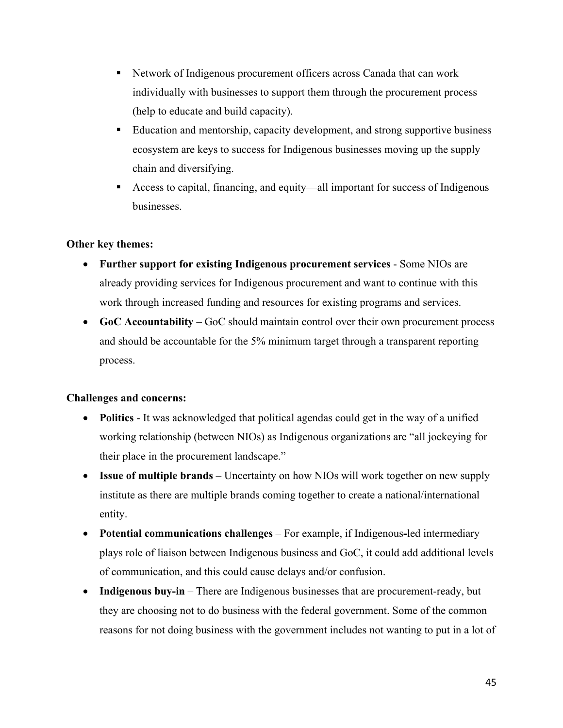- Network of Indigenous procurement officers across Canada that can work individually with businesses to support them through the procurement process (help to educate and build capacity).
- Education and mentorship, capacity development, and strong supportive business ecosystem are keys to success for Indigenous businesses moving up the supply chain and diversifying.
- § Access to capital, financing, and equity—all important for success of Indigenous businesses.

# **Other key themes:**

- **Further support for existing Indigenous procurement services** Some NIOs are already providing services for Indigenous procurement and want to continue with this work through increased funding and resources for existing programs and services.
- **GoC Accountability** GoC should maintain control over their own procurement process and should be accountable for the 5% minimum target through a transparent reporting process.

#### **Challenges and concerns:**

- **Politics** It was acknowledged that political agendas could get in the way of a unified working relationship (between NIOs) as Indigenous organizations are "all jockeying for their place in the procurement landscape."
- **Issue of multiple brands** Uncertainty on how NIOs will work together on new supply institute as there are multiple brands coming together to create a national/international entity.
- **Potential communications challenges** For example, if Indigenous**-**led intermediary plays role of liaison between Indigenous business and GoC, it could add additional levels of communication, and this could cause delays and/or confusion.
- **Indigenous buy-in** There are Indigenous businesses that are procurement-ready, but they are choosing not to do business with the federal government. Some of the common reasons for not doing business with the government includes not wanting to put in a lot of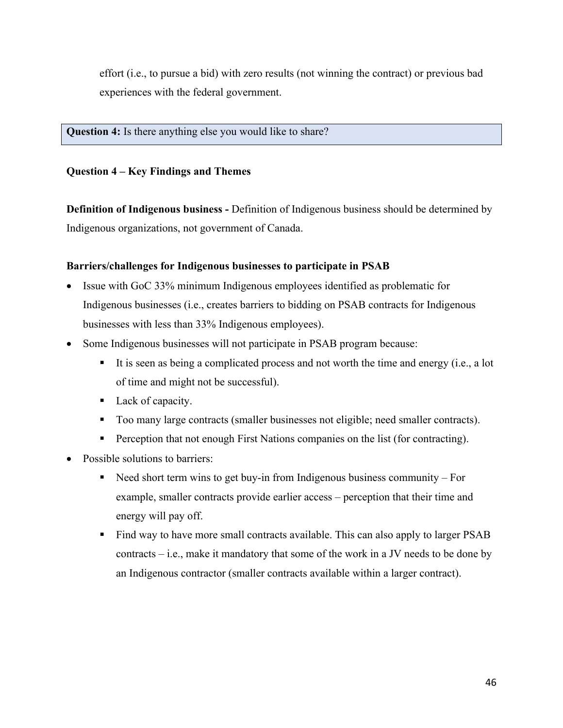effort (i.e., to pursue a bid) with zero results (not winning the contract) or previous bad experiences with the federal government.

**Question 4:** Is there anything else you would like to share?

# **Question 4 – Key Findings and Themes**

**Definition of Indigenous business -** Definition of Indigenous business should be determined by Indigenous organizations, not government of Canada.

# **Barriers/challenges for Indigenous businesses to participate in PSAB**

- Issue with GoC 33% minimum Indigenous employees identified as problematic for Indigenous businesses (i.e., creates barriers to bidding on PSAB contracts for Indigenous businesses with less than 33% Indigenous employees).
- Some Indigenous businesses will not participate in PSAB program because:
	- It is seen as being a complicated process and not worth the time and energy (i.e., a lot of time and might not be successful).
	- Lack of capacity.
	- Too many large contracts (smaller businesses not eligible; need smaller contracts).
	- Perception that not enough First Nations companies on the list (for contracting).
- Possible solutions to barriers:
	- Need short term wins to get buy-in from Indigenous business community For example, smaller contracts provide earlier access – perception that their time and energy will pay off.
	- Find way to have more small contracts available. This can also apply to larger PSAB contracts – i.e., make it mandatory that some of the work in a JV needs to be done by an Indigenous contractor (smaller contracts available within a larger contract).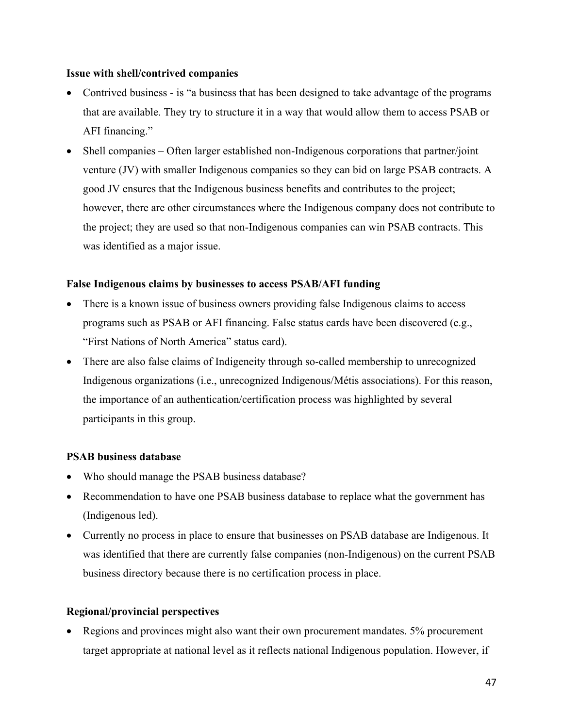#### **Issue with shell/contrived companies**

- Contrived business is "a business that has been designed to take advantage of the programs that are available. They try to structure it in a way that would allow them to access PSAB or AFI financing."
- Shell companies Often larger established non-Indigenous corporations that partner/joint venture (JV) with smaller Indigenous companies so they can bid on large PSAB contracts. A good JV ensures that the Indigenous business benefits and contributes to the project; however, there are other circumstances where the Indigenous company does not contribute to the project; they are used so that non-Indigenous companies can win PSAB contracts. This was identified as a major issue.

#### **False Indigenous claims by businesses to access PSAB/AFI funding**

- There is a known issue of business owners providing false Indigenous claims to access programs such as PSAB or AFI financing. False status cards have been discovered (e.g., "First Nations of North America" status card).
- There are also false claims of Indigeneity through so-called membership to unrecognized Indigenous organizations (i.e., unrecognized Indigenous/Métis associations). For this reason, the importance of an authentication/certification process was highlighted by several participants in this group.

# **PSAB business database**

- Who should manage the PSAB business database?
- Recommendation to have one PSAB business database to replace what the government has (Indigenous led).
- Currently no process in place to ensure that businesses on PSAB database are Indigenous. It was identified that there are currently false companies (non-Indigenous) on the current PSAB business directory because there is no certification process in place.

# **Regional/provincial perspectives**

• Regions and provinces might also want their own procurement mandates. 5% procurement target appropriate at national level as it reflects national Indigenous population. However, if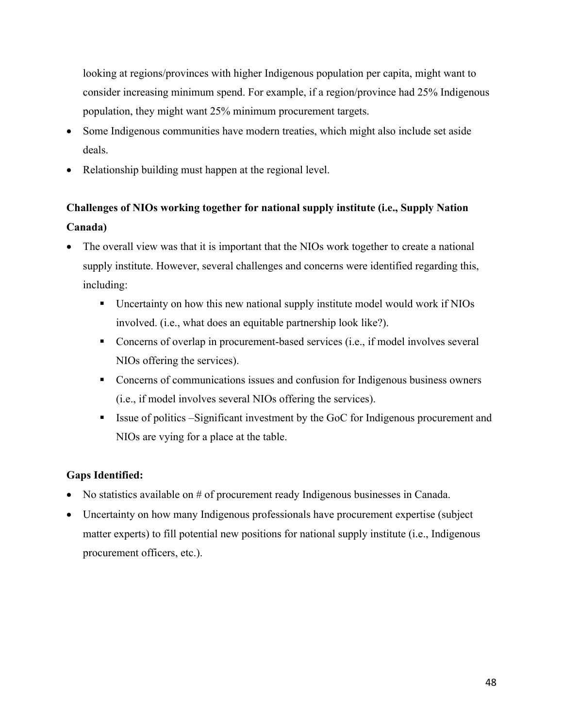looking at regions/provinces with higher Indigenous population per capita, might want to consider increasing minimum spend. For example, if a region/province had 25% Indigenous population, they might want 25% minimum procurement targets.

- Some Indigenous communities have modern treaties, which might also include set aside deals.
- Relationship building must happen at the regional level.

# **Challenges of NIOs working together for national supply institute (i.e., Supply Nation Canada)**

- The overall view was that it is important that the NIOs work together to create a national supply institute. However, several challenges and concerns were identified regarding this, including:
	- § Uncertainty on how this new national supply institute model would work if NIOs involved. (i.e., what does an equitable partnership look like?).
	- Concerns of overlap in procurement-based services (i.e., if model involves several NIOs offering the services).
	- Concerns of communications issues and confusion for Indigenous business owners (i.e., if model involves several NIOs offering the services).
	- Issue of politics –Significant investment by the GoC for Indigenous procurement and NIOs are vying for a place at the table.

# **Gaps Identified:**

- No statistics available on # of procurement ready Indigenous businesses in Canada.
- Uncertainty on how many Indigenous professionals have procurement expertise (subject matter experts) to fill potential new positions for national supply institute (i.e., Indigenous procurement officers, etc.).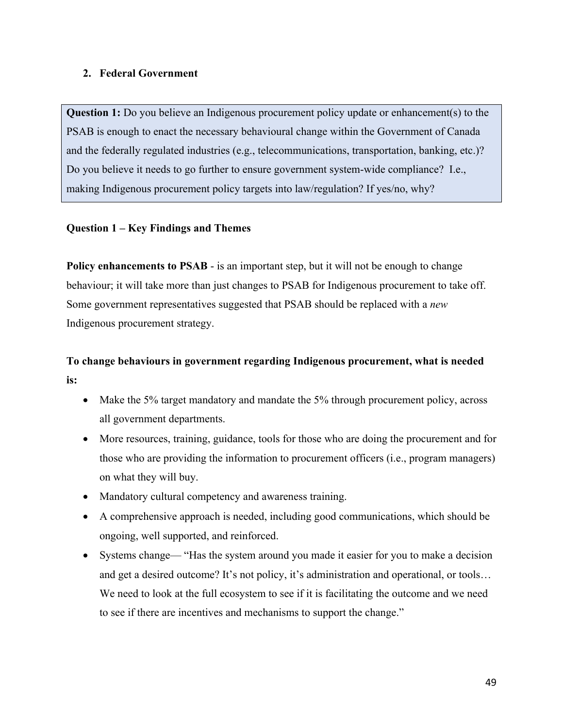# **2. Federal Government**

**Question 1:** Do you believe an Indigenous procurement policy update or enhancement(s) to the PSAB is enough to enact the necessary behavioural change within the Government of Canada and the federally regulated industries (e.g., telecommunications, transportation, banking, etc.)? Do you believe it needs to go further to ensure government system-wide compliance? I.e., making Indigenous procurement policy targets into law/regulation? If yes/no, why?

# **Question 1 – Key Findings and Themes**

**Policy enhancements to PSAB** - is an important step, but it will not be enough to change behaviour; it will take more than just changes to PSAB for Indigenous procurement to take off. Some government representatives suggested that PSAB should be replaced with a *new* Indigenous procurement strategy.

# **To change behaviours in government regarding Indigenous procurement, what is needed is:**

- Make the 5% target mandatory and mandate the 5% through procurement policy, across all government departments.
- More resources, training, guidance, tools for those who are doing the procurement and for those who are providing the information to procurement officers (i.e., program managers) on what they will buy.
- Mandatory cultural competency and awareness training.
- A comprehensive approach is needed, including good communications, which should be ongoing, well supported, and reinforced.
- Systems change— "Has the system around you made it easier for you to make a decision and get a desired outcome? It's not policy, it's administration and operational, or tools… We need to look at the full ecosystem to see if it is facilitating the outcome and we need to see if there are incentives and mechanisms to support the change."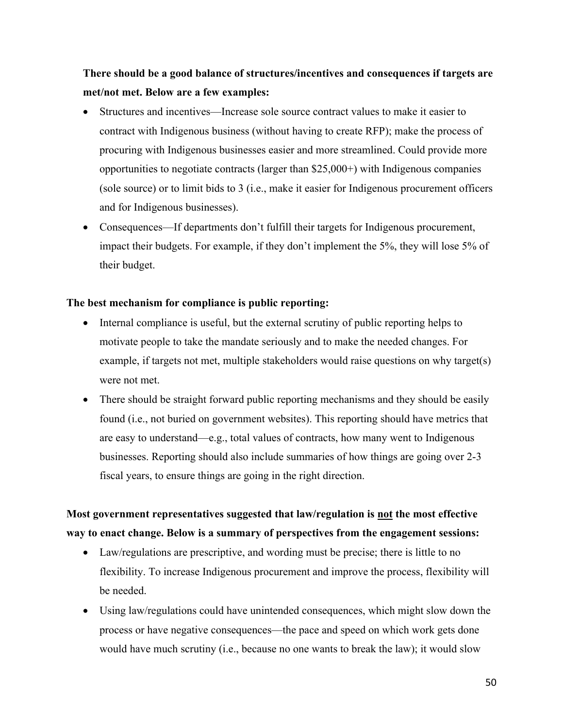**There should be a good balance of structures/incentives and consequences if targets are met/not met. Below are a few examples:**

- Structures and incentives—Increase sole source contract values to make it easier to contract with Indigenous business (without having to create RFP); make the process of procuring with Indigenous businesses easier and more streamlined. Could provide more opportunities to negotiate contracts (larger than \$25,000+) with Indigenous companies (sole source) or to limit bids to 3 (i.e., make it easier for Indigenous procurement officers and for Indigenous businesses).
- Consequences—If departments don't fulfill their targets for Indigenous procurement, impact their budgets. For example, if they don't implement the 5%, they will lose 5% of their budget.

#### **The best mechanism for compliance is public reporting:**

- Internal compliance is useful, but the external scrutiny of public reporting helps to motivate people to take the mandate seriously and to make the needed changes. For example, if targets not met, multiple stakeholders would raise questions on why target(s) were not met.
- There should be straight forward public reporting mechanisms and they should be easily found (i.e., not buried on government websites). This reporting should have metrics that are easy to understand—e.g., total values of contracts, how many went to Indigenous businesses. Reporting should also include summaries of how things are going over 2-3 fiscal years, to ensure things are going in the right direction.

# **Most government representatives suggested that law/regulation is not the most effective way to enact change. Below is a summary of perspectives from the engagement sessions:**

- Law/regulations are prescriptive, and wording must be precise; there is little to no flexibility. To increase Indigenous procurement and improve the process, flexibility will be needed.
- Using law/regulations could have unintended consequences, which might slow down the process or have negative consequences—the pace and speed on which work gets done would have much scrutiny (i.e., because no one wants to break the law); it would slow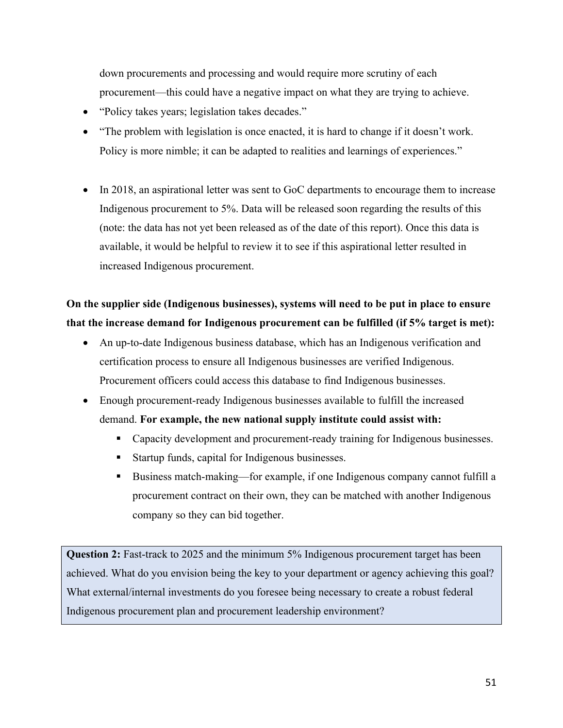down procurements and processing and would require more scrutiny of each procurement—this could have a negative impact on what they are trying to achieve.

- "Policy takes years; legislation takes decades."
- "The problem with legislation is once enacted, it is hard to change if it doesn't work. Policy is more nimble; it can be adapted to realities and learnings of experiences."
- In 2018, an aspirational letter was sent to GoC departments to encourage them to increase Indigenous procurement to 5%. Data will be released soon regarding the results of this (note: the data has not yet been released as of the date of this report). Once this data is available, it would be helpful to review it to see if this aspirational letter resulted in increased Indigenous procurement.

# **On the supplier side (Indigenous businesses), systems will need to be put in place to ensure that the increase demand for Indigenous procurement can be fulfilled (if 5% target is met):**

- An up-to-date Indigenous business database, which has an Indigenous verification and certification process to ensure all Indigenous businesses are verified Indigenous. Procurement officers could access this database to find Indigenous businesses.
- Enough procurement-ready Indigenous businesses available to fulfill the increased demand. **For example, the new national supply institute could assist with:** 
	- Capacity development and procurement-ready training for Indigenous businesses.
	- Startup funds, capital for Indigenous businesses.
	- § Business match-making—for example, if one Indigenous company cannot fulfill a procurement contract on their own, they can be matched with another Indigenous company so they can bid together.

**Question 2:** Fast-track to 2025 and the minimum 5% Indigenous procurement target has been achieved. What do you envision being the key to your department or agency achieving this goal? What external/internal investments do you foresee being necessary to create a robust federal Indigenous procurement plan and procurement leadership environment?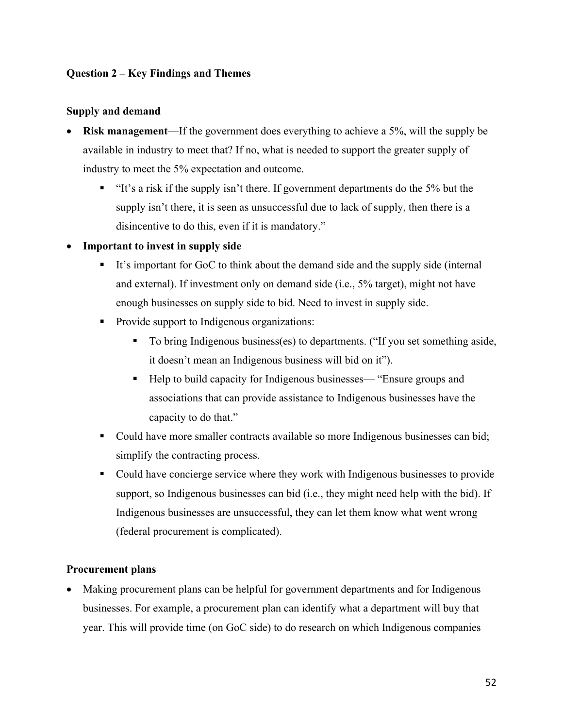# **Question 2 – Key Findings and Themes**

#### **Supply and demand**

- **Risk management**—If the government does everything to achieve a 5%, will the supply be available in industry to meet that? If no, what is needed to support the greater supply of industry to meet the 5% expectation and outcome.
	- "It's a risk if the supply isn't there. If government departments do the 5% but the supply isn't there, it is seen as unsuccessful due to lack of supply, then there is a disincentive to do this, even if it is mandatory."

#### • **Important to invest in supply side**

- It's important for GoC to think about the demand side and the supply side (internal and external). If investment only on demand side (i.e., 5% target), might not have enough businesses on supply side to bid. Need to invest in supply side.
- Provide support to Indigenous organizations:
	- To bring Indigenous business(es) to departments. ("If you set something aside, it doesn't mean an Indigenous business will bid on it").
	- Help to build capacity for Indigenous businesses— "Ensure groups and associations that can provide assistance to Indigenous businesses have the capacity to do that."
- Could have more smaller contracts available so more Indigenous businesses can bid; simplify the contracting process.
- Could have concierge service where they work with Indigenous businesses to provide support, so Indigenous businesses can bid (i.e., they might need help with the bid). If Indigenous businesses are unsuccessful, they can let them know what went wrong (federal procurement is complicated).

#### **Procurement plans**

• Making procurement plans can be helpful for government departments and for Indigenous businesses. For example, a procurement plan can identify what a department will buy that year. This will provide time (on GoC side) to do research on which Indigenous companies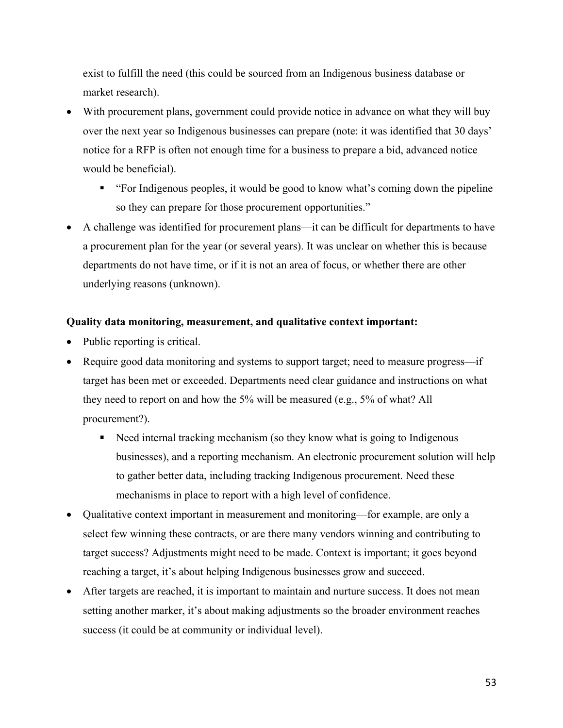exist to fulfill the need (this could be sourced from an Indigenous business database or market research).

- With procurement plans, government could provide notice in advance on what they will buy over the next year so Indigenous businesses can prepare (note: it was identified that 30 days' notice for a RFP is often not enough time for a business to prepare a bid, advanced notice would be beneficial).
	- § "For Indigenous peoples, it would be good to know what's coming down the pipeline so they can prepare for those procurement opportunities."
- A challenge was identified for procurement plans—it can be difficult for departments to have a procurement plan for the year (or several years). It was unclear on whether this is because departments do not have time, or if it is not an area of focus, or whether there are other underlying reasons (unknown).

# **Quality data monitoring, measurement, and qualitative context important:**

- Public reporting is critical.
- Require good data monitoring and systems to support target; need to measure progress—if target has been met or exceeded. Departments need clear guidance and instructions on what they need to report on and how the 5% will be measured (e.g., 5% of what? All procurement?).
	- Need internal tracking mechanism (so they know what is going to Indigenous businesses), and a reporting mechanism. An electronic procurement solution will help to gather better data, including tracking Indigenous procurement. Need these mechanisms in place to report with a high level of confidence.
- Qualitative context important in measurement and monitoring—for example, are only a select few winning these contracts, or are there many vendors winning and contributing to target success? Adjustments might need to be made. Context is important; it goes beyond reaching a target, it's about helping Indigenous businesses grow and succeed.
- After targets are reached, it is important to maintain and nurture success. It does not mean setting another marker, it's about making adjustments so the broader environment reaches success (it could be at community or individual level).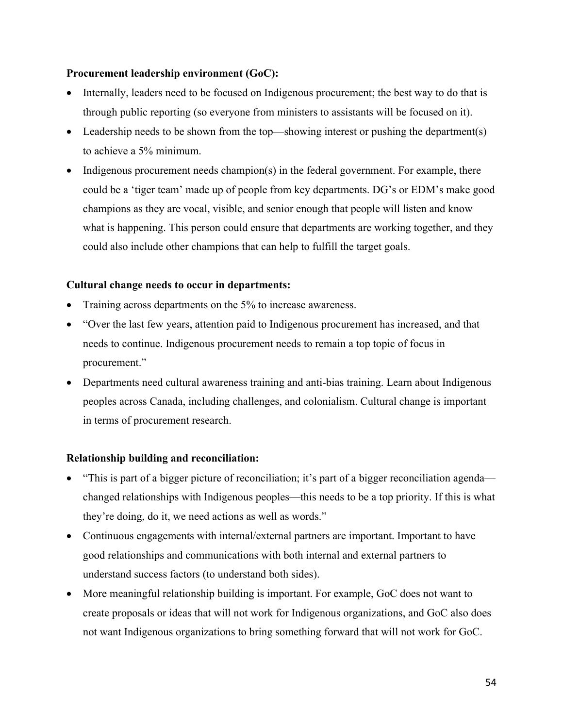# **Procurement leadership environment (GoC):**

- Internally, leaders need to be focused on Indigenous procurement; the best way to do that is through public reporting (so everyone from ministers to assistants will be focused on it).
- Leadership needs to be shown from the top—showing interest or pushing the department(s) to achieve a 5% minimum.
- Indigenous procurement needs champion(s) in the federal government. For example, there could be a 'tiger team' made up of people from key departments. DG's or EDM's make good champions as they are vocal, visible, and senior enough that people will listen and know what is happening. This person could ensure that departments are working together, and they could also include other champions that can help to fulfill the target goals.

# **Cultural change needs to occur in departments:**

- Training across departments on the 5% to increase awareness.
- "Over the last few years, attention paid to Indigenous procurement has increased, and that needs to continue. Indigenous procurement needs to remain a top topic of focus in procurement."
- Departments need cultural awareness training and anti-bias training. Learn about Indigenous peoples across Canada, including challenges, and colonialism. Cultural change is important in terms of procurement research.

# **Relationship building and reconciliation:**

- "This is part of a bigger picture of reconciliation; it's part of a bigger reconciliation agenda changed relationships with Indigenous peoples—this needs to be a top priority. If this is what they're doing, do it, we need actions as well as words."
- Continuous engagements with internal/external partners are important. Important to have good relationships and communications with both internal and external partners to understand success factors (to understand both sides).
- More meaningful relationship building is important. For example, GoC does not want to create proposals or ideas that will not work for Indigenous organizations, and GoC also does not want Indigenous organizations to bring something forward that will not work for GoC.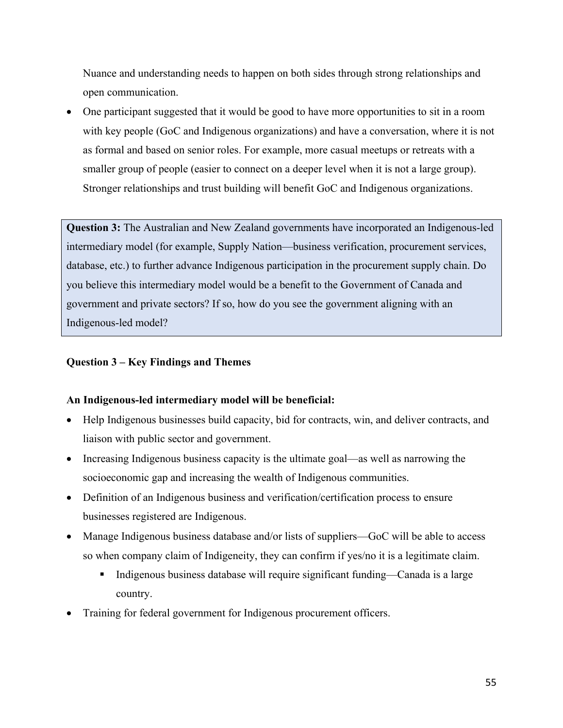Nuance and understanding needs to happen on both sides through strong relationships and open communication.

• One participant suggested that it would be good to have more opportunities to sit in a room with key people (GoC and Indigenous organizations) and have a conversation, where it is not as formal and based on senior roles. For example, more casual meetups or retreats with a smaller group of people (easier to connect on a deeper level when it is not a large group). Stronger relationships and trust building will benefit GoC and Indigenous organizations.

**Question 3:** The Australian and New Zealand governments have incorporated an Indigenous-led intermediary model (for example, Supply Nation—business verification, procurement services, database, etc.) to further advance Indigenous participation in the procurement supply chain. Do you believe this intermediary model would be a benefit to the Government of Canada and government and private sectors? If so, how do you see the government aligning with an Indigenous-led model?

# **Question 3 – Key Findings and Themes**

#### **An Indigenous-led intermediary model will be beneficial:**

- Help Indigenous businesses build capacity, bid for contracts, win, and deliver contracts, and liaison with public sector and government.
- Increasing Indigenous business capacity is the ultimate goal—as well as narrowing the socioeconomic gap and increasing the wealth of Indigenous communities.
- Definition of an Indigenous business and verification/certification process to ensure businesses registered are Indigenous.
- Manage Indigenous business database and/or lists of suppliers—GoC will be able to access so when company claim of Indigeneity, they can confirm if yes/no it is a legitimate claim.
	- Indigenous business database will require significant funding—Canada is a large country.
- Training for federal government for Indigenous procurement officers.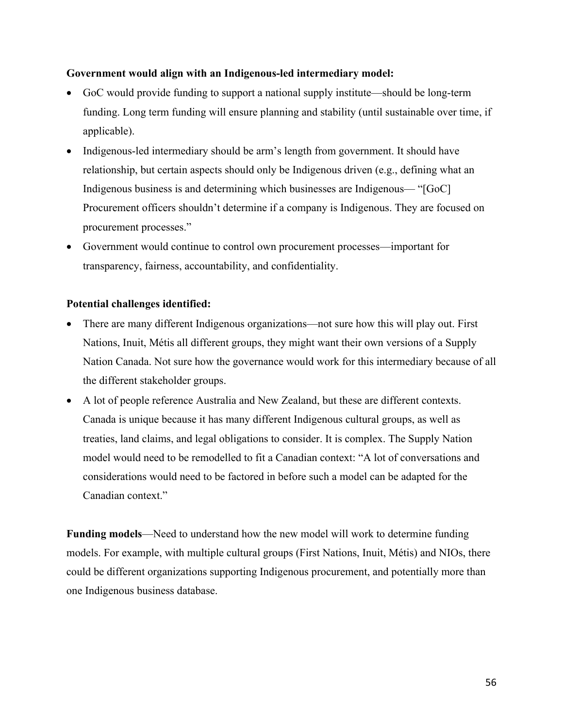#### **Government would align with an Indigenous-led intermediary model:**

- GoC would provide funding to support a national supply institute—should be long-term funding. Long term funding will ensure planning and stability (until sustainable over time, if applicable).
- Indigenous-led intermediary should be arm's length from government. It should have relationship, but certain aspects should only be Indigenous driven (e.g., defining what an Indigenous business is and determining which businesses are Indigenous— "[GoC] Procurement officers shouldn't determine if a company is Indigenous. They are focused on procurement processes."
- Government would continue to control own procurement processes—important for transparency, fairness, accountability, and confidentiality.

#### **Potential challenges identified:**

- There are many different Indigenous organizations—not sure how this will play out. First Nations, Inuit, Métis all different groups, they might want their own versions of a Supply Nation Canada. Not sure how the governance would work for this intermediary because of all the different stakeholder groups.
- A lot of people reference Australia and New Zealand, but these are different contexts. Canada is unique because it has many different Indigenous cultural groups, as well as treaties, land claims, and legal obligations to consider. It is complex. The Supply Nation model would need to be remodelled to fit a Canadian context: "A lot of conversations and considerations would need to be factored in before such a model can be adapted for the Canadian context."

**Funding models**—Need to understand how the new model will work to determine funding models. For example, with multiple cultural groups (First Nations, Inuit, Métis) and NIOs, there could be different organizations supporting Indigenous procurement, and potentially more than one Indigenous business database.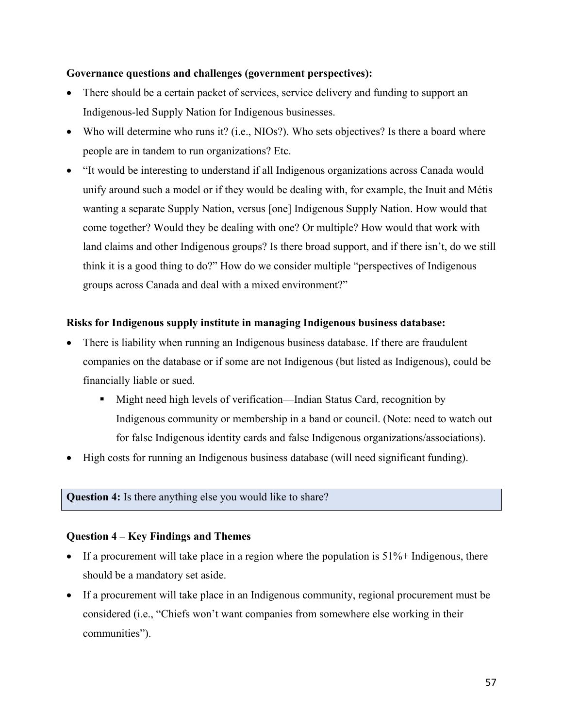### **Governance questions and challenges (government perspectives):**

- There should be a certain packet of services, service delivery and funding to support an Indigenous-led Supply Nation for Indigenous businesses.
- Who will determine who runs it? (i.e., NIOs?). Who sets objectives? Is there a board where people are in tandem to run organizations? Etc.
- "It would be interesting to understand if all Indigenous organizations across Canada would unify around such a model or if they would be dealing with, for example, the Inuit and Métis wanting a separate Supply Nation, versus [one] Indigenous Supply Nation. How would that come together? Would they be dealing with one? Or multiple? How would that work with land claims and other Indigenous groups? Is there broad support, and if there isn't, do we still think it is a good thing to do?" How do we consider multiple "perspectives of Indigenous groups across Canada and deal with a mixed environment?"

# **Risks for Indigenous supply institute in managing Indigenous business database:**

- There is liability when running an Indigenous business database. If there are fraudulent companies on the database or if some are not Indigenous (but listed as Indigenous), could be financially liable or sued.
	- Might need high levels of verification—Indian Status Card, recognition by Indigenous community or membership in a band or council. (Note: need to watch out for false Indigenous identity cards and false Indigenous organizations/associations).
- High costs for running an Indigenous business database (will need significant funding).

#### **Question 4:** Is there anything else you would like to share?

# **Question 4 – Key Findings and Themes**

- If a procurement will take place in a region where the population is  $51\%$ + Indigenous, there should be a mandatory set aside.
- If a procurement will take place in an Indigenous community, regional procurement must be considered (i.e., "Chiefs won't want companies from somewhere else working in their communities").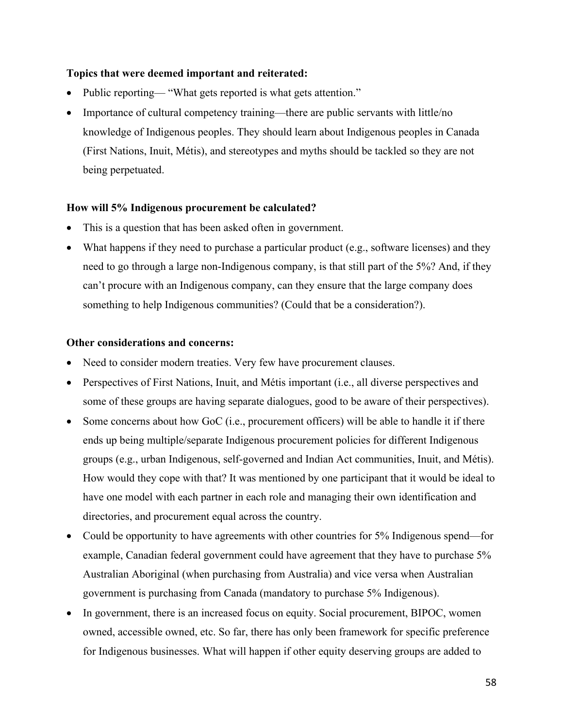### **Topics that were deemed important and reiterated:**

- Public reporting— "What gets reported is what gets attention."
- Importance of cultural competency training—there are public servants with little/no knowledge of Indigenous peoples. They should learn about Indigenous peoples in Canada (First Nations, Inuit, Métis), and stereotypes and myths should be tackled so they are not being perpetuated.

# **How will 5% Indigenous procurement be calculated?**

- This is a question that has been asked often in government.
- What happens if they need to purchase a particular product (e.g., software licenses) and they need to go through a large non-Indigenous company, is that still part of the 5%? And, if they can't procure with an Indigenous company, can they ensure that the large company does something to help Indigenous communities? (Could that be a consideration?).

#### **Other considerations and concerns:**

- Need to consider modern treaties. Very few have procurement clauses.
- Perspectives of First Nations, Inuit, and Métis important (i.e., all diverse perspectives and some of these groups are having separate dialogues, good to be aware of their perspectives).
- Some concerns about how GoC (i.e., procurement officers) will be able to handle it if there ends up being multiple/separate Indigenous procurement policies for different Indigenous groups (e.g., urban Indigenous, self-governed and Indian Act communities, Inuit, and Métis). How would they cope with that? It was mentioned by one participant that it would be ideal to have one model with each partner in each role and managing their own identification and directories, and procurement equal across the country.
- Could be opportunity to have agreements with other countries for 5% Indigenous spend—for example, Canadian federal government could have agreement that they have to purchase 5% Australian Aboriginal (when purchasing from Australia) and vice versa when Australian government is purchasing from Canada (mandatory to purchase 5% Indigenous).
- In government, there is an increased focus on equity. Social procurement, BIPOC, women owned, accessible owned, etc. So far, there has only been framework for specific preference for Indigenous businesses. What will happen if other equity deserving groups are added to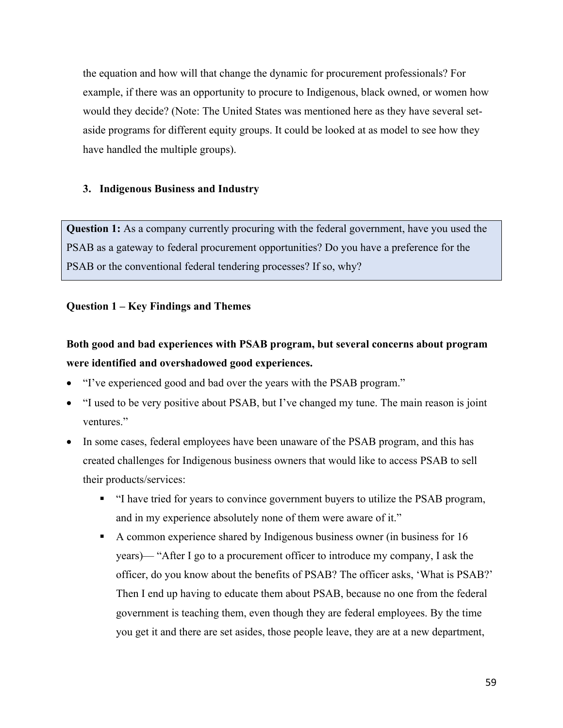the equation and how will that change the dynamic for procurement professionals? For example, if there was an opportunity to procure to Indigenous, black owned, or women how would they decide? (Note: The United States was mentioned here as they have several setaside programs for different equity groups. It could be looked at as model to see how they have handled the multiple groups).

# **3. Indigenous Business and Industry**

**Question 1:** As a company currently procuring with the federal government, have you used the PSAB as a gateway to federal procurement opportunities? Do you have a preference for the PSAB or the conventional federal tendering processes? If so, why?

# **Question 1 – Key Findings and Themes**

# **Both good and bad experiences with PSAB program, but several concerns about program were identified and overshadowed good experiences.**

- "I've experienced good and bad over the years with the PSAB program."
- "I used to be very positive about PSAB, but I've changed my tune. The main reason is joint ventures."
- In some cases, federal employees have been unaware of the PSAB program, and this has created challenges for Indigenous business owners that would like to access PSAB to sell their products/services:
	- § "I have tried for years to convince government buyers to utilize the PSAB program, and in my experience absolutely none of them were aware of it."
	- § A common experience shared by Indigenous business owner (in business for 16 years)— "After I go to a procurement officer to introduce my company, I ask the officer, do you know about the benefits of PSAB? The officer asks, 'What is PSAB?' Then I end up having to educate them about PSAB, because no one from the federal government is teaching them, even though they are federal employees. By the time you get it and there are set asides, those people leave, they are at a new department,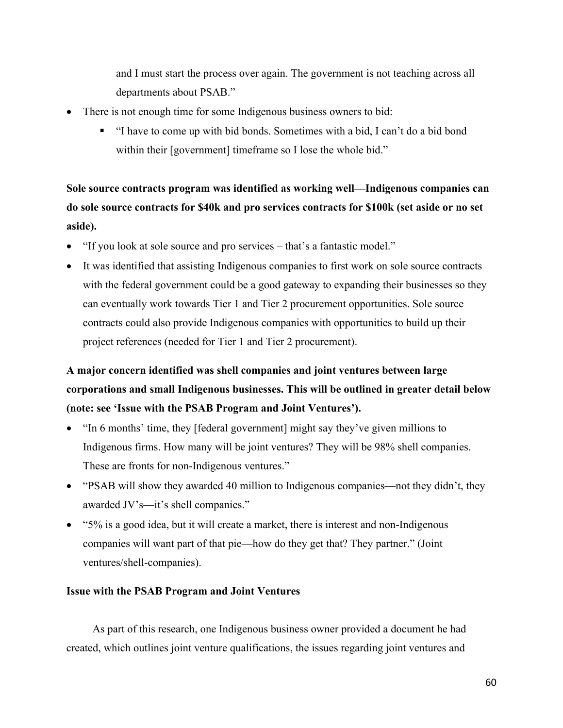and I must start the process over again. The government is not teaching across all departments about PSAB."

- There is not enough time for some Indigenous business owners to bid:
	- § "I have to come up with bid bonds. Sometimes with a bid, I can't do a bid bond within their [government] timeframe so I lose the whole bid."

**Sole source contracts program was identified as working well—Indigenous companies can do sole source contracts for \$40k and pro services contracts for \$100k (set aside or no set aside).** 

- "If you look at sole source and pro services that's a fantastic model."
- It was identified that assisting Indigenous companies to first work on sole source contracts with the federal government could be a good gateway to expanding their businesses so they can eventually work towards Tier 1 and Tier 2 procurement opportunities. Sole source contracts could also provide Indigenous companies with opportunities to build up their project references (needed for Tier 1 and Tier 2 procurement).

# **A major concern identified was shell companies and joint ventures between large corporations and small Indigenous businesses. This will be outlined in greater detail below (note: see 'Issue with the PSAB Program and Joint Ventures').**

- "In 6 months' time, they [federal government] might say they've given millions to Indigenous firms. How many will be joint ventures? They will be 98% shell companies. These are fronts for non-Indigenous ventures."
- "PSAB will show they awarded 40 million to Indigenous companies—not they didn't, they awarded JV's—it's shell companies."
- "5% is a good idea, but it will create a market, there is interest and non-Indigenous companies will want part of that pie—how do they get that? They partner." (Joint ventures/shell-companies).

#### **Issue with the PSAB Program and Joint Ventures**

As part of this research, one Indigenous business owner provided a document he had created, which outlines joint venture qualifications, the issues regarding joint ventures and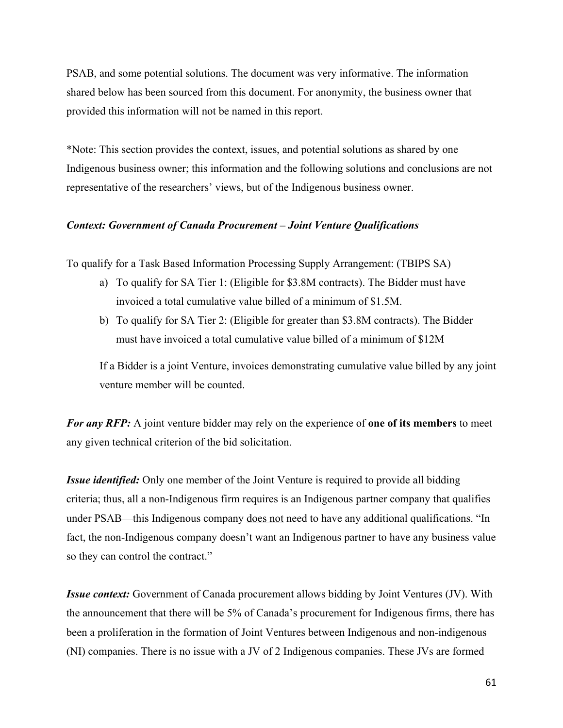PSAB, and some potential solutions. The document was very informative. The information shared below has been sourced from this document. For anonymity, the business owner that provided this information will not be named in this report.

\*Note: This section provides the context, issues, and potential solutions as shared by one Indigenous business owner; this information and the following solutions and conclusions are not representative of the researchers' views, but of the Indigenous business owner.

#### *Context: Government of Canada Procurement – Joint Venture Qualifications*

To qualify for a Task Based Information Processing Supply Arrangement: (TBIPS SA)

- a) To qualify for SA Tier 1: (Eligible for \$3.8M contracts). The Bidder must have invoiced a total cumulative value billed of a minimum of \$1.5M.
- b) To qualify for SA Tier 2: (Eligible for greater than \$3.8M contracts). The Bidder must have invoiced a total cumulative value billed of a minimum of \$12M

If a Bidder is a joint Venture, invoices demonstrating cumulative value billed by any joint venture member will be counted.

*For any RFP:* A joint venture bidder may rely on the experience of **one of its members** to meet any given technical criterion of the bid solicitation.

*Issue identified:* Only one member of the Joint Venture is required to provide all bidding criteria; thus, all a non-Indigenous firm requires is an Indigenous partner company that qualifies under PSAB—this Indigenous company does not need to have any additional qualifications. "In fact, the non-Indigenous company doesn't want an Indigenous partner to have any business value so they can control the contract."

*Issue context:* Government of Canada procurement allows bidding by Joint Ventures (JV). With the announcement that there will be 5% of Canada's procurement for Indigenous firms, there has been a proliferation in the formation of Joint Ventures between Indigenous and non-indigenous (NI) companies. There is no issue with a JV of 2 Indigenous companies. These JVs are formed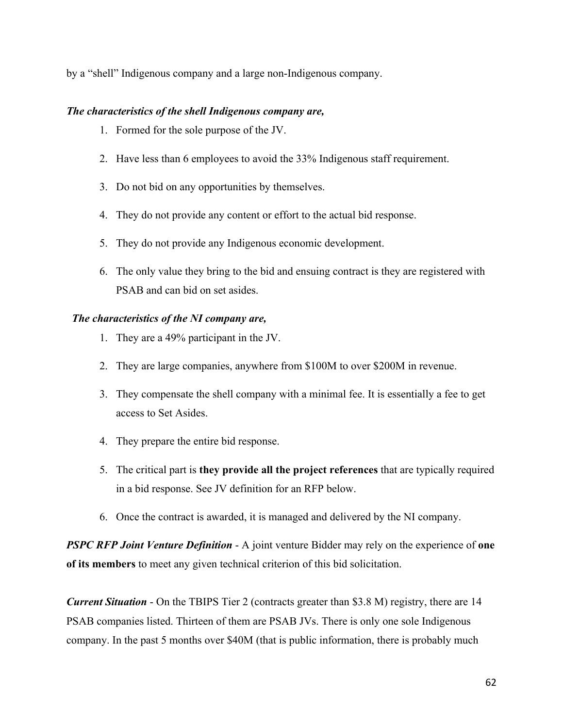by a "shell" Indigenous company and a large non-Indigenous company.

# *The characteristics of the shell Indigenous company are,*

- 1. Formed for the sole purpose of the JV.
- 2. Have less than 6 employees to avoid the 33% Indigenous staff requirement.
- 3. Do not bid on any opportunities by themselves.
- 4. They do not provide any content or effort to the actual bid response.
- 5. They do not provide any Indigenous economic development.
- 6. The only value they bring to the bid and ensuing contract is they are registered with PSAB and can bid on set asides.

# *The characteristics of the NI company are,*

- 1. They are a 49% participant in the JV.
- 2. They are large companies, anywhere from \$100M to over \$200M in revenue.
- 3. They compensate the shell company with a minimal fee. It is essentially a fee to get access to Set Asides.
- 4. They prepare the entire bid response.
- 5. The critical part is **they provide all the project references** that are typically required in a bid response. See JV definition for an RFP below.
- 6. Once the contract is awarded, it is managed and delivered by the NI company.

*PSPC RFP Joint Venture Definition* - A joint venture Bidder may rely on the experience of **one of its members** to meet any given technical criterion of this bid solicitation.

*Current Situation* - On the TBIPS Tier 2 (contracts greater than \$3.8 M) registry, there are 14 PSAB companies listed. Thirteen of them are PSAB JVs. There is only one sole Indigenous company. In the past 5 months over \$40M (that is public information, there is probably much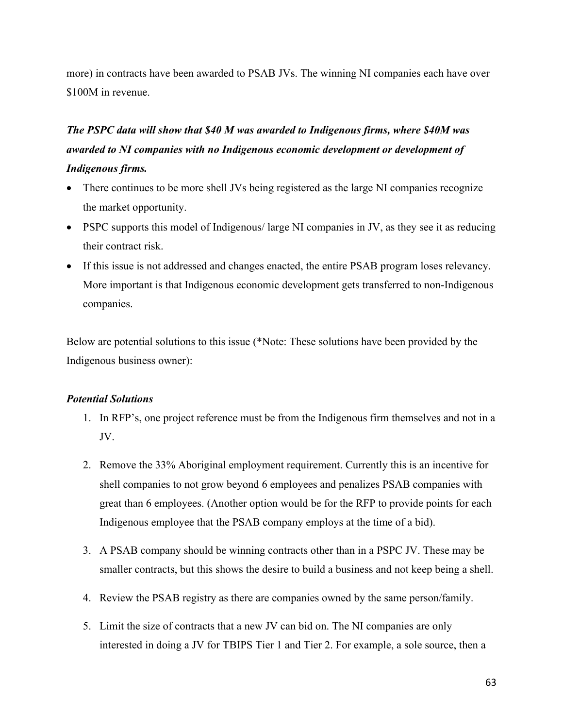more) in contracts have been awarded to PSAB JVs. The winning NI companies each have over \$100M in revenue.

# *The PSPC data will show that \$40 M was awarded to Indigenous firms, where \$40M was awarded to NI companies with no Indigenous economic development or development of Indigenous firms.*

- There continues to be more shell JVs being registered as the large NI companies recognize the market opportunity.
- PSPC supports this model of Indigenous/ large NI companies in JV, as they see it as reducing their contract risk.
- If this issue is not addressed and changes enacted, the entire PSAB program loses relevancy. More important is that Indigenous economic development gets transferred to non-Indigenous companies.

Below are potential solutions to this issue (\*Note: These solutions have been provided by the Indigenous business owner):

#### *Potential Solutions*

- 1. In RFP's, one project reference must be from the Indigenous firm themselves and not in a JV.
- 2. Remove the 33% Aboriginal employment requirement. Currently this is an incentive for shell companies to not grow beyond 6 employees and penalizes PSAB companies with great than 6 employees. (Another option would be for the RFP to provide points for each Indigenous employee that the PSAB company employs at the time of a bid).
- 3. A PSAB company should be winning contracts other than in a PSPC JV. These may be smaller contracts, but this shows the desire to build a business and not keep being a shell.
- 4. Review the PSAB registry as there are companies owned by the same person/family.
- 5. Limit the size of contracts that a new JV can bid on. The NI companies are only interested in doing a JV for TBIPS Tier 1 and Tier 2. For example, a sole source, then a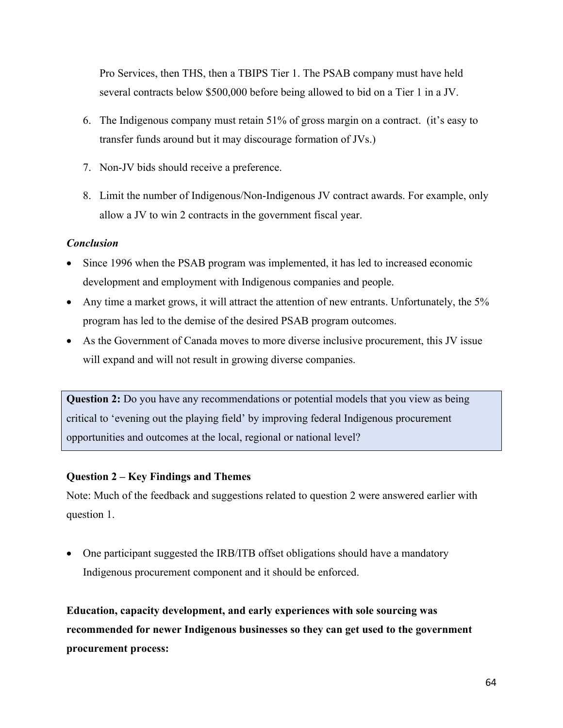Pro Services, then THS, then a TBIPS Tier 1. The PSAB company must have held several contracts below \$500,000 before being allowed to bid on a Tier 1 in a JV.

- 6. The Indigenous company must retain 51% of gross margin on a contract. (it's easy to transfer funds around but it may discourage formation of JVs.)
- 7. Non-JV bids should receive a preference.
- 8. Limit the number of Indigenous/Non-Indigenous JV contract awards. For example, only allow a JV to win 2 contracts in the government fiscal year.

#### *Conclusion*

- Since 1996 when the PSAB program was implemented, it has led to increased economic development and employment with Indigenous companies and people.
- Any time a market grows, it will attract the attention of new entrants. Unfortunately, the 5% program has led to the demise of the desired PSAB program outcomes.
- As the Government of Canada moves to more diverse inclusive procurement, this JV issue will expand and will not result in growing diverse companies.

**Question 2:** Do you have any recommendations or potential models that you view as being critical to 'evening out the playing field' by improving federal Indigenous procurement opportunities and outcomes at the local, regional or national level?

#### **Question 2 – Key Findings and Themes**

Note: Much of the feedback and suggestions related to question 2 were answered earlier with question 1.

• One participant suggested the IRB/ITB offset obligations should have a mandatory Indigenous procurement component and it should be enforced.

**Education, capacity development, and early experiences with sole sourcing was recommended for newer Indigenous businesses so they can get used to the government procurement process:**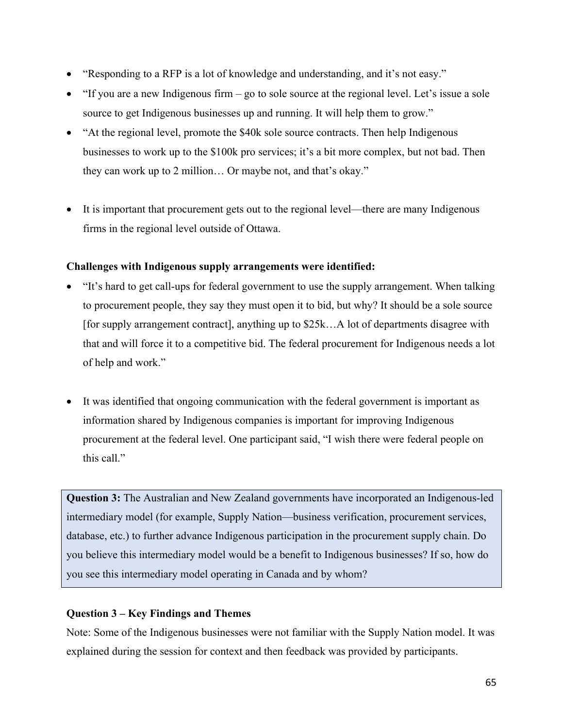- "Responding to a RFP is a lot of knowledge and understanding, and it's not easy."
- "If you are a new Indigenous firm go to sole source at the regional level. Let's issue a sole source to get Indigenous businesses up and running. It will help them to grow."
- "At the regional level, promote the \$40k sole source contracts. Then help Indigenous businesses to work up to the \$100k pro services; it's a bit more complex, but not bad. Then they can work up to 2 million… Or maybe not, and that's okay."
- It is important that procurement gets out to the regional level—there are many Indigenous firms in the regional level outside of Ottawa.

# **Challenges with Indigenous supply arrangements were identified:**

- "It's hard to get call-ups for federal government to use the supply arrangement. When talking to procurement people, they say they must open it to bid, but why? It should be a sole source [for supply arrangement contract], anything up to \$25k…A lot of departments disagree with that and will force it to a competitive bid. The federal procurement for Indigenous needs a lot of help and work."
- It was identified that ongoing communication with the federal government is important as information shared by Indigenous companies is important for improving Indigenous procurement at the federal level. One participant said, "I wish there were federal people on this call."

**Question 3:** The Australian and New Zealand governments have incorporated an Indigenous-led intermediary model (for example, Supply Nation—business verification, procurement services, database, etc.) to further advance Indigenous participation in the procurement supply chain. Do you believe this intermediary model would be a benefit to Indigenous businesses? If so, how do you see this intermediary model operating in Canada and by whom?

# **Question 3 – Key Findings and Themes**

Note: Some of the Indigenous businesses were not familiar with the Supply Nation model. It was explained during the session for context and then feedback was provided by participants.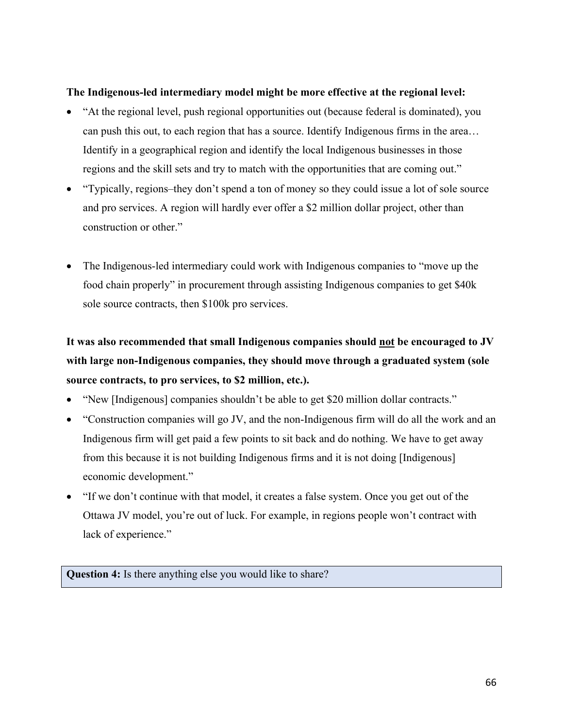#### **The Indigenous-led intermediary model might be more effective at the regional level:**

- "At the regional level, push regional opportunities out (because federal is dominated), you can push this out, to each region that has a source. Identify Indigenous firms in the area… Identify in a geographical region and identify the local Indigenous businesses in those regions and the skill sets and try to match with the opportunities that are coming out."
- "Typically, regions–they don't spend a ton of money so they could issue a lot of sole source and pro services. A region will hardly ever offer a \$2 million dollar project, other than construction or other."
- The Indigenous-led intermediary could work with Indigenous companies to "move up the food chain properly" in procurement through assisting Indigenous companies to get \$40k sole source contracts, then \$100k pro services.

# **It was also recommended that small Indigenous companies should not be encouraged to JV with large non-Indigenous companies, they should move through a graduated system (sole source contracts, to pro services, to \$2 million, etc.).**

- "New [Indigenous] companies shouldn't be able to get \$20 million dollar contracts."
- "Construction companies will go JV, and the non-Indigenous firm will do all the work and an Indigenous firm will get paid a few points to sit back and do nothing. We have to get away from this because it is not building Indigenous firms and it is not doing [Indigenous] economic development."
- "If we don't continue with that model, it creates a false system. Once you get out of the Ottawa JV model, you're out of luck. For example, in regions people won't contract with lack of experience."

**Question 4:** Is there anything else you would like to share?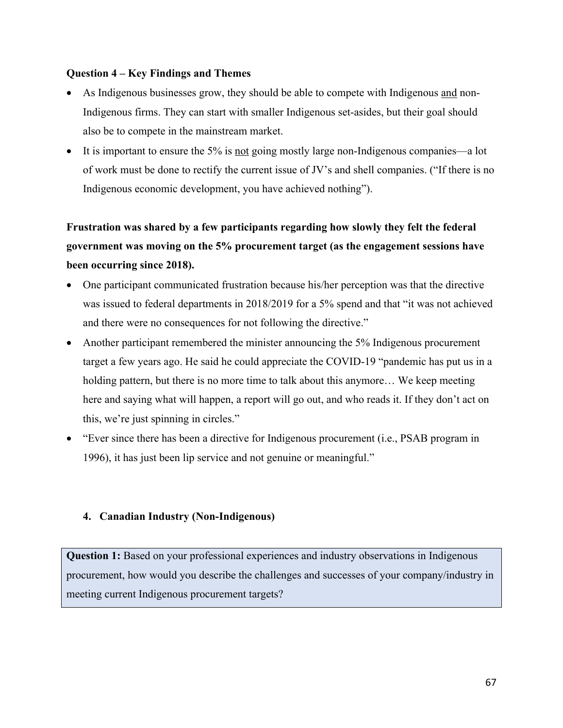#### **Question 4 – Key Findings and Themes**

- As Indigenous businesses grow, they should be able to compete with Indigenous and non-Indigenous firms. They can start with smaller Indigenous set-asides, but their goal should also be to compete in the mainstream market.
- It is important to ensure the 5% is <u>not</u> going mostly large non-Indigenous companies—a lot of work must be done to rectify the current issue of JV's and shell companies. ("If there is no Indigenous economic development, you have achieved nothing").

# **Frustration was shared by a few participants regarding how slowly they felt the federal government was moving on the 5% procurement target (as the engagement sessions have been occurring since 2018).**

- One participant communicated frustration because his/her perception was that the directive was issued to federal departments in 2018/2019 for a 5% spend and that "it was not achieved and there were no consequences for not following the directive."
- Another participant remembered the minister announcing the 5% Indigenous procurement target a few years ago. He said he could appreciate the COVID-19 "pandemic has put us in a holding pattern, but there is no more time to talk about this anymore… We keep meeting here and saying what will happen, a report will go out, and who reads it. If they don't act on this, we're just spinning in circles."
- "Ever since there has been a directive for Indigenous procurement (i.e., PSAB program in 1996), it has just been lip service and not genuine or meaningful."

#### **4. Canadian Industry (Non-Indigenous)**

**Question 1:** Based on your professional experiences and industry observations in Indigenous procurement, how would you describe the challenges and successes of your company/industry in meeting current Indigenous procurement targets?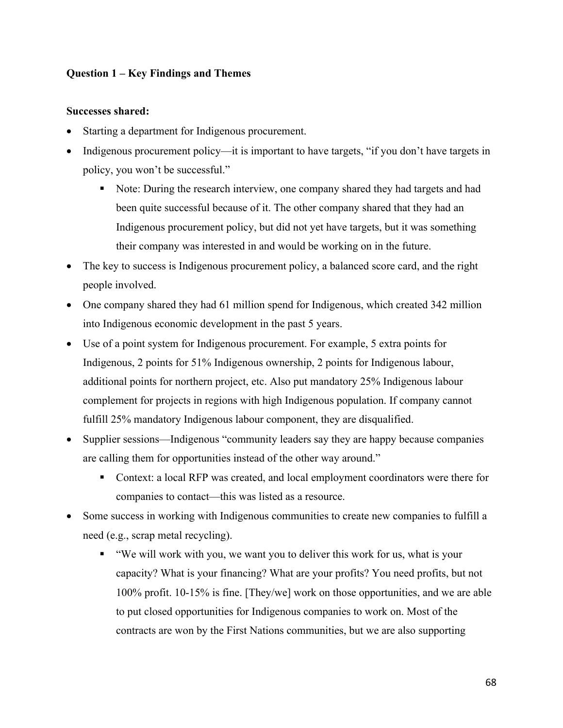# **Question 1 – Key Findings and Themes**

#### **Successes shared:**

- Starting a department for Indigenous procurement.
- Indigenous procurement policy—it is important to have targets, "if you don't have targets in policy, you won't be successful."
	- § Note: During the research interview, one company shared they had targets and had been quite successful because of it. The other company shared that they had an Indigenous procurement policy, but did not yet have targets, but it was something their company was interested in and would be working on in the future.
- The key to success is Indigenous procurement policy, a balanced score card, and the right people involved.
- One company shared they had 61 million spend for Indigenous, which created 342 million into Indigenous economic development in the past 5 years.
- Use of a point system for Indigenous procurement. For example, 5 extra points for Indigenous, 2 points for 51% Indigenous ownership, 2 points for Indigenous labour, additional points for northern project, etc. Also put mandatory 25% Indigenous labour complement for projects in regions with high Indigenous population. If company cannot fulfill 25% mandatory Indigenous labour component, they are disqualified.
- Supplier sessions—Indigenous "community leaders say they are happy because companies are calling them for opportunities instead of the other way around."
	- Context: a local RFP was created, and local employment coordinators were there for companies to contact—this was listed as a resource.
- Some success in working with Indigenous communities to create new companies to fulfill a need (e.g., scrap metal recycling).
	- "We will work with you, we want you to deliver this work for us, what is your capacity? What is your financing? What are your profits? You need profits, but not 100% profit. 10-15% is fine. [They/we] work on those opportunities, and we are able to put closed opportunities for Indigenous companies to work on. Most of the contracts are won by the First Nations communities, but we are also supporting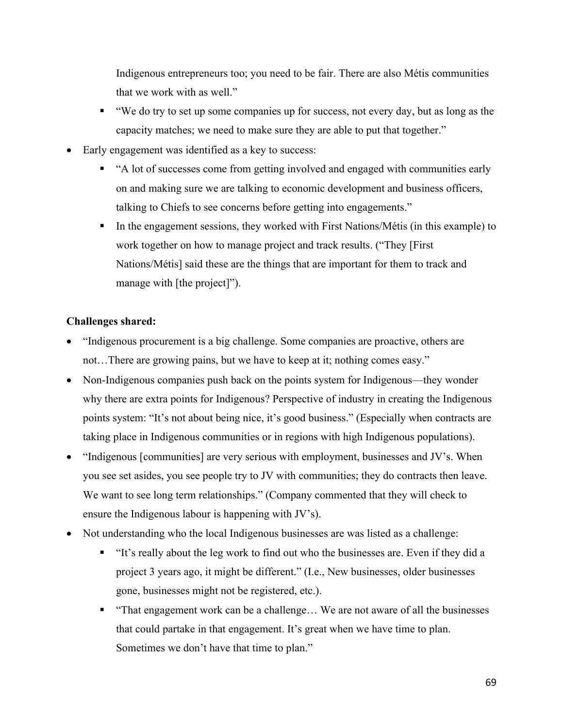Indigenous entrepreneurs too; you need to be fair. There are also Métis communities that we work with as well."

- "We do try to set up some companies up for success, not every day, but as long as the capacity matches; we need to make sure they are able to put that together."
- Early engagement was identified as a key to success:
	- § "A lot of successes come from getting involved and engaged with communities early on and making sure we are talking to economic development and business officers, talking to Chiefs to see concerns before getting into engagements."
	- In the engagement sessions, they worked with First Nations/Métis (in this example) to work together on how to manage project and track results. ("They [First Nations/Métis] said these are the things that are important for them to track and manage with [the project]").

# **Challenges shared:**

- "Indigenous procurement is a big challenge. Some companies are proactive, others are not…There are growing pains, but we have to keep at it; nothing comes easy."
- Non-Indigenous companies push back on the points system for Indigenous—they wonder why there are extra points for Indigenous? Perspective of industry in creating the Indigenous points system: "It's not about being nice, it's good business." (Especially when contracts are taking place in Indigenous communities or in regions with high Indigenous populations).
- "Indigenous [communities] are very serious with employment, businesses and JV's. When you see set asides, you see people try to JV with communities; they do contracts then leave. We want to see long term relationships." (Company commented that they will check to ensure the Indigenous labour is happening with JV's).
- Not understanding who the local Indigenous businesses are was listed as a challenge:
	- § "It's really about the leg work to find out who the businesses are. Even if they did a project 3 years ago, it might be different." (I.e., New businesses, older businesses gone, businesses might not be registered, etc.).
	- "That engagement work can be a challenge... We are not aware of all the businesses that could partake in that engagement. It's great when we have time to plan. Sometimes we don't have that time to plan."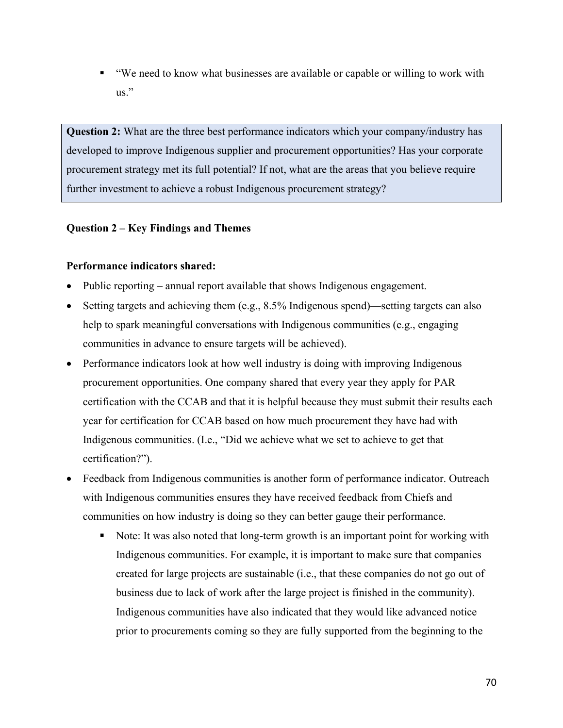■ "We need to know what businesses are available or capable or willing to work with us."

**Question 2:** What are the three best performance indicators which your company/industry has developed to improve Indigenous supplier and procurement opportunities? Has your corporate procurement strategy met its full potential? If not, what are the areas that you believe require further investment to achieve a robust Indigenous procurement strategy?

# **Question 2 – Key Findings and Themes**

# **Performance indicators shared:**

- Public reporting annual report available that shows Indigenous engagement.
- Setting targets and achieving them (e.g., 8.5% Indigenous spend)—setting targets can also help to spark meaningful conversations with Indigenous communities (e.g., engaging communities in advance to ensure targets will be achieved).
- Performance indicators look at how well industry is doing with improving Indigenous procurement opportunities. One company shared that every year they apply for PAR certification with the CCAB and that it is helpful because they must submit their results each year for certification for CCAB based on how much procurement they have had with Indigenous communities. (I.e., "Did we achieve what we set to achieve to get that certification?").
- Feedback from Indigenous communities is another form of performance indicator. Outreach with Indigenous communities ensures they have received feedback from Chiefs and communities on how industry is doing so they can better gauge their performance.
	- Note: It was also noted that long-term growth is an important point for working with Indigenous communities. For example, it is important to make sure that companies created for large projects are sustainable (i.e., that these companies do not go out of business due to lack of work after the large project is finished in the community). Indigenous communities have also indicated that they would like advanced notice prior to procurements coming so they are fully supported from the beginning to the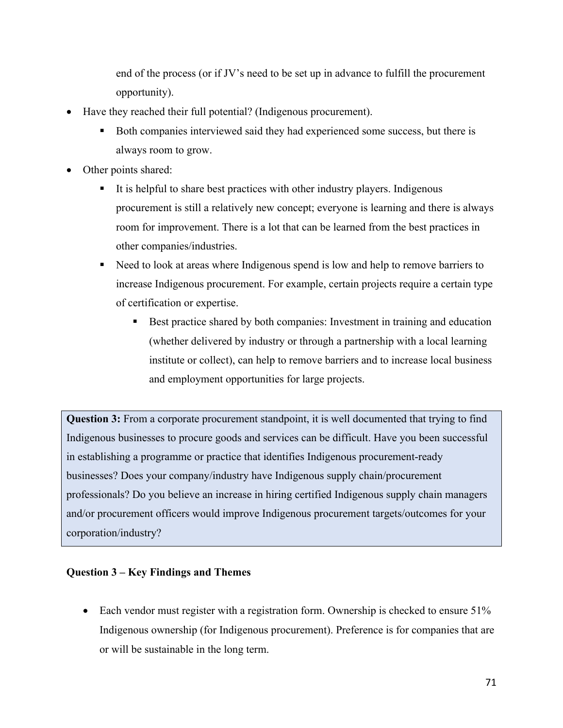end of the process (or if JV's need to be set up in advance to fulfill the procurement opportunity).

- Have they reached their full potential? (Indigenous procurement).
	- Both companies interviewed said they had experienced some success, but there is always room to grow.
- Other points shared:
	- It is helpful to share best practices with other industry players. Indigenous procurement is still a relatively new concept; everyone is learning and there is always room for improvement. There is a lot that can be learned from the best practices in other companies/industries.
	- Need to look at areas where Indigenous spend is low and help to remove barriers to increase Indigenous procurement. For example, certain projects require a certain type of certification or expertise.
		- Best practice shared by both companies: Investment in training and education (whether delivered by industry or through a partnership with a local learning institute or collect), can help to remove barriers and to increase local business and employment opportunities for large projects.

**Question 3:** From a corporate procurement standpoint, it is well documented that trying to find Indigenous businesses to procure goods and services can be difficult. Have you been successful in establishing a programme or practice that identifies Indigenous procurement-ready businesses? Does your company/industry have Indigenous supply chain/procurement professionals? Do you believe an increase in hiring certified Indigenous supply chain managers and/or procurement officers would improve Indigenous procurement targets/outcomes for your corporation/industry?

# **Question 3 – Key Findings and Themes**

• Each vendor must register with a registration form. Ownership is checked to ensure 51% Indigenous ownership (for Indigenous procurement). Preference is for companies that are or will be sustainable in the long term.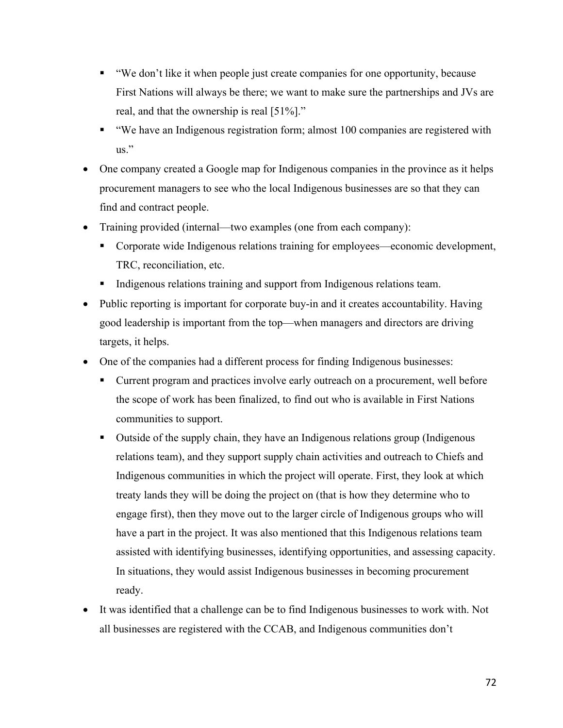- "We don't like it when people just create companies for one opportunity, because First Nations will always be there; we want to make sure the partnerships and JVs are real, and that the ownership is real [51%]."
- "We have an Indigenous registration form; almost 100 companies are registered with us."
- One company created a Google map for Indigenous companies in the province as it helps procurement managers to see who the local Indigenous businesses are so that they can find and contract people.
- Training provided (internal—two examples (one from each company):
	- Corporate wide Indigenous relations training for employees—economic development, TRC, reconciliation, etc.
	- Indigenous relations training and support from Indigenous relations team.
- Public reporting is important for corporate buy-in and it creates accountability. Having good leadership is important from the top—when managers and directors are driving targets, it helps.
- One of the companies had a different process for finding Indigenous businesses:
	- Current program and practices involve early outreach on a procurement, well before the scope of work has been finalized, to find out who is available in First Nations communities to support.
	- Outside of the supply chain, they have an Indigenous relations group (Indigenous relations team), and they support supply chain activities and outreach to Chiefs and Indigenous communities in which the project will operate. First, they look at which treaty lands they will be doing the project on (that is how they determine who to engage first), then they move out to the larger circle of Indigenous groups who will have a part in the project. It was also mentioned that this Indigenous relations team assisted with identifying businesses, identifying opportunities, and assessing capacity. In situations, they would assist Indigenous businesses in becoming procurement ready.
- It was identified that a challenge can be to find Indigenous businesses to work with. Not all businesses are registered with the CCAB, and Indigenous communities don't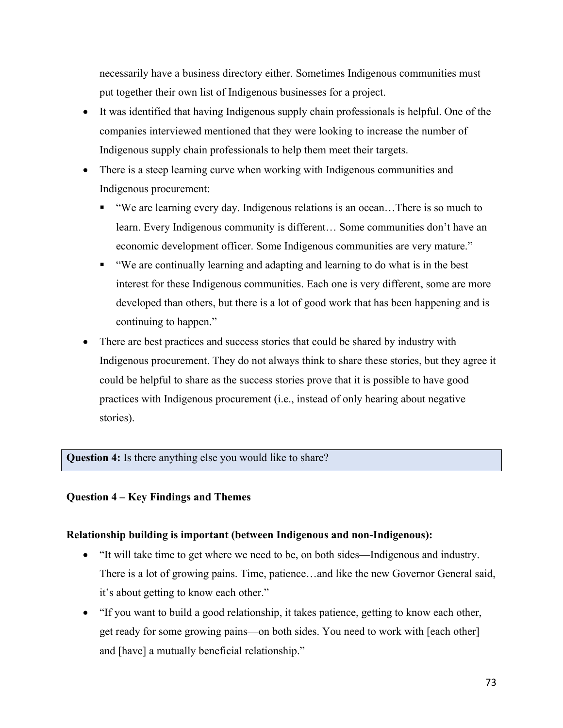necessarily have a business directory either. Sometimes Indigenous communities must put together their own list of Indigenous businesses for a project.

- It was identified that having Indigenous supply chain professionals is helpful. One of the companies interviewed mentioned that they were looking to increase the number of Indigenous supply chain professionals to help them meet their targets.
- There is a steep learning curve when working with Indigenous communities and Indigenous procurement:
	- § "We are learning every day. Indigenous relations is an ocean…There is so much to learn. Every Indigenous community is different… Some communities don't have an economic development officer. Some Indigenous communities are very mature."
	- § "We are continually learning and adapting and learning to do what is in the best interest for these Indigenous communities. Each one is very different, some are more developed than others, but there is a lot of good work that has been happening and is continuing to happen."
- There are best practices and success stories that could be shared by industry with Indigenous procurement. They do not always think to share these stories, but they agree it could be helpful to share as the success stories prove that it is possible to have good practices with Indigenous procurement (i.e., instead of only hearing about negative stories).

## **Question 4:** Is there anything else you would like to share?

## **Question 4 – Key Findings and Themes**

## **Relationship building is important (between Indigenous and non-Indigenous):**

- "It will take time to get where we need to be, on both sides—Indigenous and industry. There is a lot of growing pains. Time, patience…and like the new Governor General said, it's about getting to know each other."
- "If you want to build a good relationship, it takes patience, getting to know each other, get ready for some growing pains—on both sides. You need to work with [each other] and [have] a mutually beneficial relationship."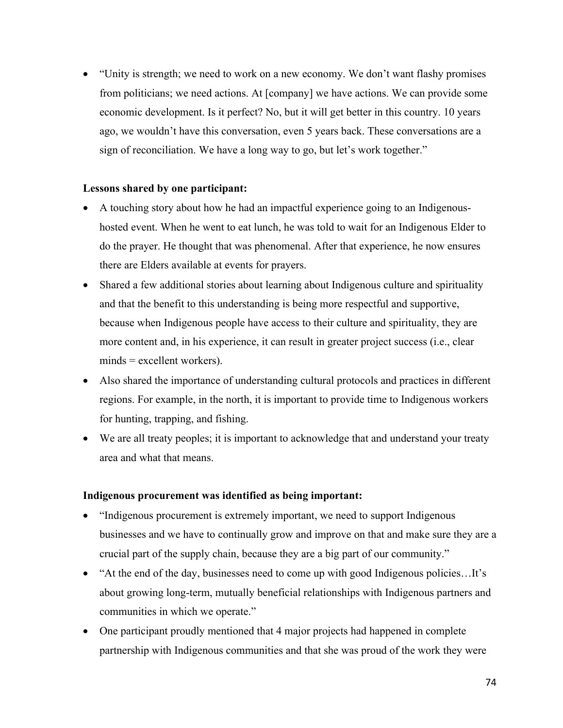• "Unity is strength; we need to work on a new economy. We don't want flashy promises from politicians; we need actions. At [company] we have actions. We can provide some economic development. Is it perfect? No, but it will get better in this country. 10 years ago, we wouldn't have this conversation, even 5 years back. These conversations are a sign of reconciliation. We have a long way to go, but let's work together."

## **Lessons shared by one participant:**

- A touching story about how he had an impactful experience going to an Indigenoushosted event. When he went to eat lunch, he was told to wait for an Indigenous Elder to do the prayer. He thought that was phenomenal. After that experience, he now ensures there are Elders available at events for prayers.
- Shared a few additional stories about learning about Indigenous culture and spirituality and that the benefit to this understanding is being more respectful and supportive, because when Indigenous people have access to their culture and spirituality, they are more content and, in his experience, it can result in greater project success (i.e., clear  $minds = excellent workers)$ .
- Also shared the importance of understanding cultural protocols and practices in different regions. For example, in the north, it is important to provide time to Indigenous workers for hunting, trapping, and fishing.
- We are all treaty peoples; it is important to acknowledge that and understand your treaty area and what that means.

### **Indigenous procurement was identified as being important:**

- "Indigenous procurement is extremely important, we need to support Indigenous businesses and we have to continually grow and improve on that and make sure they are a crucial part of the supply chain, because they are a big part of our community."
- "At the end of the day, businesses need to come up with good Indigenous policies…It's about growing long-term, mutually beneficial relationships with Indigenous partners and communities in which we operate."
- One participant proudly mentioned that 4 major projects had happened in complete partnership with Indigenous communities and that she was proud of the work they were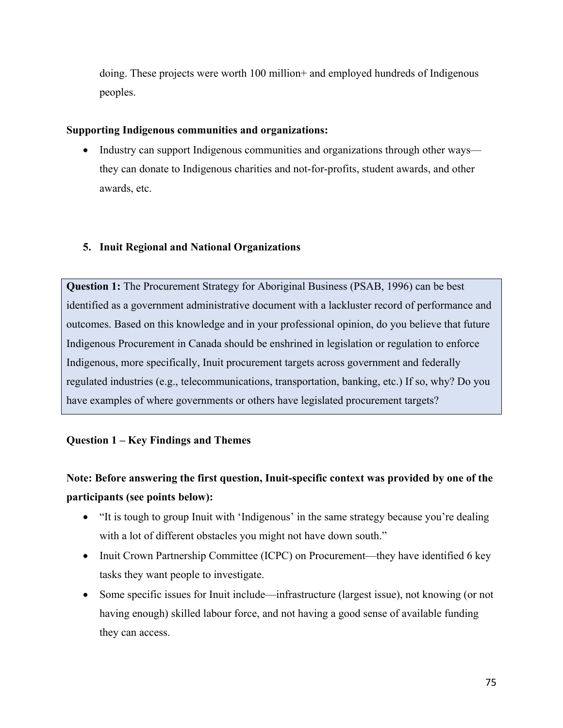doing. These projects were worth 100 million+ and employed hundreds of Indigenous peoples.

## **Supporting Indigenous communities and organizations:**

• Industry can support Indigenous communities and organizations through other ways they can donate to Indigenous charities and not-for-profits, student awards, and other awards, etc.

# **5. Inuit Regional and National Organizations**

**Question 1:** The Procurement Strategy for Aboriginal Business (PSAB, 1996) can be best identified as a government administrative document with a lackluster record of performance and outcomes. Based on this knowledge and in your professional opinion, do you believe that future Indigenous Procurement in Canada should be enshrined in legislation or regulation to enforce Indigenous, more specifically, Inuit procurement targets across government and federally regulated industries (e.g., telecommunications, transportation, banking, etc.) If so, why? Do you have examples of where governments or others have legislated procurement targets?

# **Question 1 – Key Findings and Themes**

# **Note: Before answering the first question, Inuit-specific context was provided by one of the participants (see points below):**

- "It is tough to group Inuit with 'Indigenous' in the same strategy because you're dealing with a lot of different obstacles you might not have down south."
- Inuit Crown Partnership Committee (ICPC) on Procurement—they have identified 6 key tasks they want people to investigate.
- Some specific issues for Inuit include—infrastructure (largest issue), not knowing (or not having enough) skilled labour force, and not having a good sense of available funding they can access.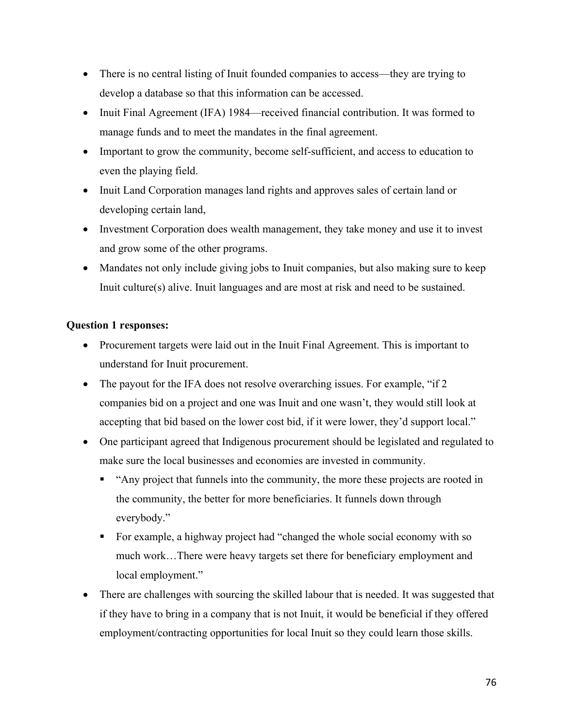- There is no central listing of Inuit founded companies to access—they are trying to develop a database so that this information can be accessed.
- Inuit Final Agreement (IFA) 1984—received financial contribution. It was formed to manage funds and to meet the mandates in the final agreement.
- Important to grow the community, become self-sufficient, and access to education to even the playing field.
- Inuit Land Corporation manages land rights and approves sales of certain land or developing certain land,
- Investment Corporation does wealth management, they take money and use it to invest and grow some of the other programs.
- Mandates not only include giving jobs to Inuit companies, but also making sure to keep Inuit culture(s) alive. Inuit languages and are most at risk and need to be sustained.

# **Question 1 responses:**

- Procurement targets were laid out in the Inuit Final Agreement. This is important to understand for Inuit procurement.
- The payout for the IFA does not resolve overarching issues. For example, "if 2 companies bid on a project and one was Inuit and one wasn't, they would still look at accepting that bid based on the lower cost bid, if it were lower, they'd support local."
- One participant agreed that Indigenous procurement should be legislated and regulated to make sure the local businesses and economies are invested in community.
	- § "Any project that funnels into the community, the more these projects are rooted in the community, the better for more beneficiaries. It funnels down through everybody."
	- § For example, a highway project had "changed the whole social economy with so much work…There were heavy targets set there for beneficiary employment and local employment."
- There are challenges with sourcing the skilled labour that is needed. It was suggested that if they have to bring in a company that is not Inuit, it would be beneficial if they offered employment/contracting opportunities for local Inuit so they could learn those skills.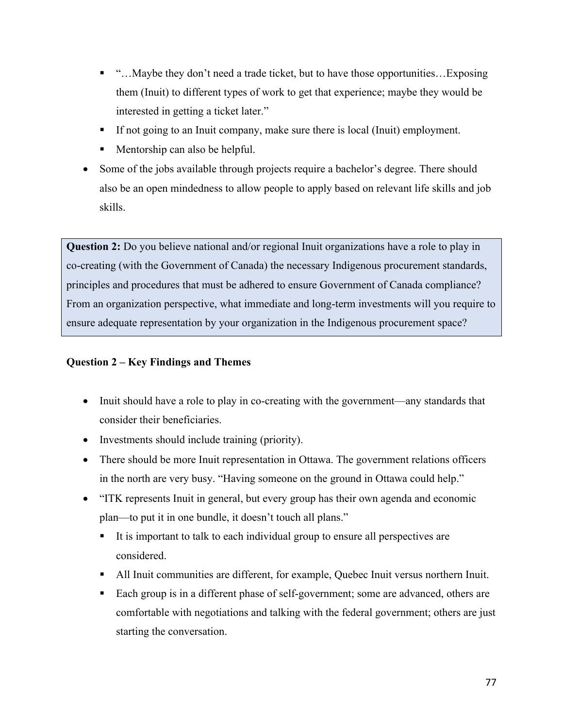- "…Maybe they don't need a trade ticket, but to have those opportunities... Exposing them (Inuit) to different types of work to get that experience; maybe they would be interested in getting a ticket later."
- § If not going to an Inuit company, make sure there is local (Inuit) employment.
- Mentorship can also be helpful.
- Some of the jobs available through projects require a bachelor's degree. There should also be an open mindedness to allow people to apply based on relevant life skills and job skills.

**Question 2:** Do you believe national and/or regional Inuit organizations have a role to play in co-creating (with the Government of Canada) the necessary Indigenous procurement standards, principles and procedures that must be adhered to ensure Government of Canada compliance? From an organization perspective, what immediate and long-term investments will you require to ensure adequate representation by your organization in the Indigenous procurement space?

# **Question 2 – Key Findings and Themes**

- Inuit should have a role to play in co-creating with the government—any standards that consider their beneficiaries.
- Investments should include training (priority).
- There should be more Inuit representation in Ottawa. The government relations officers in the north are very busy. "Having someone on the ground in Ottawa could help."
- "ITK represents Inuit in general, but every group has their own agenda and economic plan—to put it in one bundle, it doesn't touch all plans."
	- It is important to talk to each individual group to ensure all perspectives are considered.
	- All Inuit communities are different, for example, Quebec Inuit versus northern Inuit.
	- Each group is in a different phase of self-government; some are advanced, others are comfortable with negotiations and talking with the federal government; others are just starting the conversation.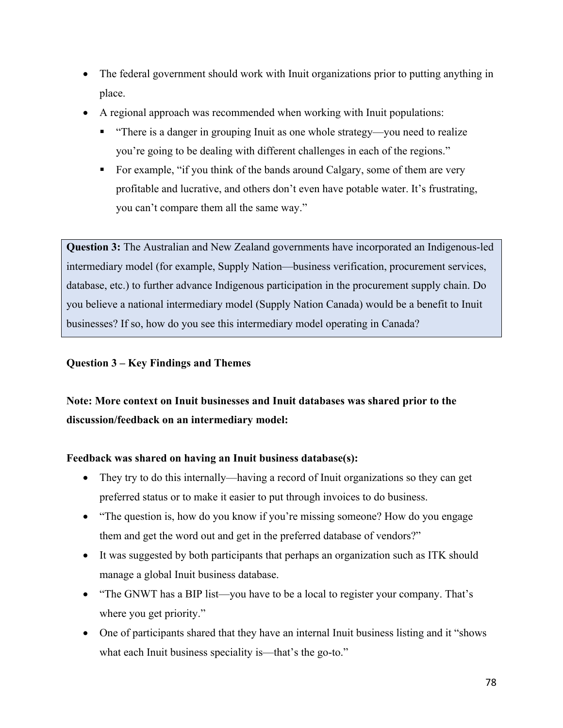- The federal government should work with Inuit organizations prior to putting anything in place.
- A regional approach was recommended when working with Inuit populations:
	- "There is a danger in grouping Inuit as one whole strategy—you need to realize you're going to be dealing with different challenges in each of the regions."
	- For example, "if you think of the bands around Calgary, some of them are very profitable and lucrative, and others don't even have potable water. It's frustrating, you can't compare them all the same way."

**Question 3:** The Australian and New Zealand governments have incorporated an Indigenous-led intermediary model (for example, Supply Nation—business verification, procurement services, database, etc.) to further advance Indigenous participation in the procurement supply chain. Do you believe a national intermediary model (Supply Nation Canada) would be a benefit to Inuit businesses? If so, how do you see this intermediary model operating in Canada?

# **Question 3 – Key Findings and Themes**

# **Note: More context on Inuit businesses and Inuit databases was shared prior to the discussion/feedback on an intermediary model:**

# **Feedback was shared on having an Inuit business database(s):**

- They try to do this internally—having a record of Inuit organizations so they can get preferred status or to make it easier to put through invoices to do business.
- "The question is, how do you know if you're missing someone? How do you engage them and get the word out and get in the preferred database of vendors?"
- It was suggested by both participants that perhaps an organization such as ITK should manage a global Inuit business database.
- "The GNWT has a BIP list—you have to be a local to register your company. That's where you get priority."
- One of participants shared that they have an internal Inuit business listing and it "shows" what each Inuit business speciality is—that's the go-to."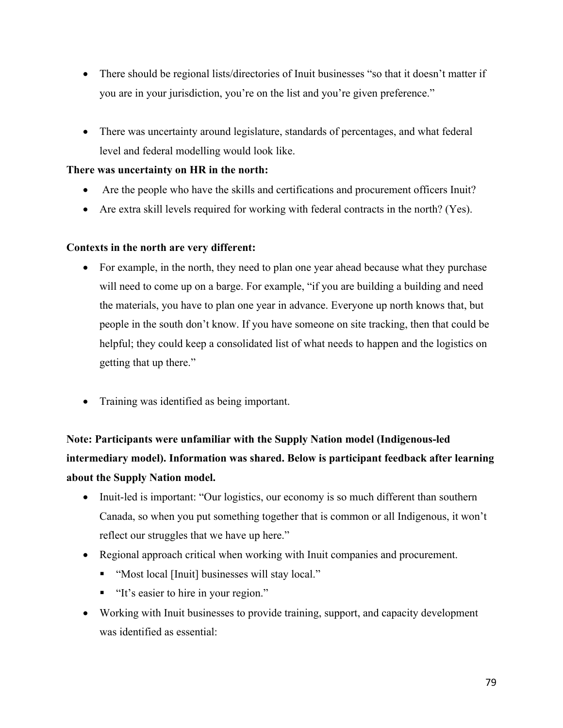- There should be regional lists/directories of Inuit businesses "so that it doesn't matter if you are in your jurisdiction, you're on the list and you're given preference."
- There was uncertainty around legislature, standards of percentages, and what federal level and federal modelling would look like.

## **There was uncertainty on HR in the north:**

- Are the people who have the skills and certifications and procurement officers Inuit?
- Are extra skill levels required for working with federal contracts in the north? (Yes).

## **Contexts in the north are very different:**

- For example, in the north, they need to plan one year ahead because what they purchase will need to come up on a barge. For example, "if you are building a building and need the materials, you have to plan one year in advance. Everyone up north knows that, but people in the south don't know. If you have someone on site tracking, then that could be helpful; they could keep a consolidated list of what needs to happen and the logistics on getting that up there."
- Training was identified as being important.

**Note: Participants were unfamiliar with the Supply Nation model (Indigenous-led intermediary model). Information was shared. Below is participant feedback after learning about the Supply Nation model.**

- Inuit-led is important: "Our logistics, our economy is so much different than southern Canada, so when you put something together that is common or all Indigenous, it won't reflect our struggles that we have up here."
- Regional approach critical when working with Inuit companies and procurement.
	- "Most local [Inuit] businesses will stay local."
	- "It's easier to hire in your region."
- Working with Inuit businesses to provide training, support, and capacity development was identified as essential: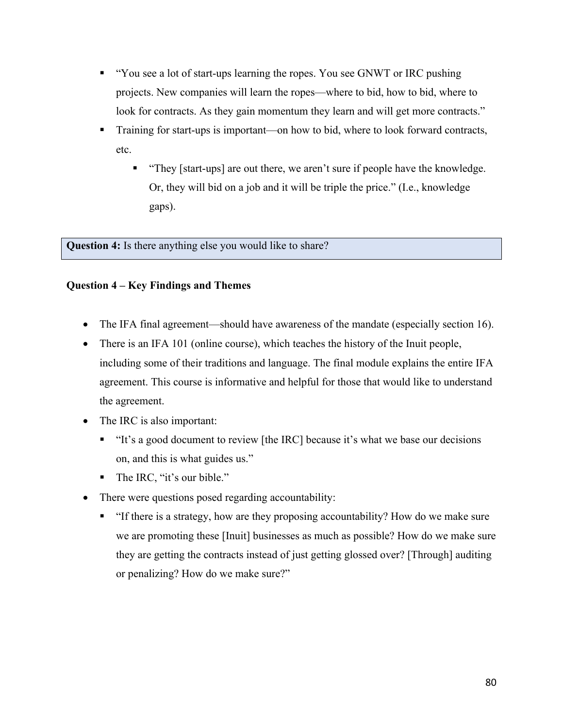- § "You see a lot of start-ups learning the ropes. You see GNWT or IRC pushing projects. New companies will learn the ropes—where to bid, how to bid, where to look for contracts. As they gain momentum they learn and will get more contracts."
- Training for start-ups is important—on how to bid, where to look forward contracts, etc.
	- § "They [start-ups] are out there, we aren't sure if people have the knowledge. Or, they will bid on a job and it will be triple the price." (I.e., knowledge gaps).

**Question 4:** Is there anything else you would like to share?

# **Question 4 – Key Findings and Themes**

- The IFA final agreement—should have awareness of the mandate (especially section 16).
- There is an IFA 101 (online course), which teaches the history of the Inuit people, including some of their traditions and language. The final module explains the entire IFA agreement. This course is informative and helpful for those that would like to understand the agreement.
- The IRC is also important:
	- § "It's a good document to review [the IRC] because it's what we base our decisions on, and this is what guides us."
	- The IRC, "it's our bible."
- There were questions posed regarding accountability:
	- § "If there is a strategy, how are they proposing accountability? How do we make sure we are promoting these [Inuit] businesses as much as possible? How do we make sure they are getting the contracts instead of just getting glossed over? [Through] auditing or penalizing? How do we make sure?"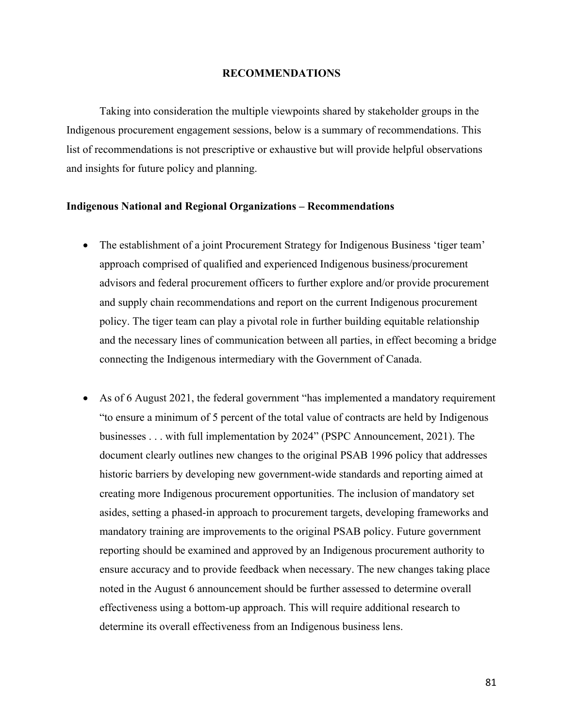#### **RECOMMENDATIONS**

Taking into consideration the multiple viewpoints shared by stakeholder groups in the Indigenous procurement engagement sessions, below is a summary of recommendations. This list of recommendations is not prescriptive or exhaustive but will provide helpful observations and insights for future policy and planning.

### **Indigenous National and Regional Organizations – Recommendations**

- The establishment of a joint Procurement Strategy for Indigenous Business 'tiger team' approach comprised of qualified and experienced Indigenous business/procurement advisors and federal procurement officers to further explore and/or provide procurement and supply chain recommendations and report on the current Indigenous procurement policy. The tiger team can play a pivotal role in further building equitable relationship and the necessary lines of communication between all parties, in effect becoming a bridge connecting the Indigenous intermediary with the Government of Canada.
- As of 6 August 2021, the federal government "has implemented a mandatory requirement "to ensure a minimum of 5 percent of the total value of contracts are held by Indigenous businesses . . . with full implementation by 2024" (PSPC Announcement, 2021). The document clearly outlines new changes to the original PSAB 1996 policy that addresses historic barriers by developing new government-wide standards and reporting aimed at creating more Indigenous procurement opportunities. The inclusion of mandatory set asides, setting a phased-in approach to procurement targets, developing frameworks and mandatory training are improvements to the original PSAB policy. Future government reporting should be examined and approved by an Indigenous procurement authority to ensure accuracy and to provide feedback when necessary. The new changes taking place noted in the August 6 announcement should be further assessed to determine overall effectiveness using a bottom-up approach. This will require additional research to determine its overall effectiveness from an Indigenous business lens.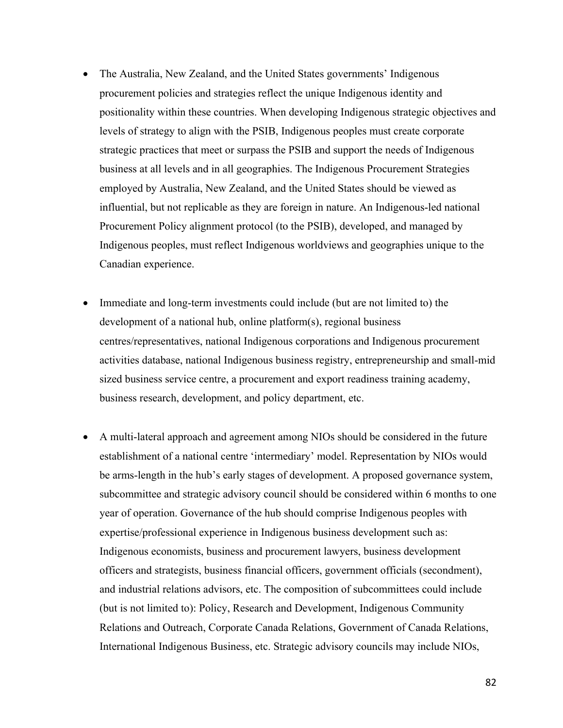- The Australia, New Zealand, and the United States governments' Indigenous procurement policies and strategies reflect the unique Indigenous identity and positionality within these countries. When developing Indigenous strategic objectives and levels of strategy to align with the PSIB, Indigenous peoples must create corporate strategic practices that meet or surpass the PSIB and support the needs of Indigenous business at all levels and in all geographies. The Indigenous Procurement Strategies employed by Australia, New Zealand, and the United States should be viewed as influential, but not replicable as they are foreign in nature. An Indigenous-led national Procurement Policy alignment protocol (to the PSIB), developed, and managed by Indigenous peoples, must reflect Indigenous worldviews and geographies unique to the Canadian experience.
- Immediate and long-term investments could include (but are not limited to) the development of a national hub, online platform(s), regional business centres/representatives, national Indigenous corporations and Indigenous procurement activities database, national Indigenous business registry, entrepreneurship and small-mid sized business service centre, a procurement and export readiness training academy, business research, development, and policy department, etc.
- A multi-lateral approach and agreement among NIOs should be considered in the future establishment of a national centre 'intermediary' model. Representation by NIOs would be arms-length in the hub's early stages of development. A proposed governance system, subcommittee and strategic advisory council should be considered within 6 months to one year of operation. Governance of the hub should comprise Indigenous peoples with expertise/professional experience in Indigenous business development such as: Indigenous economists, business and procurement lawyers, business development officers and strategists, business financial officers, government officials (secondment), and industrial relations advisors, etc. The composition of subcommittees could include (but is not limited to): Policy, Research and Development, Indigenous Community Relations and Outreach, Corporate Canada Relations, Government of Canada Relations, International Indigenous Business, etc. Strategic advisory councils may include NIOs,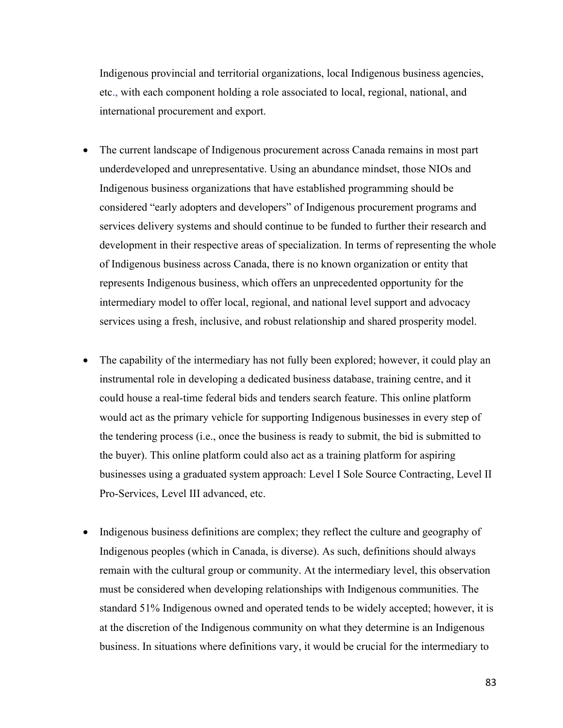Indigenous provincial and territorial organizations, local Indigenous business agencies, etc., with each component holding a role associated to local, regional, national, and international procurement and export.

- The current landscape of Indigenous procurement across Canada remains in most part underdeveloped and unrepresentative. Using an abundance mindset, those NIOs and Indigenous business organizations that have established programming should be considered "early adopters and developers" of Indigenous procurement programs and services delivery systems and should continue to be funded to further their research and development in their respective areas of specialization. In terms of representing the whole of Indigenous business across Canada, there is no known organization or entity that represents Indigenous business, which offers an unprecedented opportunity for the intermediary model to offer local, regional, and national level support and advocacy services using a fresh, inclusive, and robust relationship and shared prosperity model.
- The capability of the intermediary has not fully been explored; however, it could play an instrumental role in developing a dedicated business database, training centre, and it could house a real-time federal bids and tenders search feature. This online platform would act as the primary vehicle for supporting Indigenous businesses in every step of the tendering process (i.e., once the business is ready to submit, the bid is submitted to the buyer). This online platform could also act as a training platform for aspiring businesses using a graduated system approach: Level I Sole Source Contracting, Level II Pro-Services, Level III advanced, etc.
- Indigenous business definitions are complex; they reflect the culture and geography of Indigenous peoples (which in Canada, is diverse). As such, definitions should always remain with the cultural group or community. At the intermediary level, this observation must be considered when developing relationships with Indigenous communities. The standard 51% Indigenous owned and operated tends to be widely accepted; however, it is at the discretion of the Indigenous community on what they determine is an Indigenous business. In situations where definitions vary, it would be crucial for the intermediary to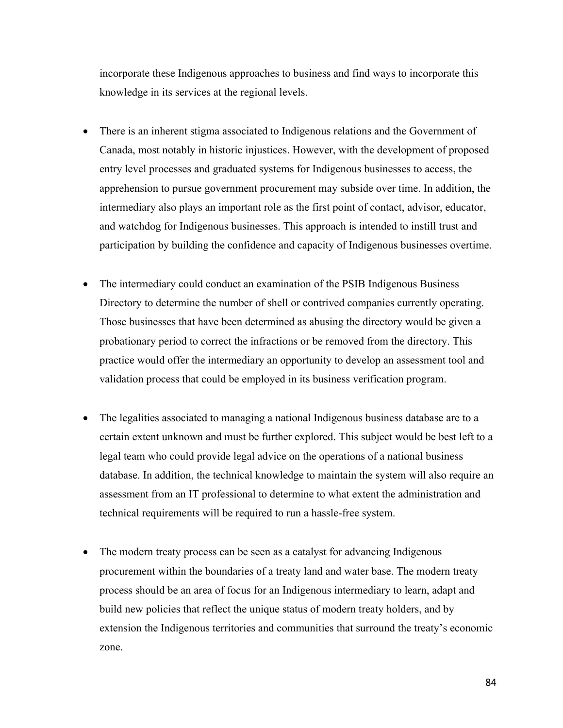incorporate these Indigenous approaches to business and find ways to incorporate this knowledge in its services at the regional levels.

- There is an inherent stigma associated to Indigenous relations and the Government of Canada, most notably in historic injustices. However, with the development of proposed entry level processes and graduated systems for Indigenous businesses to access, the apprehension to pursue government procurement may subside over time. In addition, the intermediary also plays an important role as the first point of contact, advisor, educator, and watchdog for Indigenous businesses. This approach is intended to instill trust and participation by building the confidence and capacity of Indigenous businesses overtime.
- The intermediary could conduct an examination of the PSIB Indigenous Business Directory to determine the number of shell or contrived companies currently operating. Those businesses that have been determined as abusing the directory would be given a probationary period to correct the infractions or be removed from the directory. This practice would offer the intermediary an opportunity to develop an assessment tool and validation process that could be employed in its business verification program.
- The legalities associated to managing a national Indigenous business database are to a certain extent unknown and must be further explored. This subject would be best left to a legal team who could provide legal advice on the operations of a national business database. In addition, the technical knowledge to maintain the system will also require an assessment from an IT professional to determine to what extent the administration and technical requirements will be required to run a hassle-free system.
- The modern treaty process can be seen as a catalyst for advancing Indigenous procurement within the boundaries of a treaty land and water base. The modern treaty process should be an area of focus for an Indigenous intermediary to learn, adapt and build new policies that reflect the unique status of modern treaty holders, and by extension the Indigenous territories and communities that surround the treaty's economic zone.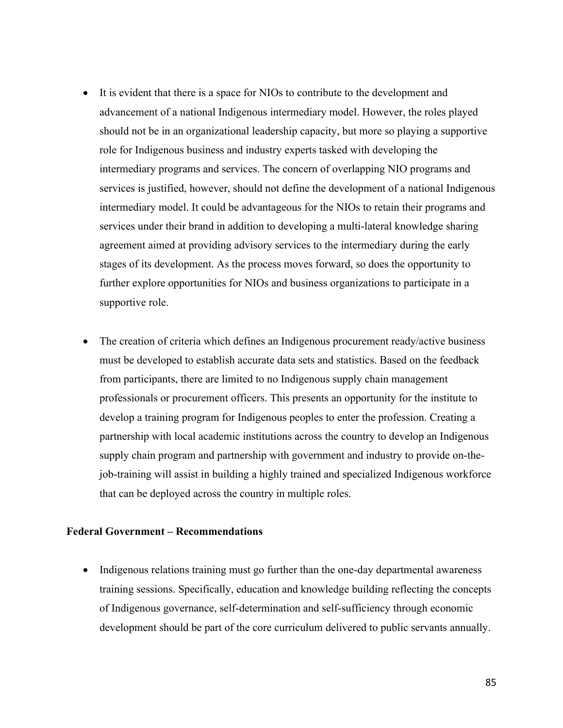- It is evident that there is a space for NIOs to contribute to the development and advancement of a national Indigenous intermediary model. However, the roles played should not be in an organizational leadership capacity, but more so playing a supportive role for Indigenous business and industry experts tasked with developing the intermediary programs and services. The concern of overlapping NIO programs and services is justified, however, should not define the development of a national Indigenous intermediary model. It could be advantageous for the NIOs to retain their programs and services under their brand in addition to developing a multi-lateral knowledge sharing agreement aimed at providing advisory services to the intermediary during the early stages of its development. As the process moves forward, so does the opportunity to further explore opportunities for NIOs and business organizations to participate in a supportive role.
- The creation of criteria which defines an Indigenous procurement ready/active business must be developed to establish accurate data sets and statistics. Based on the feedback from participants, there are limited to no Indigenous supply chain management professionals or procurement officers. This presents an opportunity for the institute to develop a training program for Indigenous peoples to enter the profession. Creating a partnership with local academic institutions across the country to develop an Indigenous supply chain program and partnership with government and industry to provide on-thejob-training will assist in building a highly trained and specialized Indigenous workforce that can be deployed across the country in multiple roles.

### **Federal Government – Recommendations**

• Indigenous relations training must go further than the one-day departmental awareness training sessions. Specifically, education and knowledge building reflecting the concepts of Indigenous governance, self-determination and self-sufficiency through economic development should be part of the core curriculum delivered to public servants annually.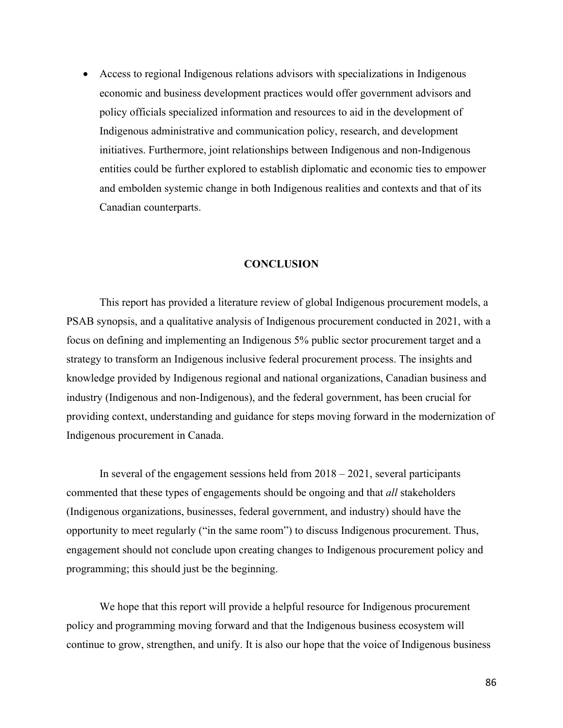• Access to regional Indigenous relations advisors with specializations in Indigenous economic and business development practices would offer government advisors and policy officials specialized information and resources to aid in the development of Indigenous administrative and communication policy, research, and development initiatives. Furthermore, joint relationships between Indigenous and non-Indigenous entities could be further explored to establish diplomatic and economic ties to empower and embolden systemic change in both Indigenous realities and contexts and that of its Canadian counterparts.

### **CONCLUSION**

This report has provided a literature review of global Indigenous procurement models, a PSAB synopsis, and a qualitative analysis of Indigenous procurement conducted in 2021, with a focus on defining and implementing an Indigenous 5% public sector procurement target and a strategy to transform an Indigenous inclusive federal procurement process. The insights and knowledge provided by Indigenous regional and national organizations, Canadian business and industry (Indigenous and non-Indigenous), and the federal government, has been crucial for providing context, understanding and guidance for steps moving forward in the modernization of Indigenous procurement in Canada.

In several of the engagement sessions held from 2018 – 2021, several participants commented that these types of engagements should be ongoing and that *all* stakeholders (Indigenous organizations, businesses, federal government, and industry) should have the opportunity to meet regularly ("in the same room") to discuss Indigenous procurement. Thus, engagement should not conclude upon creating changes to Indigenous procurement policy and programming; this should just be the beginning.

We hope that this report will provide a helpful resource for Indigenous procurement policy and programming moving forward and that the Indigenous business ecosystem will continue to grow, strengthen, and unify. It is also our hope that the voice of Indigenous business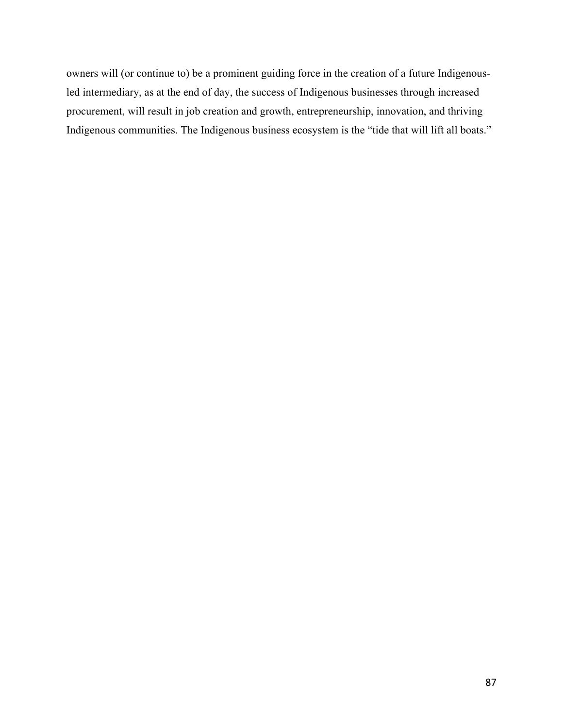owners will (or continue to) be a prominent guiding force in the creation of a future Indigenousled intermediary, as at the end of day, the success of Indigenous businesses through increased procurement, will result in job creation and growth, entrepreneurship, innovation, and thriving Indigenous communities. The Indigenous business ecosystem is the "tide that will lift all boats."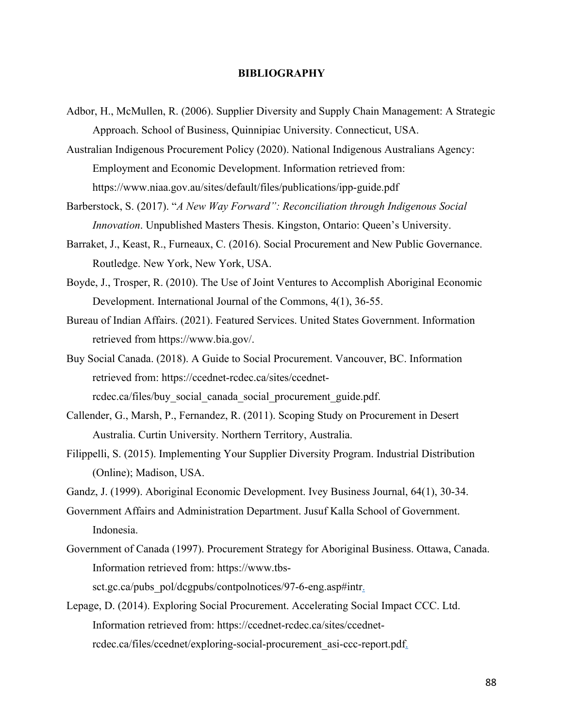#### **BIBLIOGRAPHY**

Adbor, H., McMullen, R. (2006). Supplier Diversity and Supply Chain Management: A Strategic Approach. School of Business, Quinnipiac University. Connecticut, USA.

Australian Indigenous Procurement Policy (2020). National Indigenous Australians Agency: Employment and Economic Development. Information retrieved from: https://www.niaa.gov.au/sites/default/files/publications/ipp-guide.pdf

- Barberstock, S. (2017). "*A New Way Forward": Reconciliation through Indigenous Social Innovation*. Unpublished Masters Thesis. Kingston, Ontario: Queen's University.
- Barraket, J., Keast, R., Furneaux, C. (2016). Social Procurement and New Public Governance. Routledge. New York, New York, USA.
- Boyde, J., Trosper, R. (2010). The Use of Joint Ventures to Accomplish Aboriginal Economic Development. International Journal of the Commons, 4(1), 36-55.
- Bureau of Indian Affairs. (2021). Featured Services. United States Government. Information retrieved from https://www.bia.gov/.
- Buy Social Canada. (2018). A Guide to Social Procurement. Vancouver, BC. Information retrieved from: https://ccednet-rcdec.ca/sites/ccednetrcdec.ca/files/buy\_social\_canada\_social\_procurement\_guide.pdf.
- Callender, G., Marsh, P., Fernandez, R. (2011). Scoping Study on Procurement in Desert Australia. Curtin University. Northern Territory, Australia.
- Filippelli, S. (2015). Implementing Your Supplier Diversity Program. Industrial Distribution (Online); Madison, USA.
- Gandz, J. (1999). Aboriginal Economic Development. Ivey Business Journal, 64(1), 30-34.
- Government Affairs and Administration Department. Jusuf Kalla School of Government. Indonesia.
- Government of Canada (1997). Procurement Strategy for Aboriginal Business. Ottawa, Canada. Information retrieved from: https://www.tbs-

sct.gc.ca/pubs\_pol/dcgpubs/contpolnotices/97-6-eng.asp#intr.

Lepage, D. (2014). Exploring Social Procurement. Accelerating Social Impact CCC. Ltd. Information retrieved from: https://ccednet-rcdec.ca/sites/ccednetrcdec.ca/files/ccednet/exploring-social-procurement\_asi-ccc-report.pdf.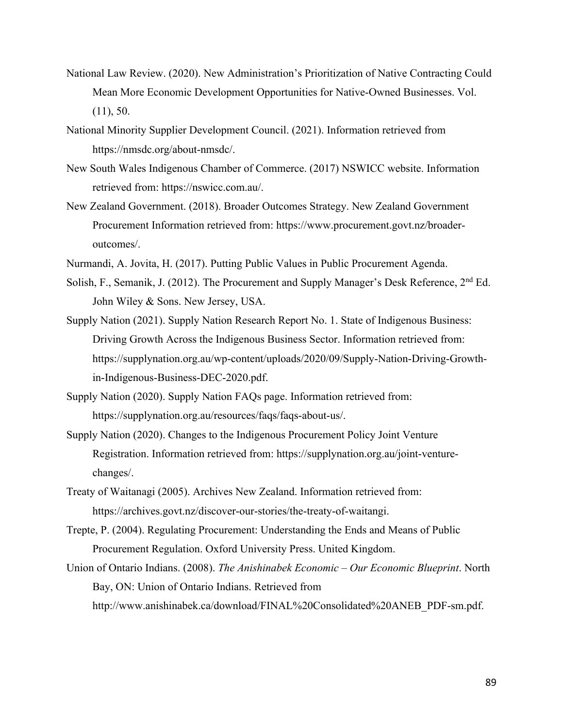- National Law Review. (2020). New Administration's Prioritization of Native Contracting Could Mean More Economic Development Opportunities for Native-Owned Businesses. Vol.  $(11), 50.$
- National Minority Supplier Development Council. (2021). Information retrieved from https://nmsdc.org/about-nmsdc/.
- New South Wales Indigenous Chamber of Commerce. (2017) NSWICC website. Information retrieved from: https://nswicc.com.au/.
- New Zealand Government. (2018). Broader Outcomes Strategy. New Zealand Government Procurement Information retrieved from: https://www.procurement.govt.nz/broaderoutcomes/.
- Nurmandi, A. Jovita, H. (2017). Putting Public Values in Public Procurement Agenda.
- Solish, F., Semanik, J. (2012). The Procurement and Supply Manager's Desk Reference, 2nd Ed. John Wiley & Sons. New Jersey, USA.
- Supply Nation (2021). Supply Nation Research Report No. 1. State of Indigenous Business: Driving Growth Across the Indigenous Business Sector. Information retrieved from: https://supplynation.org.au/wp-content/uploads/2020/09/Supply-Nation-Driving-Growthin-Indigenous-Business-DEC-2020.pdf.
- Supply Nation (2020). Supply Nation FAQs page. Information retrieved from: https://supplynation.org.au/resources/faqs/faqs-about-us/.
- Supply Nation (2020). Changes to the Indigenous Procurement Policy Joint Venture Registration. Information retrieved from: https://supplynation.org.au/joint-venturechanges/.
- Treaty of Waitanagi (2005). Archives New Zealand. Information retrieved from: https://archives.govt.nz/discover-our-stories/the-treaty-of-waitangi.
- Trepte, P. (2004). Regulating Procurement: Understanding the Ends and Means of Public Procurement Regulation. Oxford University Press. United Kingdom.
- Union of Ontario Indians. (2008). *The Anishinabek Economic – Our Economic Blueprint*. North Bay, ON: Union of Ontario Indians. Retrieved from http://www.anishinabek.ca/download/FINAL%20Consolidated%20ANEB\_PDF-sm.pdf.